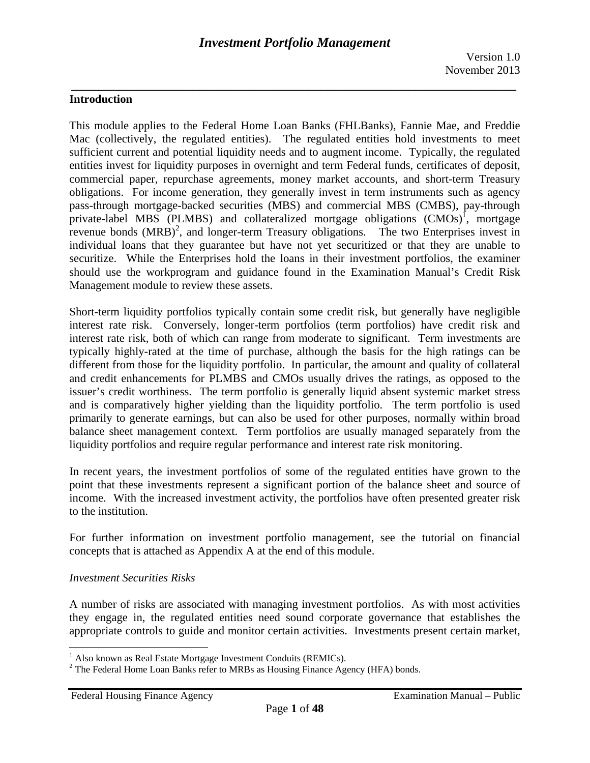## **Introduction**

This module applies to the Federal Home Loan Banks (FHLBanks), Fannie Mae, and Freddie Mac (collectively, the regulated entities). The regulated entities hold investments to meet sufficient current and potential liquidity needs and to augment income. Typically, the regulated entities invest for liquidity purposes in overnight and term Federal funds, certificates of deposit, commercial paper, repurchase agreements, money market accounts, and short-term Treasury obligations. For income generation, they generally invest in term instruments such as agency pass-through mortgage-backed securities (MBS) and commercial MBS (CMBS), pay-through private-label MBS (PLMBS) and collateralized mortgage obligations (CMOs)<sup>1</sup>, mortgage revenue bonds  $(MRB)^2$ , and longer-term Treasury obligations. The two Enterprises invest in individual loans that they guarantee but have not yet securitized or that they are unable to securitize. While the Enterprises hold the loans in their investment portfolios, the examiner should use the workprogram and guidance found in the Examination Manual's Credit Risk Management module to review these assets.

 liquidity portfolios and require regular performance and interest rate risk monitoring. Short-term liquidity portfolios typically contain some credit risk, but generally have negligible interest rate risk. Conversely, longer-term portfolios (term portfolios) have credit risk and interest rate risk, both of which can range from moderate to significant. Term investments are typically highly-rated at the time of purchase, although the basis for the high ratings can be different from those for the liquidity portfolio. In particular, the amount and quality of collateral and credit enhancements for PLMBS and CMOs usually drives the ratings, as opposed to the issuer's credit worthiness. The term portfolio is generally liquid absent systemic market stress and is comparatively higher yielding than the liquidity portfolio. The term portfolio is used primarily to generate earnings, but can also be used for other purposes, normally within broad balance sheet management context. Term portfolios are usually managed separately from the

In recent years, the investment portfolios of some of the regulated entities have grown to the point that these investments represent a significant portion of the balance sheet and source of income. With the increased investment activity, the portfolios have often presented greater risk to the institution.

For further information on investment portfolio management, see the tutorial on financial concepts that is attached as Appendix A at the end of this module.

#### *Investment Securities Risks*

1

A number of risks are associated with managing investment portfolios. As with most activities they engage in, the regulated entities need sound corporate governance that establishes the appropriate controls to guide and monitor certain activities. Investments present certain market,

<sup>&</sup>lt;sup>1</sup> Also known as Real Estate Mortgage Investment Conduits (REMICs).

<sup>&</sup>lt;sup>2</sup> The Federal Home Loan Banks refer to MRBs as Housing Finance Agency (HFA) bonds.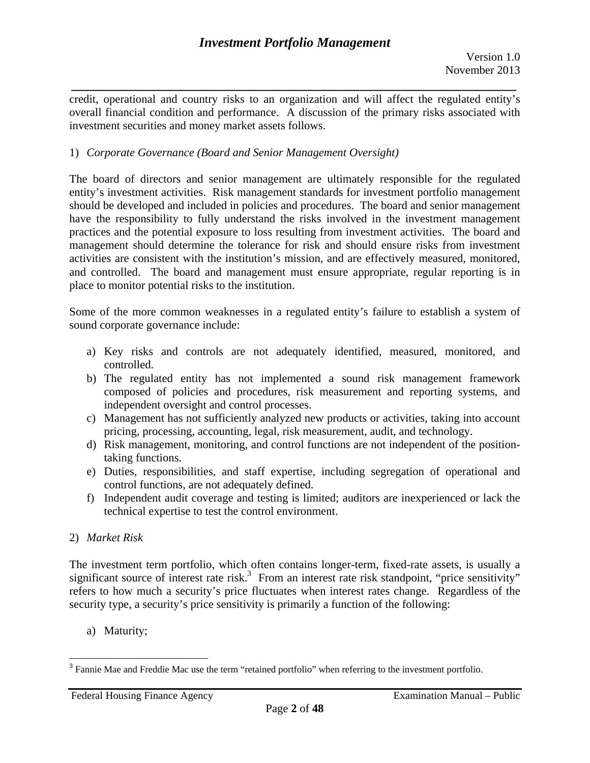*\_\_\_\_\_\_\_\_\_\_\_\_\_\_\_\_\_\_\_\_\_\_\_\_\_\_\_\_\_\_\_\_\_\_\_\_\_\_\_\_\_\_\_\_\_\_\_\_\_\_\_\_\_\_\_\_\_\_\_\_\_\_\_\_\_\_*  credit, operational and country risks to an organization and will affect the regulated entity's overall financial condition and performance. A discussion of the primary risks associated with investment securities and money market assets follows.

## 1) *Corporate Governance (Board and Senior Management Oversight)*

place to monitor potential risks to the institution. The board of directors and senior management are ultimately responsible for the regulated entity's investment activities. Risk management standards for investment portfolio management should be developed and included in policies and procedures. The board and senior management have the responsibility to fully understand the risks involved in the investment management practices and the potential exposure to loss resulting from investment activities. The board and management should determine the tolerance for risk and should ensure risks from investment activities are consistent with the institution's mission, and are effectively measured, monitored, and controlled. The board and management must ensure appropriate, regular reporting is in

Some of the more common weaknesses in a regulated entity's failure to establish a system of sound corporate governance include:

- a) Key risks and controls are not adequately identified, measured, monitored, and controlled.
- b) The regulated entity has not implemented a sound risk management framework composed of policies and procedures, risk measurement and reporting systems, and independent oversight and control processes.
- c) Management has not sufficiently analyzed new products or activities, taking into account pricing, processing, accounting, legal, risk measurement, audit, and technology.
- d) Risk management, monitoring, and control functions are not independent of the positiontaking functions.
- e) Duties, responsibilities, and staff expertise, including segregation of operational and control functions, are not adequately defined.
- f) Independent audit coverage and testing is limited; auditors are inexperienced or lack the technical expertise to test the control environment.

# 2) *Market Risk*

The investment term portfolio, which often contains longer-term, fixed-rate assets, is usually a significant source of interest rate risk.<sup>3</sup> From an interest rate risk standpoint, "price sensitivity" refers to how much a security's price fluctuates when interest rates change. Regardless of the security type, a security's price sensitivity is primarily a function of the following:

a) Maturity;

<sup>&</sup>lt;sup>3</sup> Fannie Mae and Freddie Mac use the term "retained portfolio" when referring to the investment portfolio.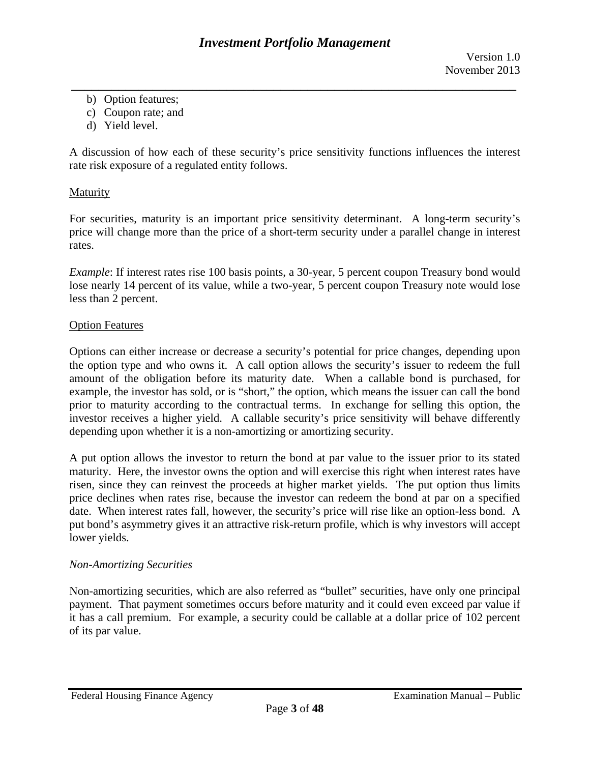- *\_\_\_\_\_\_\_\_\_\_\_\_\_\_\_\_\_\_\_\_\_\_\_\_\_\_\_\_\_\_\_\_\_\_\_\_\_\_\_\_\_\_\_\_\_\_\_\_\_\_\_\_\_\_\_\_\_\_\_\_\_\_\_\_\_\_*  b) Option features;
	- c) Coupon rate; and
	- d) Yield level.

A discussion of how each of these security's price sensitivity functions influences the interest rate risk exposure of a regulated entity follows.

## **Maturity**

For securities, maturity is an important price sensitivity determinant. A long-term security's price will change more than the price of a short-term security under a parallel change in interest rates.

*Example*: If interest rates rise 100 basis points, a 30-year, 5 percent coupon Treasury bond would lose nearly 14 percent of its value, while a two-year, 5 percent coupon Treasury note would lose less than 2 percent.

#### **Option Features**

Options can either increase or decrease a security's potential for price changes, depending upon the option type and who owns it. A call option allows the security's issuer to redeem the full amount of the obligation before its maturity date. When a callable bond is purchased, for example, the investor has sold, or is "short," the option, which means the issuer can call the bond prior to maturity according to the contractual terms. In exchange for selling this option, the investor receives a higher yield. A callable security's price sensitivity will behave differently depending upon whether it is a non-amortizing or amortizing security.

A put option allows the investor to return the bond at par value to the issuer prior to its stated maturity. Here, the investor owns the option and will exercise this right when interest rates have risen, since they can reinvest the proceeds at higher market yields. The put option thus limits price declines when rates rise, because the investor can redeem the bond at par on a specified date. When interest rates fall, however, the security's price will rise like an option-less bond. A put bond's asymmetry gives it an attractive risk-return profile, which is why investors will accept lower yields.

## *Non-Amortizing Securities*

Non-amortizing securities, which are also referred as "bullet" securities, have only one principal payment. That payment sometimes occurs before maturity and it could even exceed par value if it has a call premium. For example, a security could be callable at a dollar price of 102 percent of its par value.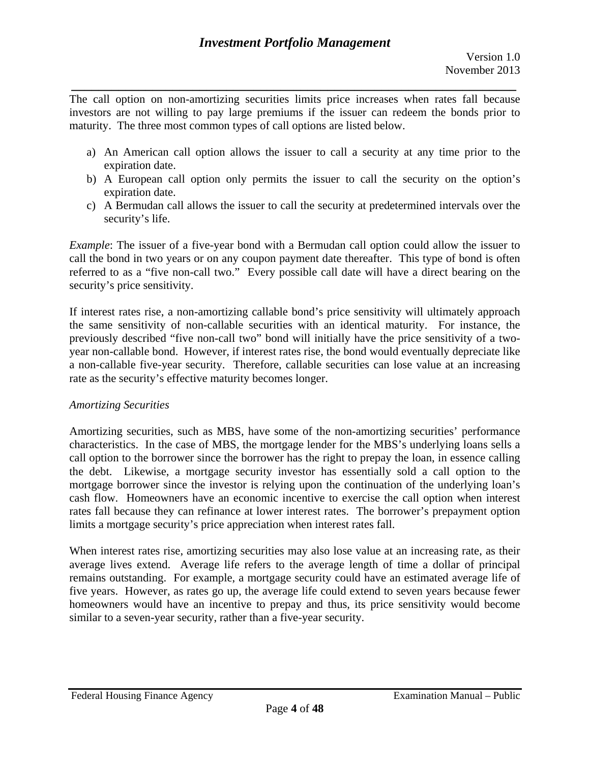*\_\_\_\_\_\_\_\_\_\_\_\_\_\_\_\_\_\_\_\_\_\_\_\_\_\_\_\_\_\_\_\_\_\_\_\_\_\_\_\_\_\_\_\_\_\_\_\_\_\_\_\_\_\_\_\_\_\_\_\_\_\_\_\_\_\_*  The call option on non-amortizing securities limits price increases when rates fall because investors are not willing to pay large premiums if the issuer can redeem the bonds prior to maturity. The three most common types of call options are listed below.

- a) An American call option allows the issuer to call a security at any time prior to the expiration date.
- b) A European call option only permits the issuer to call the security on the option's expiration date.
- c) A Bermudan call allows the issuer to call the security at predetermined intervals over the security's life.

*Example*: The issuer of a five-year bond with a Bermudan call option could allow the issuer to call the bond in two years or on any coupon payment date thereafter. This type of bond is often referred to as a "five non-call two." Every possible call date will have a direct bearing on the security's price sensitivity.

If interest rates rise, a non-amortizing callable bond's price sensitivity will ultimately approach the same sensitivity of non-callable securities with an identical maturity. For instance, the previously described "five non-call two" bond will initially have the price sensitivity of a twoyear non-callable bond. However, if interest rates rise, the bond would eventually depreciate like a non-callable five-year security. Therefore, callable securities can lose value at an increasing rate as the security's effective maturity becomes longer.

## *Amortizing Securities*

Amortizing securities, such as MBS, have some of the non-amortizing securities' performance characteristics. In the case of MBS, the mortgage lender for the MBS's underlying loans sells a call option to the borrower since the borrower has the right to prepay the loan, in essence calling the debt. Likewise, a mortgage security investor has essentially sold a call option to the mortgage borrower since the investor is relying upon the continuation of the underlying loan's cash flow. Homeowners have an economic incentive to exercise the call option when interest rates fall because they can refinance at lower interest rates. The borrower's prepayment option limits a mortgage security's price appreciation when interest rates fall.

When interest rates rise, amortizing securities may also lose value at an increasing rate, as their average lives extend. Average life refers to the average length of time a dollar of principal remains outstanding. For example, a mortgage security could have an estimated average life of five years. However, as rates go up, the average life could extend to seven years because fewer homeowners would have an incentive to prepay and thus, its price sensitivity would become similar to a seven-year security, rather than a five-year security.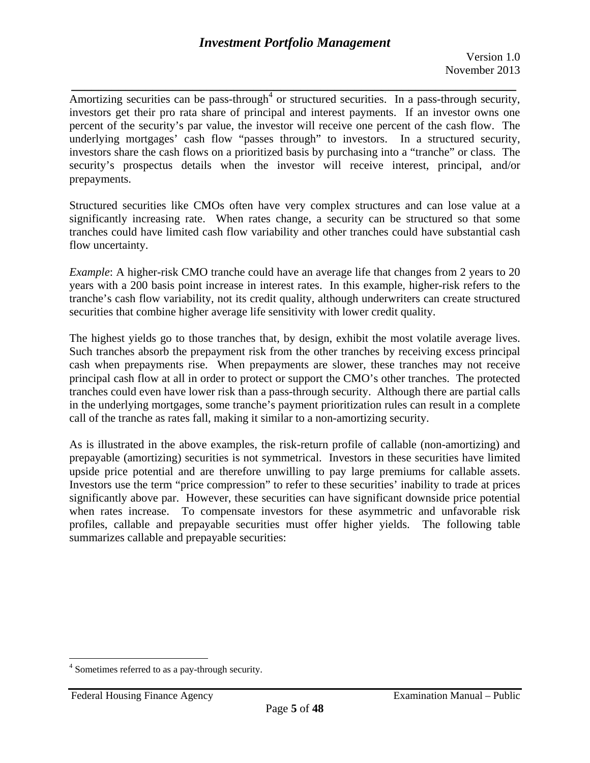*\_\_\_\_\_\_\_\_\_\_\_\_\_\_\_\_\_\_\_\_\_\_\_\_\_\_\_\_\_\_\_\_\_\_\_\_\_\_\_\_\_\_\_\_\_\_\_\_\_\_\_\_\_\_\_\_\_\_\_\_\_\_\_\_\_\_*  Amortizing securities can be pass-through<sup>4</sup> or structured securities. In a pass-through security, investors get their pro rata share of principal and interest payments. If an investor owns one percent of the security's par value, the investor will receive one percent of the cash flow. The underlying mortgages' cash flow "passes through" to investors. In a structured security, investors share the cash flows on a prioritized basis by purchasing into a "tranche" or class. The security's prospectus details when the investor will receive interest, principal, and/or prepayments.

Structured securities like CMOs often have very complex structures and can lose value at a significantly increasing rate. When rates change, a security can be structured so that some tranches could have limited cash flow variability and other tranches could have substantial cash flow uncertainty.

*Example*: A higher-risk CMO tranche could have an average life that changes from 2 years to 20 years with a 200 basis point increase in interest rates. In this example, higher-risk refers to the tranche's cash flow variability, not its credit quality, although underwriters can create structured securities that combine higher average life sensitivity with lower credit quality.

The highest yields go to those tranches that, by design, exhibit the most volatile average lives. Such tranches absorb the prepayment risk from the other tranches by receiving excess principal cash when prepayments rise. When prepayments are slower, these tranches may not receive principal cash flow at all in order to protect or support the CMO's other tranches. The protected tranches could even have lower risk than a pass-through security. Although there are partial calls in the underlying mortgages, some tranche's payment prioritization rules can result in a complete call of the tranche as rates fall, making it similar to a non-amortizing security.

As is illustrated in the above examples, the risk-return profile of callable (non-amortizing) and prepayable (amortizing) securities is not symmetrical. Investors in these securities have limited upside price potential and are therefore unwilling to pay large premiums for callable assets. Investors use the term "price compression" to refer to these securities' inability to trade at prices significantly above par. However, these securities can have significant downside price potential when rates increase. To compensate investors for these asymmetric and unfavorable risk profiles, callable and prepayable securities must offer higher yields. The following table summarizes callable and prepayable securities:

1

<sup>&</sup>lt;sup>4</sup> Sometimes referred to as a pay-through security.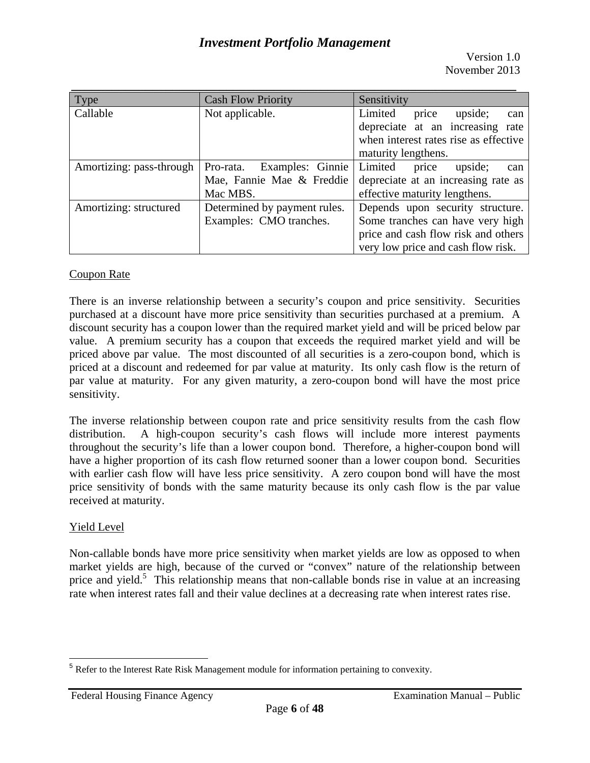Version 1.0 November 2013

| Type                     | <b>Cash Flow Priority</b>     | Sensitivity                           |  |  |
|--------------------------|-------------------------------|---------------------------------------|--|--|
| Callable                 | Not applicable.               | Limited<br>upside;<br>price<br>can    |  |  |
|                          |                               | depreciate at an increasing rate      |  |  |
|                          |                               | when interest rates rise as effective |  |  |
|                          |                               | maturity lengthens.                   |  |  |
| Amortizing: pass-through | Examples: Ginnie<br>Pro-rata. | Limited<br>upside;<br>price<br>can    |  |  |
|                          | Mae, Fannie Mae & Freddie     | depreciate at an increasing rate as   |  |  |
|                          | Mac MBS.                      | effective maturity lengthens.         |  |  |
| Amortizing: structured   | Determined by payment rules.  | Depends upon security structure.      |  |  |
|                          | Examples: CMO tranches.       | Some tranches can have very high      |  |  |
|                          |                               | price and cash flow risk and others   |  |  |
|                          |                               | very low price and cash flow risk.    |  |  |

## **Coupon Rate**

There is an inverse relationship between a security's coupon and price sensitivity. Securities purchased at a discount have more price sensitivity than securities purchased at a premium. A discount security has a coupon lower than the required market yield and will be priced below par value. A premium security has a coupon that exceeds the required market yield and will be priced above par value. The most discounted of all securities is a zero-coupon bond, which is priced at a discount and redeemed for par value at maturity. Its only cash flow is the return of par value at maturity. For any given maturity, a zero-coupon bond will have the most price sensitivity.

The inverse relationship between coupon rate and price sensitivity results from the cash flow distribution. A high-coupon security's cash flows will include more interest payments throughout the security's life than a lower coupon bond. Therefore, a higher-coupon bond will have a higher proportion of its cash flow returned sooner than a lower coupon bond. Securities with earlier cash flow will have less price sensitivity. A zero coupon bond will have the most price sensitivity of bonds with the same maturity because its only cash flow is the par value received at maturity.

## **Yield Level**

1

Non-callable bonds have more price sensitivity when market yields are low as opposed to when market yields are high, because of the curved or "convex" nature of the relationship between price and yield.<sup>5</sup> This relationship means that non-callable bonds rise in value at an increasing rate when interest rates fall and their value declines at a decreasing rate when interest rates rise.

<sup>&</sup>lt;sup>5</sup> Refer to the Interest Rate Risk Management module for information pertaining to convexity.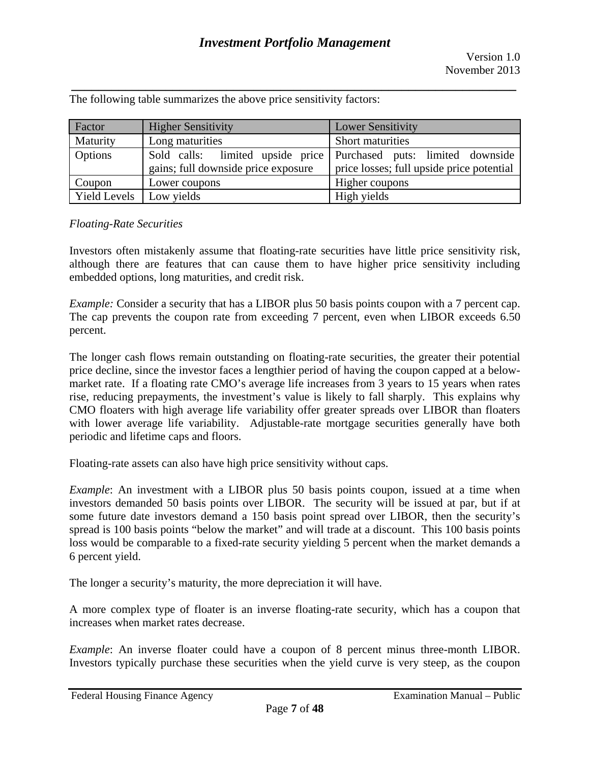*\_\_\_\_\_\_\_\_\_\_\_\_\_\_\_\_\_\_\_\_\_\_\_\_\_\_\_\_\_\_\_\_\_\_\_\_\_\_\_\_\_\_\_\_\_\_\_\_\_\_\_\_\_\_\_\_\_\_\_\_\_\_\_\_\_\_*  The following table summarizes the above price sensitivity factors:

| Factor                    | <b>Higher Sensitivity</b>           | <b>Lower Sensitivity</b>                                                                                       |  |
|---------------------------|-------------------------------------|----------------------------------------------------------------------------------------------------------------|--|
| Maturity                  | Long maturities                     | Short maturities                                                                                               |  |
| Options                   | gains; full downside price exposure | Sold calls: limited upside price Purchased puts: limited downside<br>price losses; full upside price potential |  |
| Coupon                    | Lower coupons                       | Higher coupons                                                                                                 |  |
| Yield Levels   Low yields |                                     | High yields                                                                                                    |  |

#### *Floating-Rate Securities*

Investors often mistakenly assume that floating-rate securities have little price sensitivity risk, although there are features that can cause them to have higher price sensitivity including embedded options, long maturities, and credit risk.

*Example:* Consider a security that has a LIBOR plus 50 basis points coupon with a 7 percent cap. The cap prevents the coupon rate from exceeding 7 percent, even when LIBOR exceeds 6.50 percent.

The longer cash flows remain outstanding on floating-rate securities, the greater their potential price decline, since the investor faces a lengthier period of having the coupon capped at a belowmarket rate. If a floating rate CMO's average life increases from 3 years to 15 years when rates rise, reducing prepayments, the investment's value is likely to fall sharply. This explains why CMO floaters with high average life variability offer greater spreads over LIBOR than floaters with lower average life variability. Adjustable-rate mortgage securities generally have both periodic and lifetime caps and floors.

Floating-rate assets can also have high price sensitivity without caps.

*Example*: An investment with a LIBOR plus 50 basis points coupon, issued at a time when investors demanded 50 basis points over LIBOR. The security will be issued at par, but if at some future date investors demand a 150 basis point spread over LIBOR, then the security's spread is 100 basis points "below the market" and will trade at a discount. This 100 basis points loss would be comparable to a fixed-rate security yielding 5 percent when the market demands a 6 percent yield.

The longer a security's maturity, the more depreciation it will have.

A more complex type of floater is an inverse floating-rate security, which has a coupon that increases when market rates decrease.

*Example*: An inverse floater could have a coupon of 8 percent minus three-month LIBOR. Investors typically purchase these securities when the yield curve is very steep, as the coupon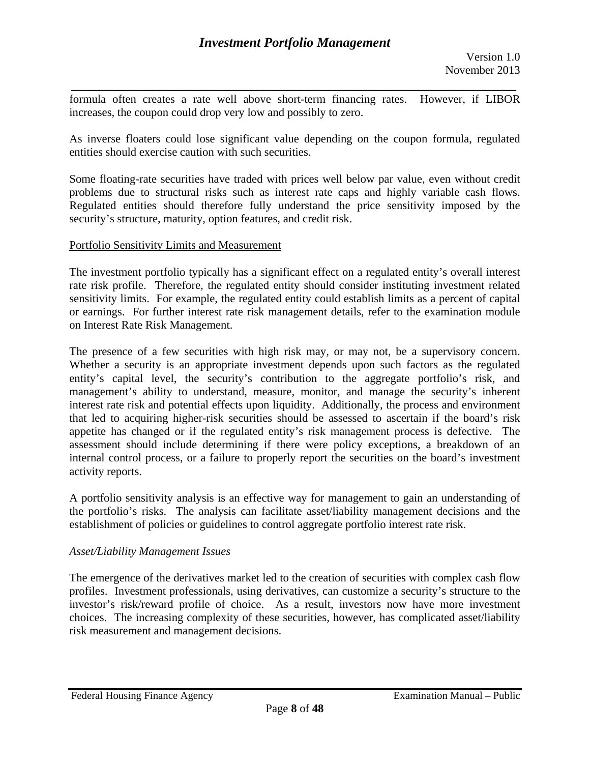*\_\_\_\_\_\_\_\_\_\_\_\_\_\_\_\_\_\_\_\_\_\_\_\_\_\_\_\_\_\_\_\_\_\_\_\_\_\_\_\_\_\_\_\_\_\_\_\_\_\_\_\_\_\_\_\_\_\_\_\_\_\_\_\_\_\_*  formula often creates a rate well above short-term financing rates. However, if LIBOR increases, the coupon could drop very low and possibly to zero.

As inverse floaters could lose significant value depending on the coupon formula, regulated entities should exercise caution with such securities.

Some floating-rate securities have traded with prices well below par value, even without credit problems due to structural risks such as interest rate caps and highly variable cash flows. Regulated entities should therefore fully understand the price sensitivity imposed by the security's structure, maturity, option features, and credit risk.

#### Portfolio Sensitivity Limits and Measurement

The investment portfolio typically has a significant effect on a regulated entity's overall interest rate risk profile. Therefore, the regulated entity should consider instituting investment related sensitivity limits. For example, the regulated entity could establish limits as a percent of capital or earnings. For further interest rate risk management details, refer to the examination module on Interest Rate Risk Management.

The presence of a few securities with high risk may, or may not, be a supervisory concern. Whether a security is an appropriate investment depends upon such factors as the regulated entity's capital level, the security's contribution to the aggregate portfolio's risk, and management's ability to understand, measure, monitor, and manage the security's inherent interest rate risk and potential effects upon liquidity. Additionally, the process and environment that led to acquiring higher-risk securities should be assessed to ascertain if the board's risk appetite has changed or if the regulated entity's risk management process is defective. The assessment should include determining if there were policy exceptions, a breakdown of an internal control process, or a failure to properly report the securities on the board's investment activity reports.

A portfolio sensitivity analysis is an effective way for management to gain an understanding of the portfolio's risks. The analysis can facilitate asset/liability management decisions and the establishment of policies or guidelines to control aggregate portfolio interest rate risk.

## *Asset/Liability Management Issues*

The emergence of the derivatives market led to the creation of securities with complex cash flow profiles. Investment professionals, using derivatives, can customize a security's structure to the investor's risk/reward profile of choice. As a result, investors now have more investment choices. The increasing complexity of these securities, however, has complicated asset/liability risk measurement and management decisions.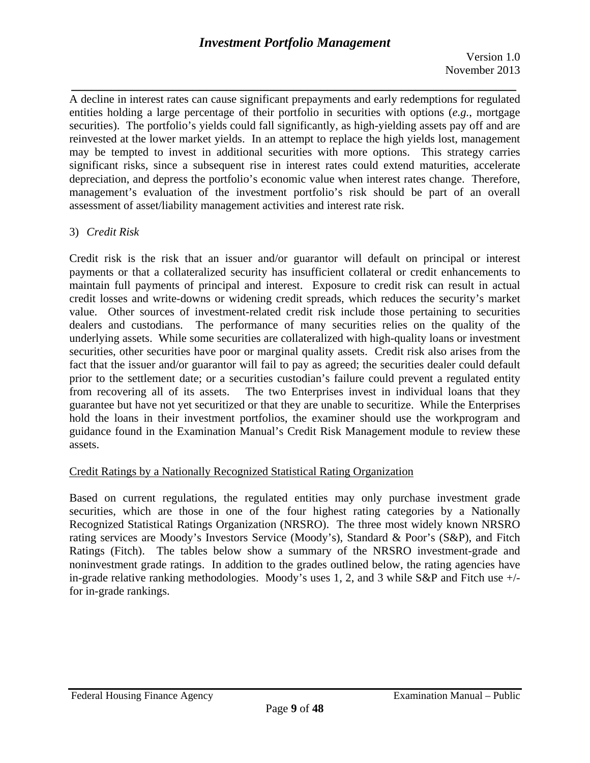*\_\_\_\_\_\_\_\_\_\_\_\_\_\_\_\_\_\_\_\_\_\_\_\_\_\_\_\_\_\_\_\_\_\_\_\_\_\_\_\_\_\_\_\_\_\_\_\_\_\_\_\_\_\_\_\_\_\_\_\_\_\_\_\_\_\_*  A decline in interest rates can cause significant prepayments and early redemptions for regulated entities holding a large percentage of their portfolio in securities with options (*e.g.*, mortgage securities). The portfolio's yields could fall significantly, as high-yielding assets pay off and are reinvested at the lower market yields. In an attempt to replace the high yields lost, management may be tempted to invest in additional securities with more options. This strategy carries significant risks, since a subsequent rise in interest rates could extend maturities, accelerate depreciation, and depress the portfolio's economic value when interest rates change. Therefore, management's evaluation of the investment portfolio's risk should be part of an overall assessment of asset/liability management activities and interest rate risk.

# 3) *Credit Risk*

Credit risk is the risk that an issuer and/or guarantor will default on principal or interest payments or that a collateralized security has insufficient collateral or credit enhancements to maintain full payments of principal and interest. Exposure to credit risk can result in actual credit losses and write-downs or widening credit spreads, which reduces the security's market value. Other sources of investment-related credit risk include those pertaining to securities dealers and custodians. The performance of many securities relies on the quality of the underlying assets. While some securities are collateralized with high-quality loans or investment securities, other securities have poor or marginal quality assets. Credit risk also arises from the fact that the issuer and/or guarantor will fail to pay as agreed; the securities dealer could default prior to the settlement date; or a securities custodian's failure could prevent a regulated entity from recovering all of its assets. The two Enterprises invest in individual loans that they guarantee but have not yet securitized or that they are unable to securitize. While the Enterprises hold the loans in their investment portfolios, the examiner should use the workprogram and guidance found in the Examination Manual's Credit Risk Management module to review these assets.

## Credit Ratings by a Nationally Recognized Statistical Rating Organization

Based on current regulations, the regulated entities may only purchase investment grade securities, which are those in one of the four highest rating categories by a Nationally Recognized Statistical Ratings Organization (NRSRO). The three most widely known NRSRO rating services are Moody's Investors Service (Moody's), Standard & Poor's (S&P), and Fitch Ratings (Fitch). The tables below show a summary of the NRSRO investment-grade and noninvestment grade ratings. In addition to the grades outlined below, the rating agencies have in-grade relative ranking methodologies. Moody's uses 1, 2, and 3 while S&P and Fitch use +/ for in-grade rankings.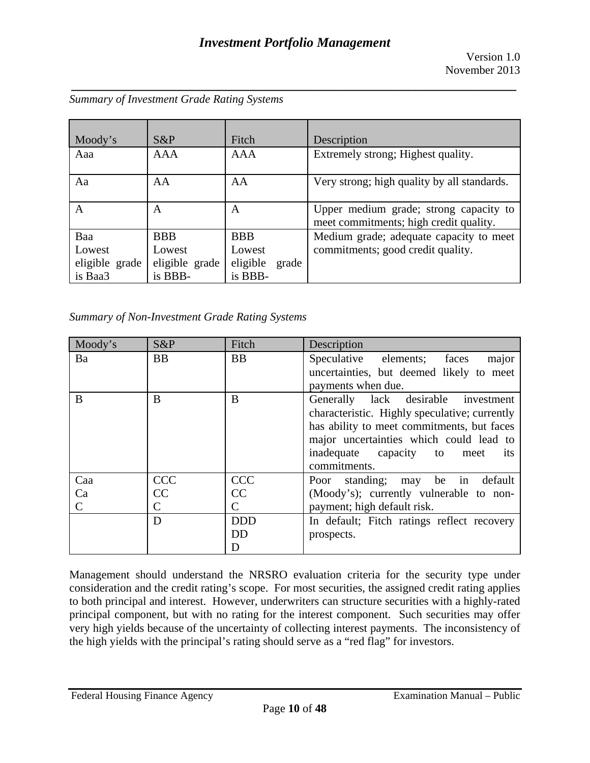| Moody's        | $S\&P$         | Fitch             | Description                                                                      |
|----------------|----------------|-------------------|----------------------------------------------------------------------------------|
| Aaa            | <b>AAA</b>     | <b>AAA</b>        | Extremely strong; Highest quality.                                               |
| Aa             | AA             | AA                | Very strong; high quality by all standards.                                      |
| A              | A              | A                 | Upper medium grade; strong capacity to<br>meet commitments; high credit quality. |
| Baa            | <b>BBB</b>     | <b>BBB</b>        | Medium grade; adequate capacity to meet                                          |
| Lowest         | Lowest         | Lowest            | commitments; good credit quality.                                                |
| eligible grade | eligible grade | eligible<br>grade |                                                                                  |
| is Baa3        | is BBB-        | is BBB-           |                                                                                  |

*Summary of Investment Grade Rating Systems* 

*Summary of Non-Investment Grade Rating Systems* 

| Moody's | S&P        | Fitch      | Description                                                                                                                                                                                                                                   |
|---------|------------|------------|-----------------------------------------------------------------------------------------------------------------------------------------------------------------------------------------------------------------------------------------------|
| Ba      | <b>BB</b>  | <b>BB</b>  | major<br>Speculative elements; faces<br>uncertainties, but deemed likely to meet<br>payments when due.                                                                                                                                        |
| B       | B          | B          | Generally lack desirable investment<br>characteristic. Highly speculative; currently<br>has ability to meet commitments, but faces<br>major uncertainties which could lead to<br>inadequate capacity to<br>meet<br><i>its</i><br>commitments. |
| Caa     | <b>CCC</b> | <b>CCC</b> | Poor standing; may be in default                                                                                                                                                                                                              |
| Ca      | CC         | CC         | (Moody's); currently vulnerable to non-                                                                                                                                                                                                       |
| C       | C          | C          | payment; high default risk.                                                                                                                                                                                                                   |
|         | D          | <b>DDD</b> | In default; Fitch ratings reflect recovery                                                                                                                                                                                                    |
|         |            | <b>DD</b>  | prospects.                                                                                                                                                                                                                                    |
|         |            | D          |                                                                                                                                                                                                                                               |

Management should understand the NRSRO evaluation criteria for the security type under consideration and the credit rating's scope. For most securities, the assigned credit rating applies to both principal and interest. However, underwriters can structure securities with a highly-rated principal component, but with no rating for the interest component. Such securities may offer very high yields because of the uncertainty of collecting interest payments. The inconsistency of the high yields with the principal's rating should serve as a "red flag" for investors.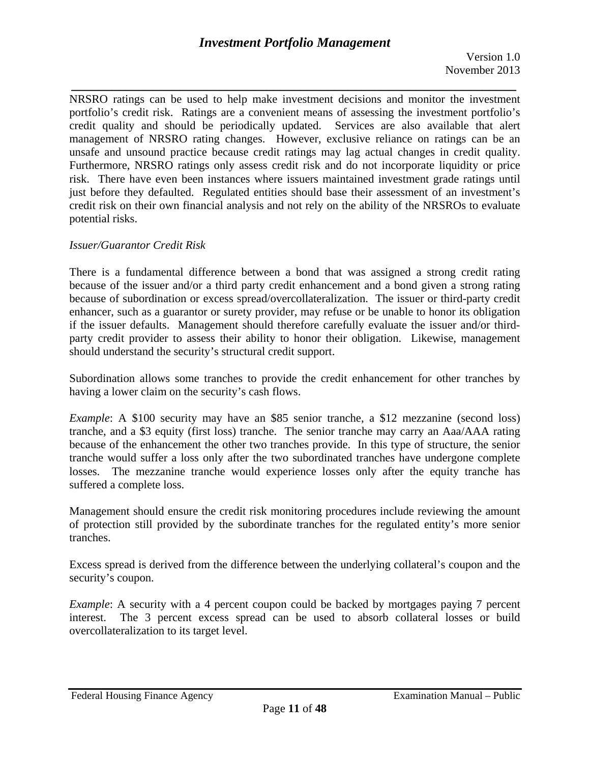*\_\_\_\_\_\_\_\_\_\_\_\_\_\_\_\_\_\_\_\_\_\_\_\_\_\_\_\_\_\_\_\_\_\_\_\_\_\_\_\_\_\_\_\_\_\_\_\_\_\_\_\_\_\_\_\_\_\_\_\_\_\_\_\_\_\_*  unsafe and unsound practice because credit ratings may lag actual changes in credit quality. NRSRO ratings can be used to help make investment decisions and monitor the investment portfolio's credit risk. Ratings are a convenient means of assessing the investment portfolio's credit quality and should be periodically updated. Services are also available that alert management of NRSRO rating changes. However, exclusive reliance on ratings can be an Furthermore, NRSRO ratings only assess credit risk and do not incorporate liquidity or price risk. There have even been instances where issuers maintained investment grade ratings until just before they defaulted. Regulated entities should base their assessment of an investment's credit risk on their own financial analysis and not rely on the ability of the NRSROs to evaluate potential risks.

## *Issuer/Guarantor Credit Risk*

There is a fundamental difference between a bond that was assigned a strong credit rating because of the issuer and/or a third party credit enhancement and a bond given a strong rating because of subordination or excess spread/overcollateralization. The issuer or third-party credit enhancer, such as a guarantor or surety provider, may refuse or be unable to honor its obligation if the issuer defaults. Management should therefore carefully evaluate the issuer and/or thirdparty credit provider to assess their ability to honor their obligation. Likewise, management should understand the security's structural credit support.

Subordination allows some tranches to provide the credit enhancement for other tranches by having a lower claim on the security's cash flows.

suffered a complete loss. *Example*: A \$100 security may have an \$85 senior tranche, a \$12 mezzanine (second loss) tranche, and a \$3 equity (first loss) tranche. The senior tranche may carry an Aaa/AAA rating because of the enhancement the other two tranches provide. In this type of structure, the senior tranche would suffer a loss only after the two subordinated tranches have undergone complete losses. The mezzanine tranche would experience losses only after the equity tranche has

Management should ensure the credit risk monitoring procedures include reviewing the amount of protection still provided by the subordinate tranches for the regulated entity's more senior tranches.

Excess spread is derived from the difference between the underlying collateral's coupon and the security's coupon.

*Example*: A security with a 4 percent coupon could be backed by mortgages paying 7 percent interest. The 3 percent excess spread can be used to absorb collateral losses or build overcollateralization to its target level.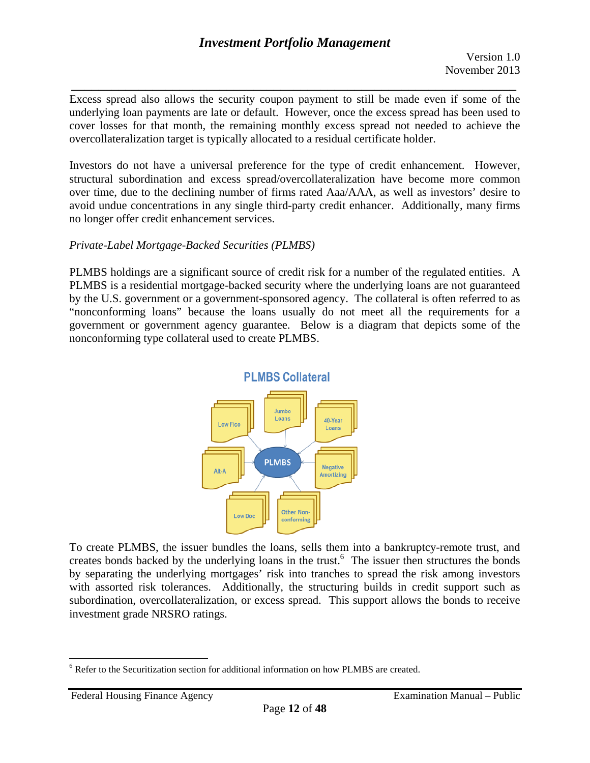*\_\_\_\_\_\_\_\_\_\_\_\_\_\_\_\_\_\_\_\_\_\_\_\_\_\_\_\_\_\_\_\_\_\_\_\_\_\_\_\_\_\_\_\_\_\_\_\_\_\_\_\_\_\_\_\_\_\_\_\_\_\_\_\_\_\_*  Excess spread also allows the security coupon payment to still be made even if some of the underlying loan payments are late or default. However, once the excess spread has been used to cover losses for that month, the remaining monthly excess spread not needed to achieve the overcollateralization target is typically allocated to a residual certificate holder.

Investors do not have a universal preference for the type of credit enhancement. However, structural subordination and excess spread/overcollateralization have become more common over time, due to the declining number of firms rated Aaa/AAA, as well as investors' desire to avoid undue concentrations in any single third-party credit enhancer. Additionally, many firms no longer offer credit enhancement services.

## *Private-Label Mortgage-Backed Securities (PLMBS)*

PLMBS holdings are a significant source of credit risk for a number of the regulated entities. A PLMBS is a residential mortgage-backed security where the underlying loans are not guaranteed by the U.S. government or a government-sponsored agency. The collateral is often referred to as "nonconforming loans" because the loans usually do not meet all the requirements for a government or government agency guarantee. Below is a diagram that depicts some of the nonconforming type collateral used to create PLMBS.



To create PLMBS, the issuer bundles the loans, sells them into a bankruptcy-remote trust, and creates bonds backed by the underlying loans in the trust.<sup>6</sup> The issuer then structures the bonds by separating the underlying mortgages' risk into tranches to spread the risk among investors with assorted risk tolerances. Additionally, the structuring builds in credit support such as subordination, overcollateralization, or excess spread. This support allows the bonds to receive investment grade NRSRO ratings.

1

<sup>&</sup>lt;sup>6</sup> Refer to the Securitization section for additional information on how PLMBS are created.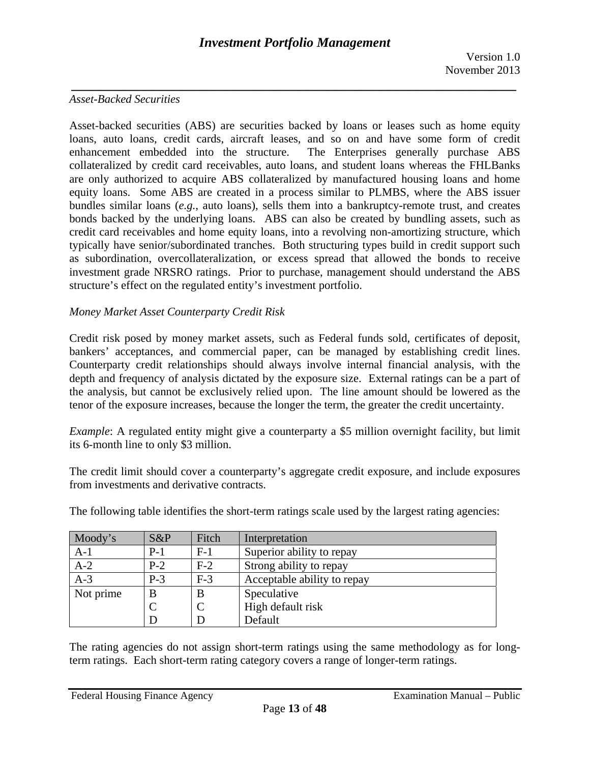#### *Asset-Backed Securities*

Asset-backed securities (ABS) are securities backed by loans or leases such as home equity loans, auto loans, credit cards, aircraft leases, and so on and have some form of credit enhancement embedded into the structure. The Enterprises generally purchase ABS collateralized by credit card receivables, auto loans, and student loans whereas the FHLBanks are only authorized to acquire ABS collateralized by manufactured housing loans and home equity loans. Some ABS are created in a process similar to PLMBS, where the ABS issuer bundles similar loans (*e.g.*, auto loans), sells them into a bankruptcy-remote trust, and creates bonds backed by the underlying loans. ABS can also be created by bundling assets, such as credit card receivables and home equity loans, into a revolving non-amortizing structure, which typically have senior/subordinated tranches. Both structuring types build in credit support such as subordination, overcollateralization, or excess spread that allowed the bonds to receive investment grade NRSRO ratings. Prior to purchase, management should understand the ABS structure's effect on the regulated entity's investment portfolio.

#### *Money Market Asset Counterparty Credit Risk*

Credit risk posed by money market assets, such as Federal funds sold, certificates of deposit, bankers' acceptances, and commercial paper, can be managed by establishing credit lines. Counterparty credit relationships should always involve internal financial analysis, with the depth and frequency of analysis dictated by the exposure size. External ratings can be a part of the analysis, but cannot be exclusively relied upon. The line amount should be lowered as the tenor of the exposure increases, because the longer the term, the greater the credit uncertainty.

*Example*: A regulated entity might give a counterparty a \$5 million overnight facility, but limit its 6-month line to only \$3 million.

The credit limit should cover a counterparty's aggregate credit exposure, and include exposures from investments and derivative contracts.

| Moody's   | S&P   | Fitch | Interpretation              |
|-----------|-------|-------|-----------------------------|
| $A-1$     | $P-1$ | $F-1$ | Superior ability to repay   |
| $A-2$     | $P-2$ | $F-2$ | Strong ability to repay     |
| $A-3$     | $P-3$ | $F-3$ | Acceptable ability to repay |
| Not prime | B     | B     | Speculative                 |
|           |       |       | High default risk           |
|           | D     |       | Default                     |

The following table identifies the short-term ratings scale used by the largest rating agencies:

The rating agencies do not assign short-term ratings using the same methodology as for longterm ratings. Each short-term rating category covers a range of longer-term ratings.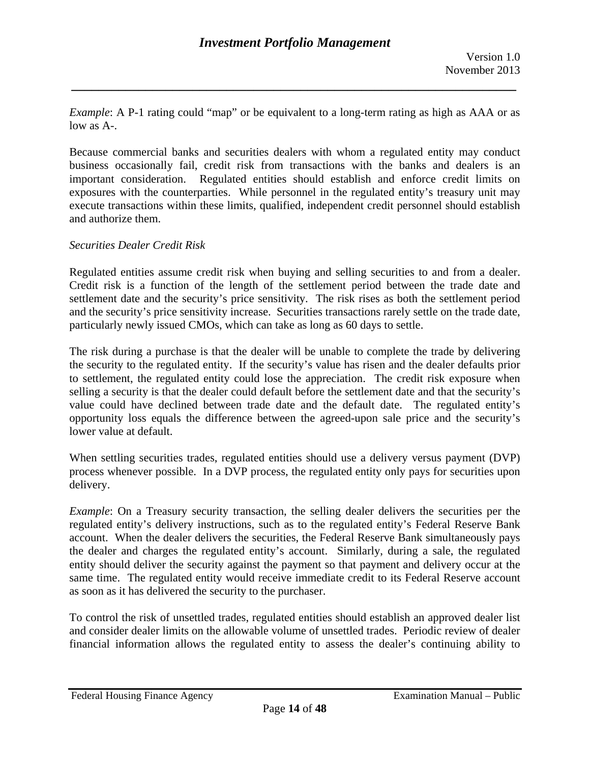*Example*: A P-1 rating could "map" or be equivalent to a long-term rating as high as AAA or as low as A-.

*\_\_\_\_\_\_\_\_\_\_\_\_\_\_\_\_\_\_\_\_\_\_\_\_\_\_\_\_\_\_\_\_\_\_\_\_\_\_\_\_\_\_\_\_\_\_\_\_\_\_\_\_\_\_\_\_\_\_\_\_\_\_\_\_\_\_* 

Because commercial banks and securities dealers with whom a regulated entity may conduct business occasionally fail, credit risk from transactions with the banks and dealers is an important consideration. Regulated entities should establish and enforce credit limits on exposures with the counterparties. While personnel in the regulated entity's treasury unit may execute transactions within these limits, qualified, independent credit personnel should establish and authorize them.

#### *Securities Dealer Credit Risk*

Regulated entities assume credit risk when buying and selling securities to and from a dealer. Credit risk is a function of the length of the settlement period between the trade date and settlement date and the security's price sensitivity. The risk rises as both the settlement period and the security's price sensitivity increase. Securities transactions rarely settle on the trade date, particularly newly issued CMOs, which can take as long as 60 days to settle.

The risk during a purchase is that the dealer will be unable to complete the trade by delivering the security to the regulated entity. If the security's value has risen and the dealer defaults prior to settlement, the regulated entity could lose the appreciation. The credit risk exposure when selling a security is that the dealer could default before the settlement date and that the security's value could have declined between trade date and the default date. The regulated entity's opportunity loss equals the difference between the agreed-upon sale price and the security's lower value at default.

When settling securities trades, regulated entities should use a delivery versus payment (DVP) process whenever possible. In a DVP process, the regulated entity only pays for securities upon delivery.

*Example*: On a Treasury security transaction, the selling dealer delivers the securities per the regulated entity's delivery instructions, such as to the regulated entity's Federal Reserve Bank account. When the dealer delivers the securities, the Federal Reserve Bank simultaneously pays the dealer and charges the regulated entity's account. Similarly, during a sale, the regulated entity should deliver the security against the payment so that payment and delivery occur at the same time. The regulated entity would receive immediate credit to its Federal Reserve account as soon as it has delivered the security to the purchaser.

To control the risk of unsettled trades, regulated entities should establish an approved dealer list and consider dealer limits on the allowable volume of unsettled trades. Periodic review of dealer financial information allows the regulated entity to assess the dealer's continuing ability to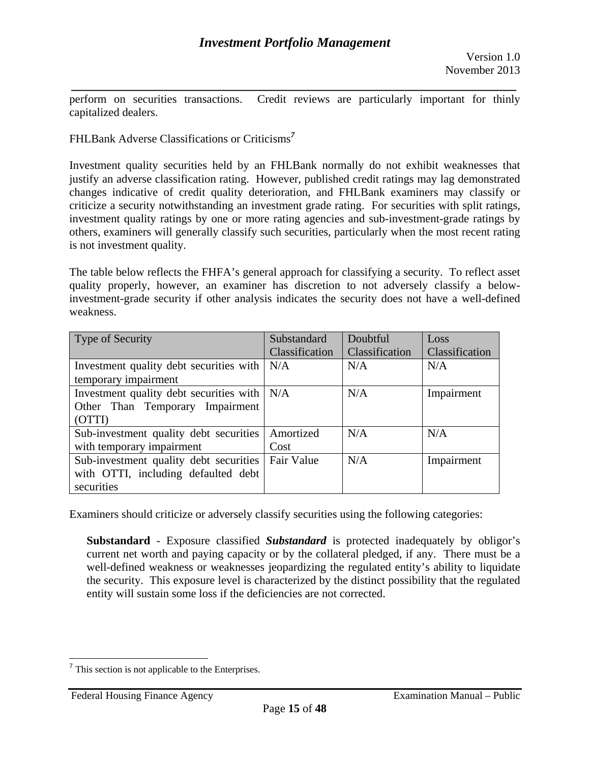*\_\_\_\_\_\_\_\_\_\_\_\_\_\_\_\_\_\_\_\_\_\_\_\_\_\_\_\_\_\_\_\_\_\_\_\_\_\_\_\_\_\_\_\_\_\_\_\_\_\_\_\_\_\_\_\_\_\_\_\_\_\_\_\_\_\_*  perform on securities transactions. Credit reviews are particularly important for thinly capitalized dealers.

FHLBank Adverse Classifications or Criticisms*<sup>7</sup>*

Investment quality securities held by an FHLBank normally do not exhibit weaknesses that justify an adverse classification rating. However, published credit ratings may lag demonstrated changes indicative of credit quality deterioration, and FHLBank examiners may classify or criticize a security notwithstanding an investment grade rating. For securities with split ratings, investment quality ratings by one or more rating agencies and sub-investment-grade ratings by others, examiners will generally classify such securities, particularly when the most recent rating is not investment quality.

The table below reflects the FHFA's general approach for classifying a security. To reflect asset quality properly, however, an examiner has discretion to not adversely classify a belowinvestment-grade security if other analysis indicates the security does not have a well-defined weakness.

| <b>Type of Security</b>                 | Substandard    | Doubtful       | Loss           |
|-----------------------------------------|----------------|----------------|----------------|
|                                         | Classification | Classification | Classification |
| Investment quality debt securities with | N/A            | N/A            | N/A            |
| temporary impairment                    |                |                |                |
| Investment quality debt securities with | N/A            | N/A            | Impairment     |
| Other Than Temporary Impairment         |                |                |                |
| (OTTI)                                  |                |                |                |
| Sub-investment quality debt securities  | Amortized      | N/A            | N/A            |
| with temporary impairment               | Cost           |                |                |
| Sub-investment quality debt securities  | Fair Value     | N/A            | Impairment     |
| with OTTI, including defaulted debt     |                |                |                |
| securities                              |                |                |                |

Examiners should criticize or adversely classify securities using the following categories:

**Substandard** - Exposure classified *Substandard* is protected inadequately by obligor's current net worth and paying capacity or by the collateral pledged, if any. There must be a well-defined weakness or weaknesses jeopardizing the regulated entity's ability to liquidate the security. This exposure level is characterized by the distinct possibility that the regulated entity will sustain some loss if the deficiencies are not corrected.

1

 $<sup>7</sup>$  This section is not applicable to the Enterprises.</sup>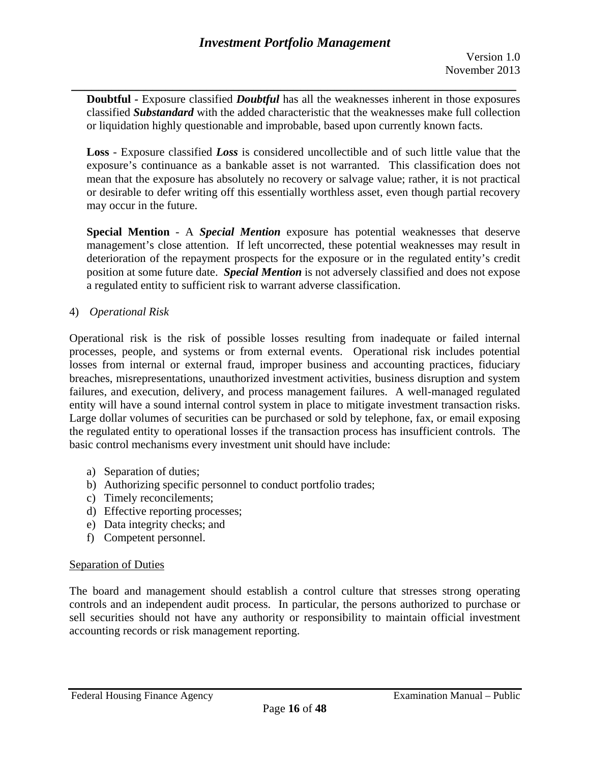*\_\_\_\_\_\_\_\_\_\_\_\_\_\_\_\_\_\_\_\_\_\_\_\_\_\_\_\_\_\_\_\_\_\_\_\_\_\_\_\_\_\_\_\_\_\_\_\_\_\_\_\_\_\_\_\_\_\_\_\_\_\_\_\_\_\_*  **Doubtful** *-* Exposure classified *Doubtful* has all the weaknesses inherent in those exposures classified *Substandard* with the added characteristic that the weaknesses make full collection or liquidation highly questionable and improbable, based upon currently known facts.

**Loss** - Exposure classified *Loss* is considered uncollectible and of such little value that the exposure's continuance as a bankable asset is not warranted. This classification does not mean that the exposure has absolutely no recovery or salvage value; rather, it is not practical or desirable to defer writing off this essentially worthless asset, even though partial recovery may occur in the future.

**Special Mention** - A *Special Mention* exposure has potential weaknesses that deserve management's close attention. If left uncorrected, these potential weaknesses may result in deterioration of the repayment prospects for the exposure or in the regulated entity's credit position at some future date. *Special Mention* is not adversely classified and does not expose a regulated entity to sufficient risk to warrant adverse classification.

## 4) *Operational Risk*

Operational risk is the risk of possible losses resulting from inadequate or failed internal processes, people, and systems or from external events. Operational risk includes potential losses from internal or external fraud, improper business and accounting practices, fiduciary breaches, misrepresentations, unauthorized investment activities, business disruption and system failures, and execution, delivery, and process management failures. A well-managed regulated entity will have a sound internal control system in place to mitigate investment transaction risks. Large dollar volumes of securities can be purchased or sold by telephone, fax, or email exposing the regulated entity to operational losses if the transaction process has insufficient controls. The basic control mechanisms every investment unit should have include:

- a) Separation of duties;
- b) Authorizing specific personnel to conduct portfolio trades;
- c) Timely reconcilements;
- d) Effective reporting processes;
- e) Data integrity checks; and
- f) Competent personnel.

## Separation of Duties

The board and management should establish a control culture that stresses strong operating controls and an independent audit process. In particular, the persons authorized to purchase or sell securities should not have any authority or responsibility to maintain official investment accounting records or risk management reporting.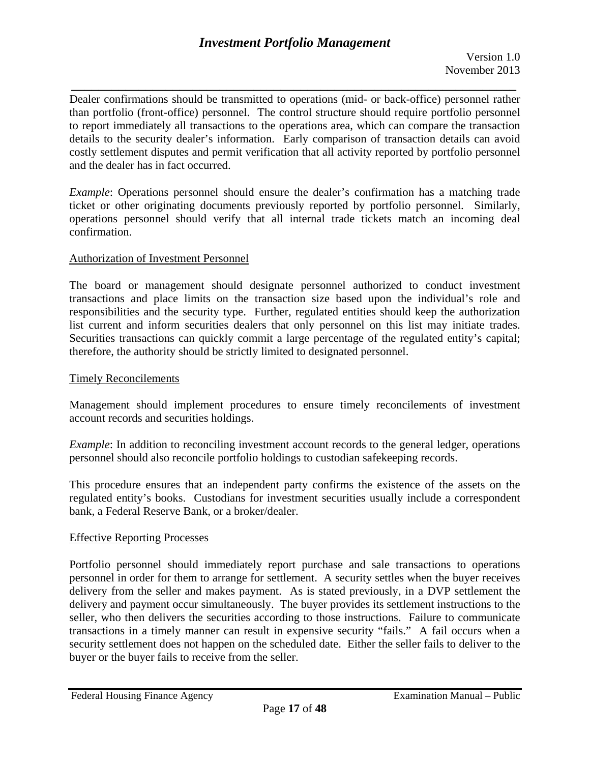*\_\_\_\_\_\_\_\_\_\_\_\_\_\_\_\_\_\_\_\_\_\_\_\_\_\_\_\_\_\_\_\_\_\_\_\_\_\_\_\_\_\_\_\_\_\_\_\_\_\_\_\_\_\_\_\_\_\_\_\_\_\_\_\_\_\_*  Dealer confirmations should be transmitted to operations (mid- or back-office) personnel rather than portfolio (front-office) personnel. The control structure should require portfolio personnel to report immediately all transactions to the operations area, which can compare the transaction details to the security dealer's information. Early comparison of transaction details can avoid costly settlement disputes and permit verification that all activity reported by portfolio personnel and the dealer has in fact occurred.

*Example*: Operations personnel should ensure the dealer's confirmation has a matching trade ticket or other originating documents previously reported by portfolio personnel. Similarly, operations personnel should verify that all internal trade tickets match an incoming deal confirmation.

## Authorization of Investment Personnel

The board or management should designate personnel authorized to conduct investment transactions and place limits on the transaction size based upon the individual's role and responsibilities and the security type. Further, regulated entities should keep the authorization list current and inform securities dealers that only personnel on this list may initiate trades. Securities transactions can quickly commit a large percentage of the regulated entity's capital; therefore, the authority should be strictly limited to designated personnel.

## Timely Reconcilements

Management should implement procedures to ensure timely reconcilements of investment account records and securities holdings.

*Example*: In addition to reconciling investment account records to the general ledger, operations personnel should also reconcile portfolio holdings to custodian safekeeping records.

This procedure ensures that an independent party confirms the existence of the assets on the regulated entity's books. Custodians for investment securities usually include a correspondent bank, a Federal Reserve Bank, or a broker/dealer.

## Effective Reporting Processes

Portfolio personnel should immediately report purchase and sale transactions to operations personnel in order for them to arrange for settlement. A security settles when the buyer receives delivery from the seller and makes payment. As is stated previously, in a DVP settlement the delivery and payment occur simultaneously. The buyer provides its settlement instructions to the seller, who then delivers the securities according to those instructions. Failure to communicate transactions in a timely manner can result in expensive security "fails." A fail occurs when a security settlement does not happen on the scheduled date. Either the seller fails to deliver to the buyer or the buyer fails to receive from the seller.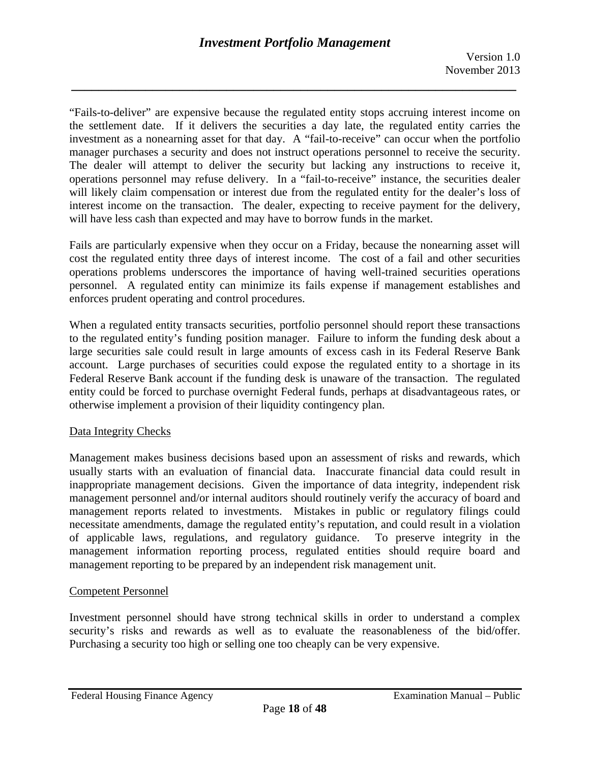"Fails-to-deliver" are expensive because the regulated entity stops accruing interest income on the settlement date. If it delivers the securities a day late, the regulated entity carries the investment as a nonearning asset for that day. A "fail-to-receive" can occur when the portfolio manager purchases a security and does not instruct operations personnel to receive the security. The dealer will attempt to deliver the security but lacking any instructions to receive it, operations personnel may refuse delivery. In a "fail-to-receive" instance, the securities dealer will likely claim compensation or interest due from the regulated entity for the dealer's loss of interest income on the transaction. The dealer, expecting to receive payment for the delivery, will have less cash than expected and may have to borrow funds in the market.

Fails are particularly expensive when they occur on a Friday, because the nonearning asset will cost the regulated entity three days of interest income. The cost of a fail and other securities operations problems underscores the importance of having well-trained securities operations personnel. A regulated entity can minimize its fails expense if management establishes and enforces prudent operating and control procedures.

When a regulated entity transacts securities, portfolio personnel should report these transactions to the regulated entity's funding position manager. Failure to inform the funding desk about a large securities sale could result in large amounts of excess cash in its Federal Reserve Bank account. Large purchases of securities could expose the regulated entity to a shortage in its Federal Reserve Bank account if the funding desk is unaware of the transaction. The regulated entity could be forced to purchase overnight Federal funds, perhaps at disadvantageous rates, or otherwise implement a provision of their liquidity contingency plan.

## Data Integrity Checks

Management makes business decisions based upon an assessment of risks and rewards, which usually starts with an evaluation of financial data. Inaccurate financial data could result in inappropriate management decisions. Given the importance of data integrity, independent risk management personnel and/or internal auditors should routinely verify the accuracy of board and management reports related to investments. Mistakes in public or regulatory filings could necessitate amendments, damage the regulated entity's reputation, and could result in a violation of applicable laws, regulations, and regulatory guidance. To preserve integrity in the management information reporting process, regulated entities should require board and management reporting to be prepared by an independent risk management unit.

## Competent Personnel

Investment personnel should have strong technical skills in order to understand a complex security's risks and rewards as well as to evaluate the reasonableness of the bid/offer. Purchasing a security too high or selling one too cheaply can be very expensive.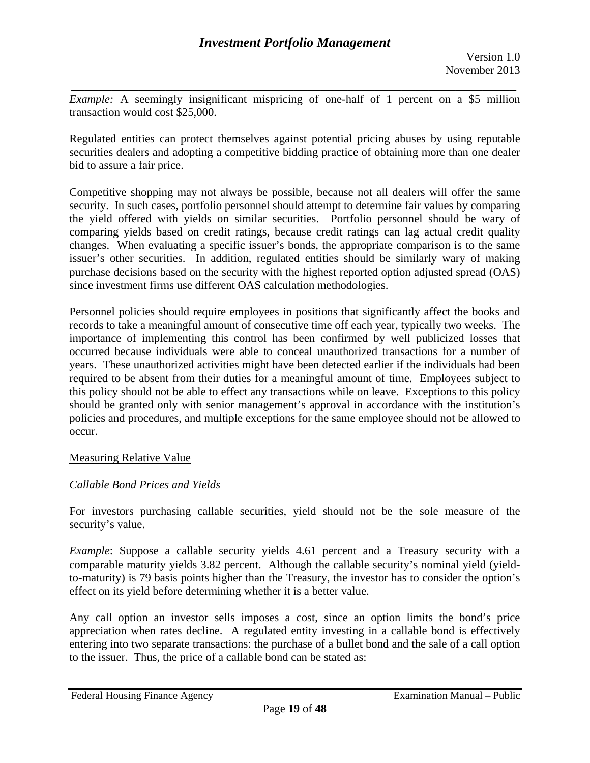*\_\_\_\_\_\_\_\_\_\_\_\_\_\_\_\_\_\_\_\_\_\_\_\_\_\_\_\_\_\_\_\_\_\_\_\_\_\_\_\_\_\_\_\_\_\_\_\_\_\_\_\_\_\_\_\_\_\_\_\_\_\_\_\_\_\_ Example:* A seemingly insignificant mispricing of one-half of 1 percent on a \$5 million transaction would cost \$25,000.

Regulated entities can protect themselves against potential pricing abuses by using reputable securities dealers and adopting a competitive bidding practice of obtaining more than one dealer bid to assure a fair price.

Competitive shopping may not always be possible, because not all dealers will offer the same security. In such cases, portfolio personnel should attempt to determine fair values by comparing the yield offered with yields on similar securities. Portfolio personnel should be wary of comparing yields based on credit ratings, because credit ratings can lag actual credit quality changes. When evaluating a specific issuer's bonds, the appropriate comparison is to the same issuer's other securities. In addition, regulated entities should be similarly wary of making purchase decisions based on the security with the highest reported option adjusted spread (OAS) since investment firms use different OAS calculation methodologies.

Personnel policies should require employees in positions that significantly affect the books and records to take a meaningful amount of consecutive time off each year, typically two weeks. The importance of implementing this control has been confirmed by well publicized losses that occurred because individuals were able to conceal unauthorized transactions for a number of years. These unauthorized activities might have been detected earlier if the individuals had been required to be absent from their duties for a meaningful amount of time. Employees subject to this policy should not be able to effect any transactions while on leave. Exceptions to this policy should be granted only with senior management's approval in accordance with the institution's policies and procedures, and multiple exceptions for the same employee should not be allowed to occur.

## Measuring Relative Value

# *Callable Bond Prices and Yields*

For investors purchasing callable securities, yield should not be the sole measure of the security's value.

*Example*: Suppose a callable security yields 4.61 percent and a Treasury security with a comparable maturity yields 3.82 percent. Although the callable security's nominal yield (yieldto-maturity) is 79 basis points higher than the Treasury, the investor has to consider the option's effect on its yield before determining whether it is a better value.

Any call option an investor sells imposes a cost, since an option limits the bond's price appreciation when rates decline. A regulated entity investing in a callable bond is effectively entering into two separate transactions: the purchase of a bullet bond and the sale of a call option to the issuer. Thus, the price of a callable bond can be stated as: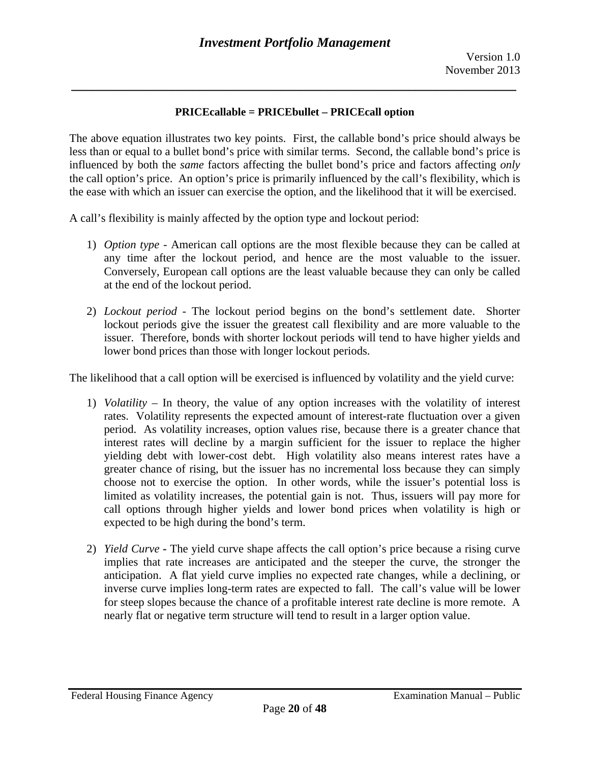## **PRICEcallable = PRICEbullet – PRICEcall option**

*\_\_\_\_\_\_\_\_\_\_\_\_\_\_\_\_\_\_\_\_\_\_\_\_\_\_\_\_\_\_\_\_\_\_\_\_\_\_\_\_\_\_\_\_\_\_\_\_\_\_\_\_\_\_\_\_\_\_\_\_\_\_\_\_\_\_* 

The above equation illustrates two key points. First, the callable bond's price should always be less than or equal to a bullet bond's price with similar terms. Second, the callable bond's price is influenced by both the *same* factors affecting the bullet bond's price and factors affecting *only*  the call option's price. An option's price is primarily influenced by the call's flexibility, which is the ease with which an issuer can exercise the option, and the likelihood that it will be exercised.

A call's flexibility is mainly affected by the option type and lockout period:

- any time after the lockout period, and hence are the most valuable to the issuer. 1) *Option type* - American call options are the most flexible because they can be called at Conversely, European call options are the least valuable because they can only be called at the end of the lockout period.
- 2) *Lockout period* The lockout period begins on the bond's settlement date. Shorter lockout periods give the issuer the greatest call flexibility and are more valuable to the issuer. Therefore, bonds with shorter lockout periods will tend to have higher yields and lower bond prices than those with longer lockout periods.

The likelihood that a call option will be exercised is influenced by volatility and the yield curve:

- 1) *Volatility* In theory, the value of any option increases with the volatility of interest rates. Volatility represents the expected amount of interest-rate fluctuation over a given period. As volatility increases, option values rise, because there is a greater chance that interest rates will decline by a margin sufficient for the issuer to replace the higher yielding debt with lower-cost debt. High volatility also means interest rates have a greater chance of rising, but the issuer has no incremental loss because they can simply choose not to exercise the option. In other words, while the issuer's potential loss is limited as volatility increases, the potential gain is not. Thus, issuers will pay more for call options through higher yields and lower bond prices when volatility is high or expected to be high during the bond's term.
- 2) *Yield Curve* **-** The yield curve shape affects the call option's price because a rising curve implies that rate increases are anticipated and the steeper the curve, the stronger the anticipation. A flat yield curve implies no expected rate changes, while a declining, or inverse curve implies long-term rates are expected to fall. The call's value will be lower for steep slopes because the chance of a profitable interest rate decline is more remote. A nearly flat or negative term structure will tend to result in a larger option value.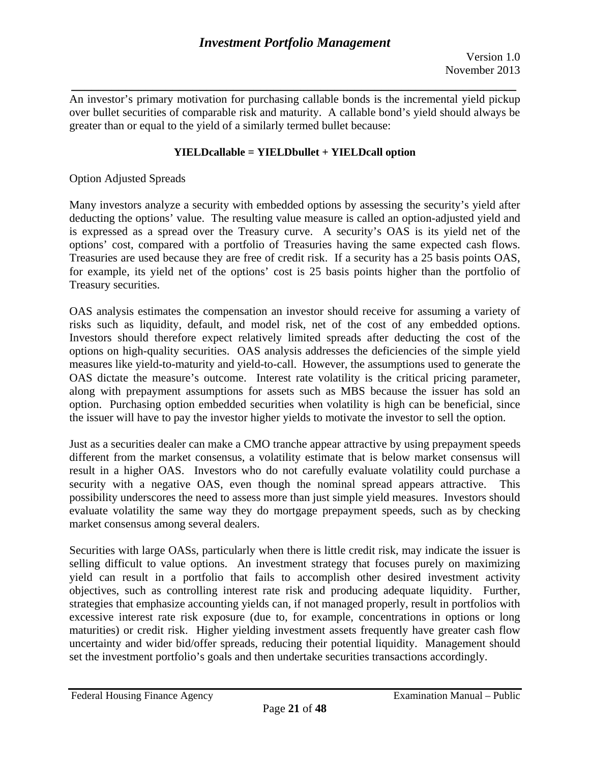*\_\_\_\_\_\_\_\_\_\_\_\_\_\_\_\_\_\_\_\_\_\_\_\_\_\_\_\_\_\_\_\_\_\_\_\_\_\_\_\_\_\_\_\_\_\_\_\_\_\_\_\_\_\_\_\_\_\_\_\_\_\_\_\_\_\_*  An investor's primary motivation for purchasing callable bonds is the incremental yield pickup over bullet securities of comparable risk and maturity. A callable bond's yield should always be greater than or equal to the yield of a similarly termed bullet because:

## **YIELDcallable = YIELDbullet + YIELDcall option**

Option Adjusted Spreads

Many investors analyze a security with embedded options by assessing the security's yield after deducting the options' value. The resulting value measure is called an option-adjusted yield and is expressed as a spread over the Treasury curve. A security's OAS is its yield net of the options' cost, compared with a portfolio of Treasuries having the same expected cash flows. Treasuries are used because they are free of credit risk. If a security has a 25 basis points OAS, for example, its yield net of the options' cost is 25 basis points higher than the portfolio of Treasury securities.

OAS analysis estimates the compensation an investor should receive for assuming a variety of risks such as liquidity, default, and model risk, net of the cost of any embedded options. Investors should therefore expect relatively limited spreads after deducting the cost of the options on high-quality securities. OAS analysis addresses the deficiencies of the simple yield measures like yield-to-maturity and yield-to-call. However, the assumptions used to generate the OAS dictate the measure's outcome. Interest rate volatility is the critical pricing parameter, along with prepayment assumptions for assets such as MBS because the issuer has sold an option. Purchasing option embedded securities when volatility is high can be beneficial, since the issuer will have to pay the investor higher yields to motivate the investor to sell the option.

Just as a securities dealer can make a CMO tranche appear attractive by using prepayment speeds different from the market consensus, a volatility estimate that is below market consensus will result in a higher OAS. Investors who do not carefully evaluate volatility could purchase a security with a negative OAS, even though the nominal spread appears attractive. This possibility underscores the need to assess more than just simple yield measures. Investors should evaluate volatility the same way they do mortgage prepayment speeds, such as by checking market consensus among several dealers.

Securities with large OASs, particularly when there is little credit risk, may indicate the issuer is selling difficult to value options. An investment strategy that focuses purely on maximizing yield can result in a portfolio that fails to accomplish other desired investment activity objectives, such as controlling interest rate risk and producing adequate liquidity. Further, strategies that emphasize accounting yields can, if not managed properly, result in portfolios with excessive interest rate risk exposure (due to, for example, concentrations in options or long maturities) or credit risk. Higher yielding investment assets frequently have greater cash flow uncertainty and wider bid/offer spreads, reducing their potential liquidity. Management should set the investment portfolio's goals and then undertake securities transactions accordingly.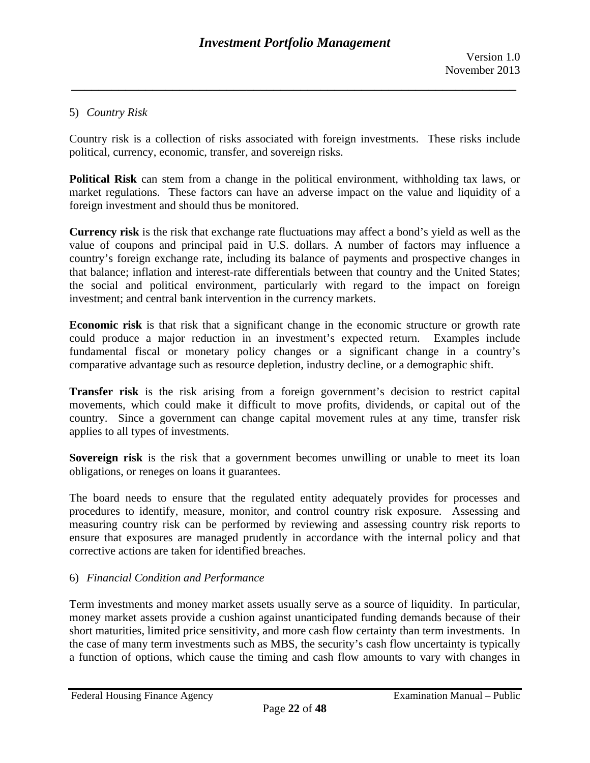## 5) *Country Risk*

Country risk is a collection of risks associated with foreign investments. These risks include political, currency, economic, transfer, and sovereign risks.

**Political Risk** can stem from a change in the political environment, withholding tax laws, or market regulations. These factors can have an adverse impact on the value and liquidity of a foreign investment and should thus be monitored.

**Currency risk** is the risk that exchange rate fluctuations may affect a bond's yield as well as the value of coupons and principal paid in U.S. dollars. A number of factors may influence a country's foreign exchange rate, including its balance of payments and prospective changes in that balance; inflation and interest-rate differentials between that country and the United States; the social and political environment, particularly with regard to the impact on foreign investment; and central bank intervention in the currency markets.

**Economic risk** is that risk that a significant change in the economic structure or growth rate could produce a major reduction in an investment's expected return. Examples include fundamental fiscal or monetary policy changes or a significant change in a country's comparative advantage such as resource depletion, industry decline, or a demographic shift.

**Transfer risk** is the risk arising from a foreign government's decision to restrict capital movements, which could make it difficult to move profits, dividends, or capital out of the country. Since a government can change capital movement rules at any time, transfer risk applies to all types of investments.

**Sovereign risk** is the risk that a government becomes unwilling or unable to meet its loan obligations, or reneges on loans it guarantees.

 corrective actions are taken for identified breaches. 6) *Financial Condition and Performance*  The board needs to ensure that the regulated entity adequately provides for processes and procedures to identify, measure, monitor, and control country risk exposure. Assessing and measuring country risk can be performed by reviewing and assessing country risk reports to ensure that exposures are managed prudently in accordance with the internal policy and that

Term investments and money market assets usually serve as a source of liquidity. In particular, money market assets provide a cushion against unanticipated funding demands because of their short maturities, limited price sensitivity, and more cash flow certainty than term investments. In the case of many term investments such as MBS, the security's cash flow uncertainty is typically a function of options, which cause the timing and cash flow amounts to vary with changes in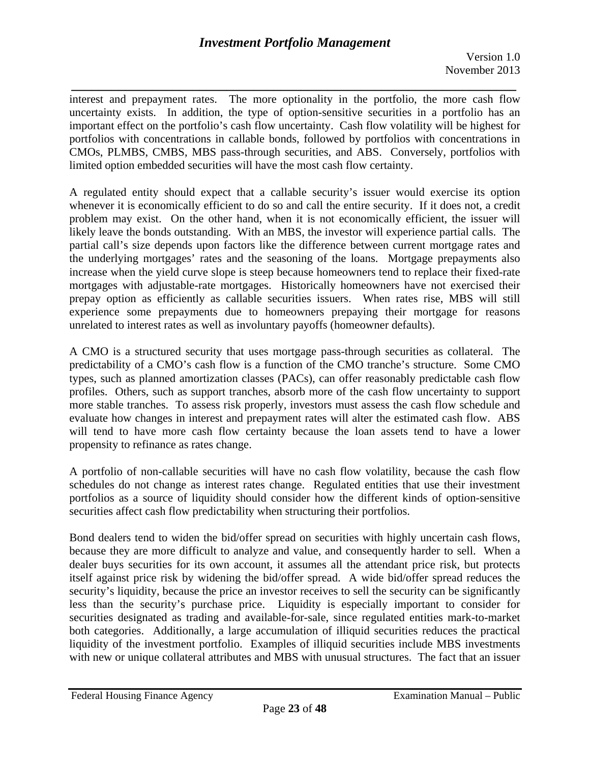*\_\_\_\_\_\_\_\_\_\_\_\_\_\_\_\_\_\_\_\_\_\_\_\_\_\_\_\_\_\_\_\_\_\_\_\_\_\_\_\_\_\_\_\_\_\_\_\_\_\_\_\_\_\_\_\_\_\_\_\_\_\_\_\_\_\_*  interest and prepayment rates. The more optionality in the portfolio, the more cash flow uncertainty exists. In addition, the type of option-sensitive securities in a portfolio has an important effect on the portfolio's cash flow uncertainty. Cash flow volatility will be highest for portfolios with concentrations in callable bonds, followed by portfolios with concentrations in CMOs, PLMBS, CMBS, MBS pass-through securities, and ABS. Conversely, portfolios with limited option embedded securities will have the most cash flow certainty.

A regulated entity should expect that a callable security's issuer would exercise its option whenever it is economically efficient to do so and call the entire security. If it does not, a credit problem may exist. On the other hand, when it is not economically efficient, the issuer will likely leave the bonds outstanding. With an MBS, the investor will experience partial calls. The partial call's size depends upon factors like the difference between current mortgage rates and the underlying mortgages' rates and the seasoning of the loans. Mortgage prepayments also increase when the yield curve slope is steep because homeowners tend to replace their fixed-rate mortgages with adjustable-rate mortgages. Historically homeowners have not exercised their prepay option as efficiently as callable securities issuers. When rates rise, MBS will still experience some prepayments due to homeowners prepaying their mortgage for reasons unrelated to interest rates as well as involuntary payoffs (homeowner defaults).

A CMO is a structured security that uses mortgage pass-through securities as collateral. The predictability of a CMO's cash flow is a function of the CMO tranche's structure. Some CMO types, such as planned amortization classes (PACs), can offer reasonably predictable cash flow profiles. Others, such as support tranches, absorb more of the cash flow uncertainty to support more stable tranches. To assess risk properly, investors must assess the cash flow schedule and evaluate how changes in interest and prepayment rates will alter the estimated cash flow. ABS will tend to have more cash flow certainty because the loan assets tend to have a lower propensity to refinance as rates change.

A portfolio of non-callable securities will have no cash flow volatility, because the cash flow schedules do not change as interest rates change. Regulated entities that use their investment portfolios as a source of liquidity should consider how the different kinds of option-sensitive securities affect cash flow predictability when structuring their portfolios.

Bond dealers tend to widen the bid/offer spread on securities with highly uncertain cash flows, because they are more difficult to analyze and value, and consequently harder to sell. When a dealer buys securities for its own account, it assumes all the attendant price risk, but protects itself against price risk by widening the bid/offer spread. A wide bid/offer spread reduces the security's liquidity, because the price an investor receives to sell the security can be significantly less than the security's purchase price. Liquidity is especially important to consider for securities designated as trading and available-for-sale, since regulated entities mark-to-market both categories. Additionally, a large accumulation of illiquid securities reduces the practical liquidity of the investment portfolio. Examples of illiquid securities include MBS investments with new or unique collateral attributes and MBS with unusual structures. The fact that an issuer

Federal Housing Finance Agency **Examination Manual** – Public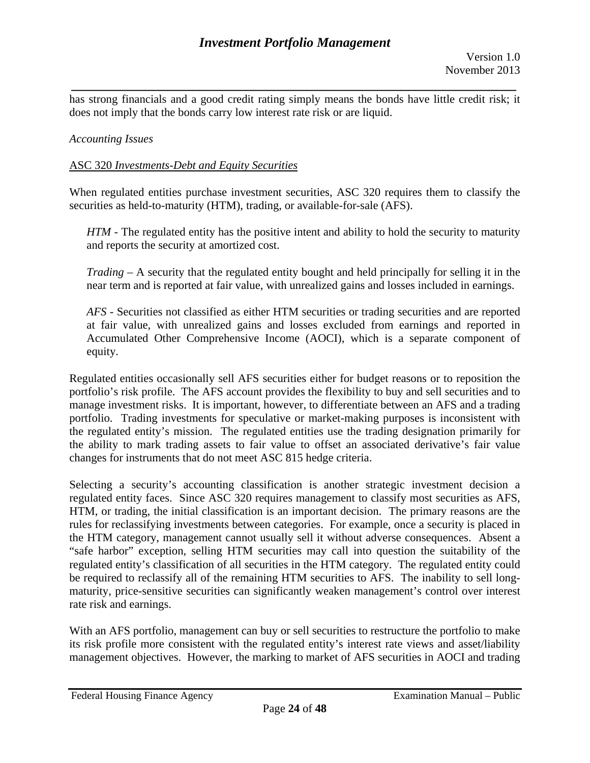*\_\_\_\_\_\_\_\_\_\_\_\_\_\_\_\_\_\_\_\_\_\_\_\_\_\_\_\_\_\_\_\_\_\_\_\_\_\_\_\_\_\_\_\_\_\_\_\_\_\_\_\_\_\_\_\_\_\_\_\_\_\_\_\_\_\_*  has strong financials and a good credit rating simply means the bonds have little credit risk; it does not imply that the bonds carry low interest rate risk or are liquid.

#### *Accounting Issues*

#### ASC 320 *Investments-Debt and Equity Securities*

When regulated entities purchase investment securities, ASC 320 requires them to classify the securities as held-to-maturity (HTM), trading, or available-for-sale (AFS).

*HTM* - The regulated entity has the positive intent and ability to hold the security to maturity and reports the security at amortized cost.

*Trading* – A security that the regulated entity bought and held principally for selling it in the near term and is reported at fair value, with unrealized gains and losses included in earnings.

*AFS* - Securities not classified as either HTM securities or trading securities and are reported at fair value, with unrealized gains and losses excluded from earnings and reported in Accumulated Other Comprehensive Income (AOCI), which is a separate component of equity.

Regulated entities occasionally sell AFS securities either for budget reasons or to reposition the portfolio's risk profile. The AFS account provides the flexibility to buy and sell securities and to manage investment risks. It is important, however, to differentiate between an AFS and a trading portfolio. Trading investments for speculative or market-making purposes is inconsistent with the regulated entity's mission. The regulated entities use the trading designation primarily for the ability to mark trading assets to fair value to offset an associated derivative's fair value changes for instruments that do not meet ASC 815 hedge criteria.

Selecting a security's accounting classification is another strategic investment decision a regulated entity faces. Since ASC 320 requires management to classify most securities as AFS, HTM, or trading, the initial classification is an important decision. The primary reasons are the rules for reclassifying investments between categories. For example, once a security is placed in the HTM category, management cannot usually sell it without adverse consequences. Absent a "safe harbor" exception, selling HTM securities may call into question the suitability of the regulated entity's classification of all securities in the HTM category. The regulated entity could be required to reclassify all of the remaining HTM securities to AFS. The inability to sell longmaturity, price-sensitive securities can significantly weaken management's control over interest rate risk and earnings.

With an AFS portfolio, management can buy or sell securities to restructure the portfolio to make its risk profile more consistent with the regulated entity's interest rate views and asset/liability management objectives. However, the marking to market of AFS securities in AOCI and trading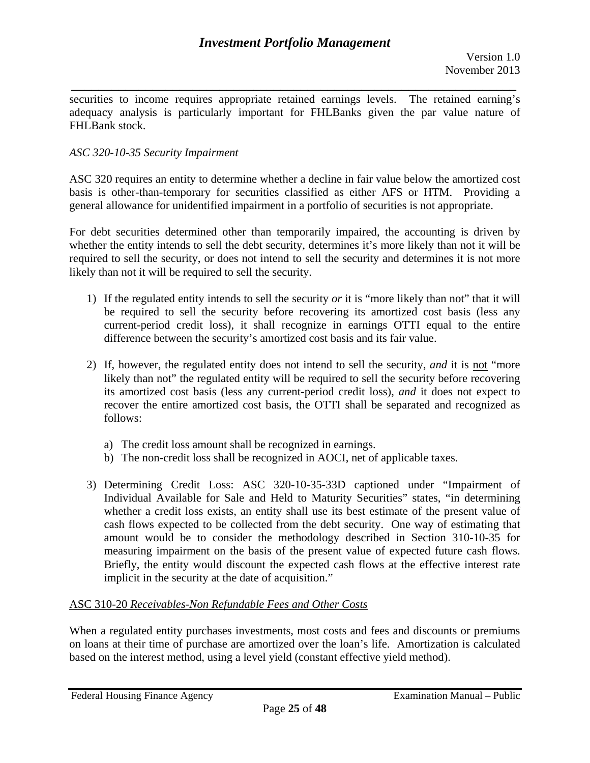*\_\_\_\_\_\_\_\_\_\_\_\_\_\_\_\_\_\_\_\_\_\_\_\_\_\_\_\_\_\_\_\_\_\_\_\_\_\_\_\_\_\_\_\_\_\_\_\_\_\_\_\_\_\_\_\_\_\_\_\_\_\_\_\_\_\_*  securities to income requires appropriate retained earnings levels. The retained earning's adequacy analysis is particularly important for FHLBanks given the par value nature of FHLBank stock.

## *ASC 320-10-35 Security Impairment*

ASC 320 requires an entity to determine whether a decline in fair value below the amortized cost basis is other-than-temporary for securities classified as either AFS or HTM. Providing a general allowance for unidentified impairment in a portfolio of securities is not appropriate.

For debt securities determined other than temporarily impaired, the accounting is driven by whether the entity intends to sell the debt security, determines it's more likely than not it will be required to sell the security, or does not intend to sell the security and determines it is not more likely than not it will be required to sell the security.

- 1) If the regulated entity intends to sell the security *or* it is "more likely than not" that it will be required to sell the security before recovering its amortized cost basis (less any current-period credit loss), it shall recognize in earnings OTTI equal to the entire difference between the security's amortized cost basis and its fair value.
- 2) If, however, the regulated entity does not intend to sell the security, *and* it is not "more likely than not" the regulated entity will be required to sell the security before recovering its amortized cost basis (less any current-period credit loss), *and* it does not expect to recover the entire amortized cost basis, the OTTI shall be separated and recognized as follows:
	- a) The credit loss amount shall be recognized in earnings.
	- b) The non-credit loss shall be recognized in AOCI, net of applicable taxes.
- implicit in the security at the date of acquisition." 3) Determining Credit Loss: ASC 320-10-35-33D captioned under "Impairment of Individual Available for Sale and Held to Maturity Securities" states, "in determining whether a credit loss exists, an entity shall use its best estimate of the present value of cash flows expected to be collected from the debt security. One way of estimating that amount would be to consider the methodology described in Section 310-10-35 for measuring impairment on the basis of the present value of expected future cash flows. Briefly, the entity would discount the expected cash flows at the effective interest rate

## ASC 310-20 Receivables-Non Refundable Fees and Other Costs

When a regulated entity purchases investments, most costs and fees and discounts or premiums on loans at their time of purchase are amortized over the loan's life. Amortization is calculated based on the interest method, using a level yield (constant effective yield method).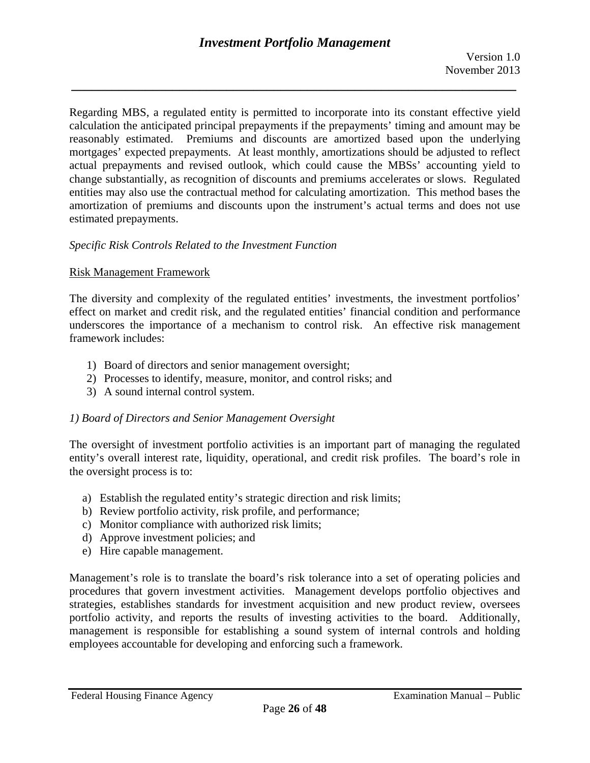Regarding MBS, a regulated entity is permitted to incorporate into its constant effective yield calculation the anticipated principal prepayments if the prepayments' timing and amount may be reasonably estimated. Premiums and discounts are amortized based upon the underlying mortgages' expected prepayments. At least monthly, amortizations should be adjusted to reflect actual prepayments and revised outlook, which could cause the MBSs' accounting yield to change substantially, as recognition of discounts and premiums accelerates or slows. Regulated entities may also use the contractual method for calculating amortization. This method bases the amortization of premiums and discounts upon the instrument's actual terms and does not use estimated prepayments.

## *Specific Risk Controls Related to the Investment Function*

## Risk Management Framework

The diversity and complexity of the regulated entities' investments, the investment portfolios' effect on market and credit risk, and the regulated entities' financial condition and performance underscores the importance of a mechanism to control risk. An effective risk management framework includes:

- 1) Board of directors and senior management oversight;
- 2) Processes to identify, measure, monitor, and control risks; and
- 3) A sound internal control system.

## *1) Board of Directors and Senior Management Oversight*

The oversight of investment portfolio activities is an important part of managing the regulated entity's overall interest rate, liquidity, operational, and credit risk profiles. The board's role in the oversight process is to:

- a) Establish the regulated entity's strategic direction and risk limits;
- b) Review portfolio activity, risk profile, and performance;
- c) Monitor compliance with authorized risk limits;
- d) Approve investment policies; and
- e) Hire capable management.

Management's role is to translate the board's risk tolerance into a set of operating policies and procedures that govern investment activities. Management develops portfolio objectives and strategies, establishes standards for investment acquisition and new product review, oversees portfolio activity, and reports the results of investing activities to the board. Additionally, management is responsible for establishing a sound system of internal controls and holding employees accountable for developing and enforcing such a framework.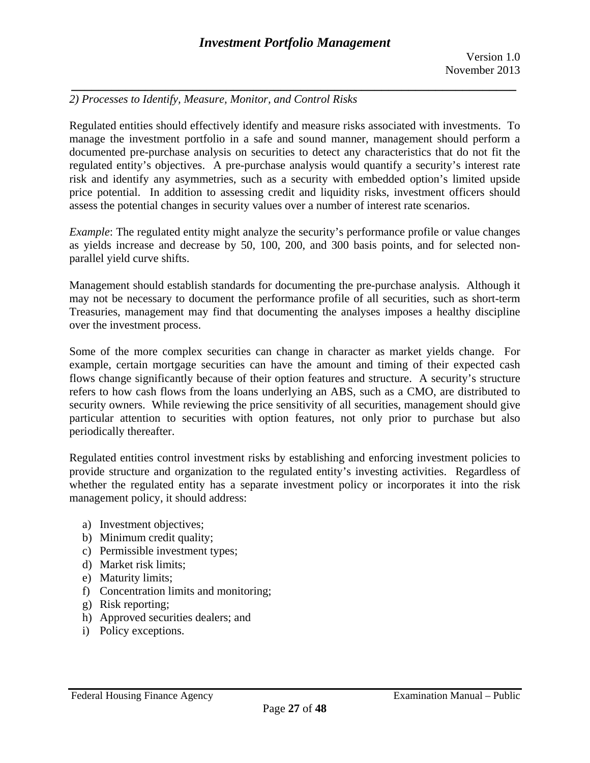# *2) Processes to Identify, Measure, Monitor, and Control Risks*

Regulated entities should effectively identify and measure risks associated with investments. To manage the investment portfolio in a safe and sound manner, management should perform a documented pre-purchase analysis on securities to detect any characteristics that do not fit the regulated entity's objectives. A pre-purchase analysis would quantify a security's interest rate risk and identify any asymmetries, such as a security with embedded option's limited upside price potential. In addition to assessing credit and liquidity risks, investment officers should assess the potential changes in security values over a number of interest rate scenarios.

*Example*: The regulated entity might analyze the security's performance profile or value changes as yields increase and decrease by 50, 100, 200, and 300 basis points, and for selected nonparallel yield curve shifts.

Management should establish standards for documenting the pre-purchase analysis. Although it may not be necessary to document the performance profile of all securities, such as short-term Treasuries, management may find that documenting the analyses imposes a healthy discipline over the investment process.

Some of the more complex securities can change in character as market yields change. For example, certain mortgage securities can have the amount and timing of their expected cash flows change significantly because of their option features and structure. A security's structure refers to how cash flows from the loans underlying an ABS, such as a CMO, are distributed to security owners. While reviewing the price sensitivity of all securities, management should give particular attention to securities with option features, not only prior to purchase but also periodically thereafter.

Regulated entities control investment risks by establishing and enforcing investment policies to provide structure and organization to the regulated entity's investing activities. Regardless of whether the regulated entity has a separate investment policy or incorporates it into the risk management policy, it should address:

- a) Investment objectives;
- b) Minimum credit quality;
- c) Permissible investment types;
- d) Market risk limits;
- e) Maturity limits;
- f) Concentration limits and monitoring;
- g) Risk reporting;
- h) Approved securities dealers; and
- i) Policy exceptions.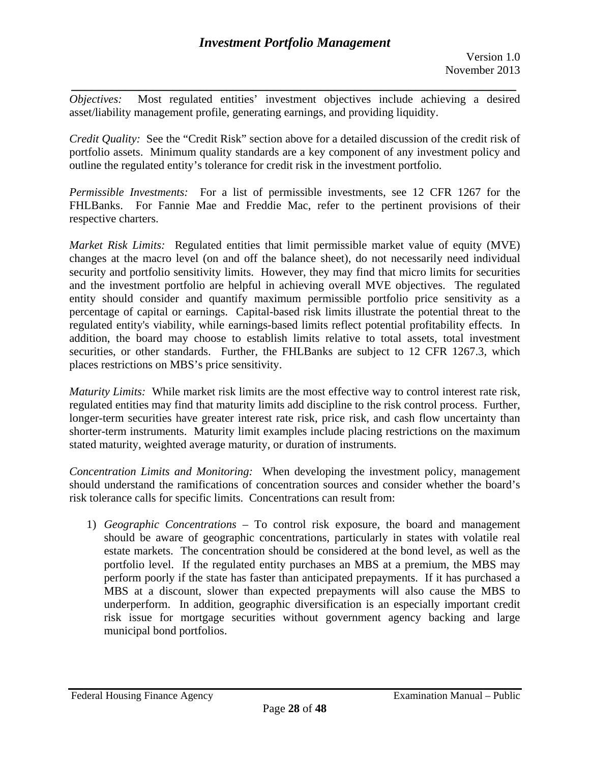*\_\_\_\_\_\_\_\_\_\_\_\_\_\_\_\_\_\_\_\_\_\_\_\_\_\_\_\_\_\_\_\_\_\_\_\_\_\_\_\_\_\_\_\_\_\_\_\_\_\_\_\_\_\_\_\_\_\_\_\_\_\_\_\_\_\_ Objectives:* Most regulated entities' investment objectives include achieving a desired asset/liability management profile, generating earnings, and providing liquidity.

*Credit Quality:* See the "Credit Risk" section above for a detailed discussion of the credit risk of portfolio assets. Minimum quality standards are a key component of any investment policy and outline the regulated entity's tolerance for credit risk in the investment portfolio.

*Permissible Investments:* For a list of permissible investments, see 12 CFR 1267 for the FHLBanks. For Fannie Mae and Freddie Mac, refer to the pertinent provisions of their respective charters.

*Market Risk Limits:* Regulated entities that limit permissible market value of equity (MVE) changes at the macro level (on and off the balance sheet), do not necessarily need individual security and portfolio sensitivity limits. However, they may find that micro limits for securities and the investment portfolio are helpful in achieving overall MVE objectives. The regulated entity should consider and quantify maximum permissible portfolio price sensitivity as a percentage of capital or earnings. Capital-based risk limits illustrate the potential threat to the regulated entity's viability, while earnings-based limits reflect potential profitability effects. In addition, the board may choose to establish limits relative to total assets, total investment securities, or other standards. Further, the FHLBanks are subject to 12 CFR 1267.3, which places restrictions on MBS's price sensitivity.

*Maturity Limits:* While market risk limits are the most effective way to control interest rate risk, regulated entities may find that maturity limits add discipline to the risk control process. Further, longer-term securities have greater interest rate risk, price risk, and cash flow uncertainty than shorter-term instruments. Maturity limit examples include placing restrictions on the maximum stated maturity, weighted average maturity, or duration of instruments.

*Concentration Limits and Monitoring:* When developing the investment policy, management should understand the ramifications of concentration sources and consider whether the board's risk tolerance calls for specific limits. Concentrations can result from:

1) *Geographic Concentrations* – To control risk exposure, the board and management should be aware of geographic concentrations, particularly in states with volatile real estate markets. The concentration should be considered at the bond level, as well as the portfolio level. If the regulated entity purchases an MBS at a premium, the MBS may perform poorly if the state has faster than anticipated prepayments. If it has purchased a MBS at a discount, slower than expected prepayments will also cause the MBS to underperform. In addition, geographic diversification is an especially important credit risk issue for mortgage securities without government agency backing and large municipal bond portfolios.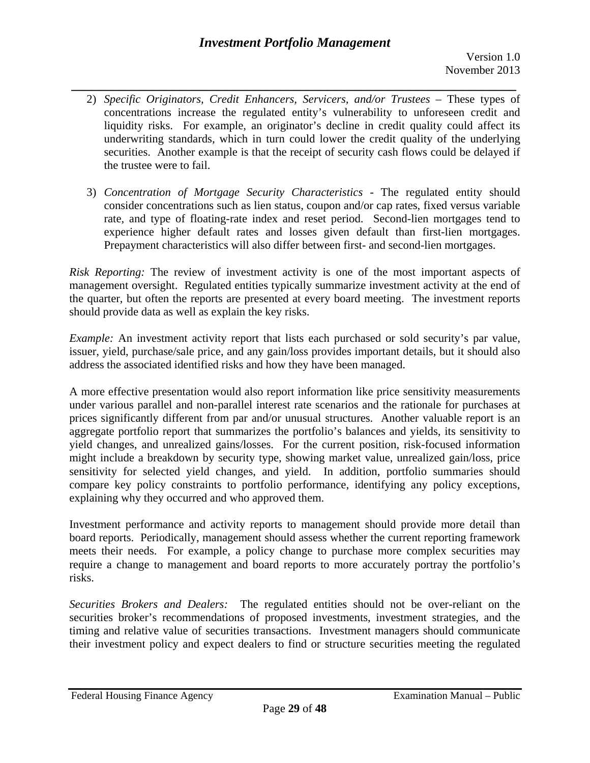# *Investment Portfolio Management*

- *\_\_\_\_\_\_\_\_\_\_\_\_\_\_\_\_\_\_\_\_\_\_\_\_\_\_\_\_\_\_\_\_\_\_\_\_\_\_\_\_\_\_\_\_\_\_\_\_\_\_\_\_\_\_\_\_\_\_\_\_\_\_\_\_\_\_*  2) *Specific Originators, Credit Enhancers, Servicers, and/or Trustees* – These types of concentrations increase the regulated entity's vulnerability to unforeseen credit and liquidity risks. For example, an originator's decline in credit quality could affect its underwriting standards, which in turn could lower the credit quality of the underlying securities. Another example is that the receipt of security cash flows could be delayed if the trustee were to fail.
	- 3) *Concentration of Mortgage Security Characteristics* The regulated entity should consider concentrations such as lien status, coupon and/or cap rates, fixed versus variable rate, and type of floating-rate index and reset period. Second-lien mortgages tend to experience higher default rates and losses given default than first-lien mortgages. Prepayment characteristics will also differ between first- and second-lien mortgages.

*Risk Reporting:* The review of investment activity is one of the most important aspects of management oversight. Regulated entities typically summarize investment activity at the end of the quarter, but often the reports are presented at every board meeting. The investment reports should provide data as well as explain the key risks.

*Example:* An investment activity report that lists each purchased or sold security's par value, issuer, yield, purchase/sale price, and any gain/loss provides important details, but it should also address the associated identified risks and how they have been managed.

A more effective presentation would also report information like price sensitivity measurements under various parallel and non-parallel interest rate scenarios and the rationale for purchases at prices significantly different from par and/or unusual structures. Another valuable report is an aggregate portfolio report that summarizes the portfolio's balances and yields, its sensitivity to yield changes, and unrealized gains/losses. For the current position, risk-focused information might include a breakdown by security type, showing market value, unrealized gain/loss, price sensitivity for selected yield changes, and yield. In addition, portfolio summaries should compare key policy constraints to portfolio performance, identifying any policy exceptions, explaining why they occurred and who approved them.

Investment performance and activity reports to management should provide more detail than board reports. Periodically, management should assess whether the current reporting framework meets their needs. For example, a policy change to purchase more complex securities may require a change to management and board reports to more accurately portray the portfolio's risks.

*Securities Brokers and Dealers:* The regulated entities should not be over-reliant on the securities broker's recommendations of proposed investments, investment strategies, and the timing and relative value of securities transactions. Investment managers should communicate their investment policy and expect dealers to find or structure securities meeting the regulated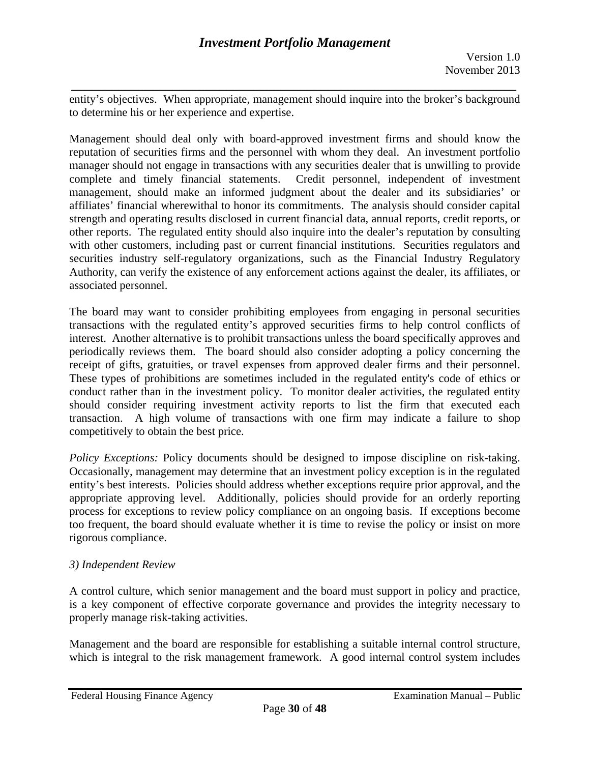*\_\_\_\_\_\_\_\_\_\_\_\_\_\_\_\_\_\_\_\_\_\_\_\_\_\_\_\_\_\_\_\_\_\_\_\_\_\_\_\_\_\_\_\_\_\_\_\_\_\_\_\_\_\_\_\_\_\_\_\_\_\_\_\_\_\_*  entity's objectives. When appropriate, management should inquire into the broker's background to determine his or her experience and expertise.

Management should deal only with board-approved investment firms and should know the reputation of securities firms and the personnel with whom they deal. An investment portfolio manager should not engage in transactions with any securities dealer that is unwilling to provide complete and timely financial statements. Credit personnel, independent of investment management, should make an informed judgment about the dealer and its subsidiaries' or affiliates' financial wherewithal to honor its commitments. The analysis should consider capital strength and operating results disclosed in current financial data, annual reports, credit reports, or other reports. The regulated entity should also inquire into the dealer's reputation by consulting with other customers, including past or current financial institutions. Securities regulators and securities industry self-regulatory organizations, such as the Financial Industry Regulatory Authority, can verify the existence of any enforcement actions against the dealer, its affiliates, or associated personnel.

The board may want to consider prohibiting employees from engaging in personal securities transactions with the regulated entity's approved securities firms to help control conflicts of interest. Another alternative is to prohibit transactions unless the board specifically approves and periodically reviews them. The board should also consider adopting a policy concerning the receipt of gifts, gratuities, or travel expenses from approved dealer firms and their personnel. These types of prohibitions are sometimes included in the regulated entity's code of ethics or conduct rather than in the investment policy. To monitor dealer activities, the regulated entity should consider requiring investment activity reports to list the firm that executed each transaction. A high volume of transactions with one firm may indicate a failure to shop competitively to obtain the best price.

*Policy Exceptions:* Policy documents should be designed to impose discipline on risk-taking. Occasionally, management may determine that an investment policy exception is in the regulated entity's best interests. Policies should address whether exceptions require prior approval, and the appropriate approving level. Additionally, policies should provide for an orderly reporting process for exceptions to review policy compliance on an ongoing basis. If exceptions become too frequent, the board should evaluate whether it is time to revise the policy or insist on more rigorous compliance.

## *3) Independent Review*

A control culture, which senior management and the board must support in policy and practice, is a key component of effective corporate governance and provides the integrity necessary to properly manage risk-taking activities.

Management and the board are responsible for establishing a suitable internal control structure, which is integral to the risk management framework. A good internal control system includes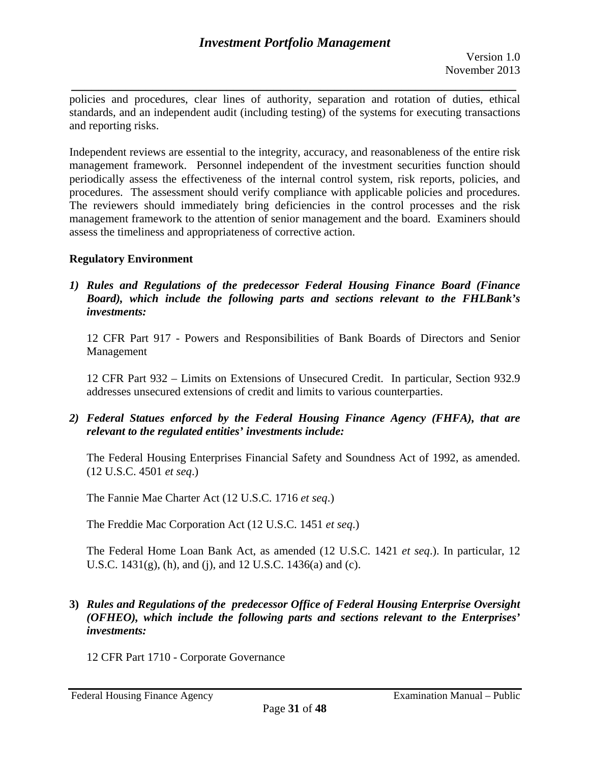*\_\_\_\_\_\_\_\_\_\_\_\_\_\_\_\_\_\_\_\_\_\_\_\_\_\_\_\_\_\_\_\_\_\_\_\_\_\_\_\_\_\_\_\_\_\_\_\_\_\_\_\_\_\_\_\_\_\_\_\_\_\_\_\_\_\_*  policies and procedures, clear lines of authority, separation and rotation of duties, ethical standards, and an independent audit (including testing) of the systems for executing transactions and reporting risks.

Independent reviews are essential to the integrity, accuracy, and reasonableness of the entire risk management framework. Personnel independent of the investment securities function should periodically assess the effectiveness of the internal control system, risk reports, policies, and procedures. The assessment should verify compliance with applicable policies and procedures. The reviewers should immediately bring deficiencies in the control processes and the risk management framework to the attention of senior management and the board. Examiners should assess the timeliness and appropriateness of corrective action.

## **Regulatory Environment**

*1) Rules and Regulations of the predecessor Federal Housing Finance Board (Finance Board), which include the following parts and sections relevant to the FHLBank's investments:* 

12 CFR Part 917 - Powers and Responsibilities of Bank Boards of Directors and Senior Management

12 CFR Part 932 – Limits on Extensions of Unsecured Credit. In particular, Section 932.9 addresses unsecured extensions of credit and limits to various counterparties.

*2) Federal Statues enforced by the Federal Housing Finance Agency (FHFA), that are relevant to the regulated entities' investments include:* 

The Federal Housing Enterprises Financial Safety and Soundness Act of 1992, as amended. (12 U.S.C. 4501 *et seq*.)

The Fannie Mae Charter Act (12 U.S.C. 1716 *et seq*.)

The Freddie Mac Corporation Act (12 U.S.C. 1451 *et seq*.)

The Federal Home Loan Bank Act, as amended (12 U.S.C. 1421 *et seq*.). In particular, 12 U.S.C.  $1431(g)$ , (h), and (j), and 12 U.S.C.  $1436(g)$  and (c).

**3)** *Rules and Regulations of the predecessor Office of Federal Housing Enterprise Oversight (OFHEO), which include the following parts and sections relevant to the Enterprises' investments:* 

12 CFR Part 1710 - Corporate Governance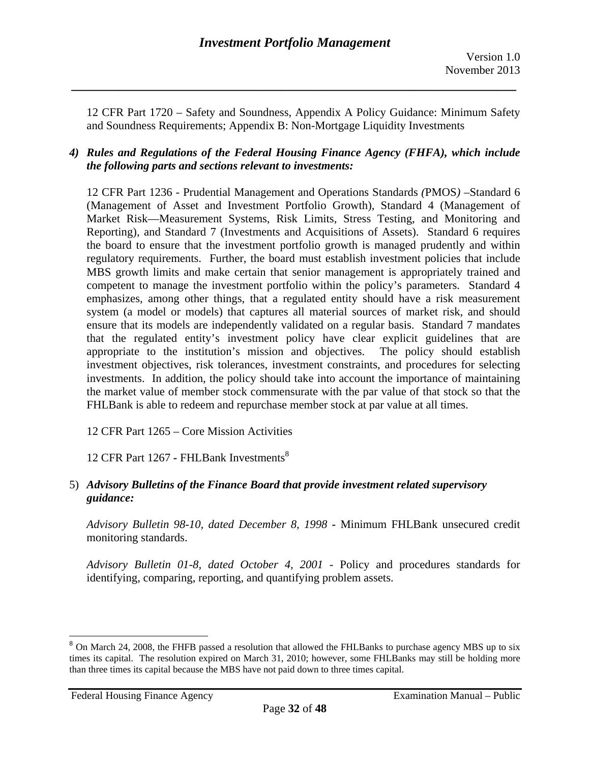12 CFR Part 1720 – Safety and Soundness, Appendix A Policy Guidance: Minimum Safety and Soundness Requirements; Appendix B: Non-Mortgage Liquidity Investments

## *4) Rules and Regulations of the Federal Housing Finance Agency (FHFA), which include the following parts and sections relevant to investments:*

12 CFR Part 1236 - Prudential Management and Operations Standards *(*PMOS*) –*Standard 6 (Management of Asset and Investment Portfolio Growth), Standard 4 (Management of Market Risk—Measurement Systems, Risk Limits, Stress Testing, and Monitoring and Reporting), and Standard 7 (Investments and Acquisitions of Assets). Standard 6 requires the board to ensure that the investment portfolio growth is managed prudently and within regulatory requirements. Further, the board must establish investment policies that include MBS growth limits and make certain that senior management is appropriately trained and competent to manage the investment portfolio within the policy's parameters. Standard 4 emphasizes, among other things, that a regulated entity should have a risk measurement system (a model or models) that captures all material sources of market risk, and should ensure that its models are independently validated on a regular basis. Standard 7 mandates that the regulated entity's investment policy have clear explicit guidelines that are appropriate to the institution's mission and objectives. The policy should establish investment objectives, risk tolerances, investment constraints, and procedures for selecting investments. In addition, the policy should take into account the importance of maintaining the market value of member stock commensurate with the par value of that stock so that the FHLBank is able to redeem and repurchase member stock at par value at all times.

12 CFR Part 1265 – Core Mission Activities

12 CFR Part 1267 - FHL Bank Investments<sup>8</sup>

## 5) *Advisory Bulletins of the Finance Board that provide investment related supervisory guidance:*

*Advisory Bulletin 98-10, dated December 8, 1998* **-** Minimum FHLBank unsecured credit monitoring standards.

*Advisory Bulletin 01-8, dated October 4, 2001 -* Policy and procedures standards for identifying, comparing, reporting, and quantifying problem assets.

 $\overline{a}$ 

 times its capital. The resolution expired on March 31, 2010; however, some FHLBanks may still be holding more <sup>8</sup> On March 24, 2008, the FHFB passed a resolution that allowed the FHLBanks to purchase agency MBS up to six than three times its capital because the MBS have not paid down to three times capital.

Federal Housing Finance Agency **Examination Manual** – Public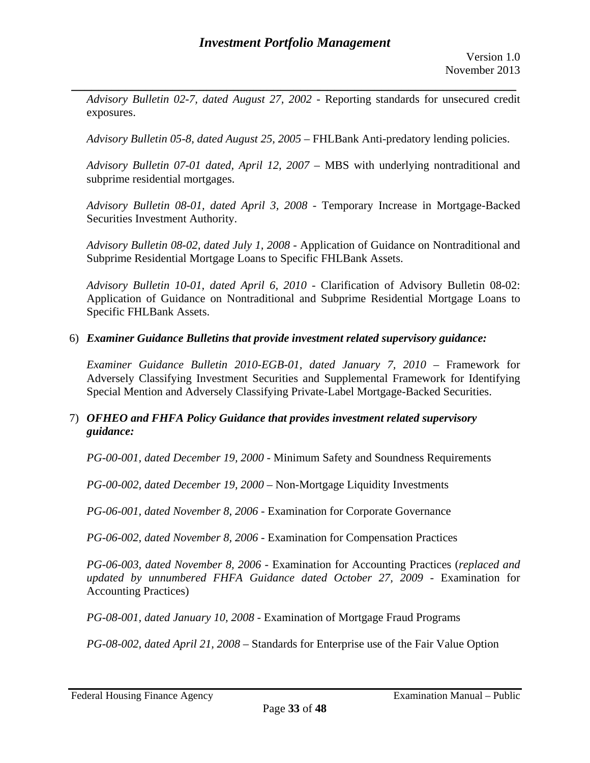*\_\_\_\_\_\_\_\_\_\_\_\_\_\_\_\_\_\_\_\_\_\_\_\_\_\_\_\_\_\_\_\_\_\_\_\_\_\_\_\_\_\_\_\_\_\_\_\_\_\_\_\_\_\_\_\_\_\_\_\_\_\_\_\_\_\_ Advisory Bulletin 02-7, dated August 27, 2002 -* Reporting standards for unsecured credit exposures.

*Advisory Bulletin 05-8, dated August 25, 2005* – FHLBank Anti-predatory lending policies.

*Advisory Bulletin 07-01 dated, April 12, 2007 –* MBS with underlying nontraditional and subprime residential mortgages.

*Advisory Bulletin 08-01, dated April 3, 2008 -* Temporary Increase in Mortgage-Backed Securities Investment Authority.

*Advisory Bulletin 08-02, dated July 1, 2008 -* Application of Guidance on Nontraditional and Subprime Residential Mortgage Loans to Specific FHLBank Assets.

*Advisory Bulletin 10-01, dated April 6, 2010 -* Clarification of Advisory Bulletin 08-02: Application of Guidance on Nontraditional and Subprime Residential Mortgage Loans to Specific FHLBank Assets.

## 6) *Examiner Guidance Bulletins that provide investment related supervisory guidance:*

*Examiner Guidance Bulletin 2010-EGB-01, dated January 7, 2010 –* Framework for Adversely Classifying Investment Securities and Supplemental Framework for Identifying Special Mention and Adversely Classifying Private-Label Mortgage-Backed Securities.

## 7) *OFHEO and FHFA Policy Guidance that provides investment related supervisory guidance:*

*PG-00-001, dated December 19, 2000 -* Minimum Safety and Soundness Requirements

*PG-00-002, dated December 19, 2000* – Non-Mortgage Liquidity Investments

*PG-06-001, dated November 8, 2006 -* Examination for Corporate Governance

*PG-06-002, dated November 8, 2006 -* Examination for Compensation Practices

*PG-06-003, dated November 8, 2006 -* Examination for Accounting Practices (*replaced and updated by unnumbered FHFA Guidance dated October 27, 2009* - Examination for Accounting Practices)

*PG-08-001, dated January 10, 2008 -* Examination of Mortgage Fraud Programs

*PG-08-002, dated April 21, 2008* – Standards for Enterprise use of the Fair Value Option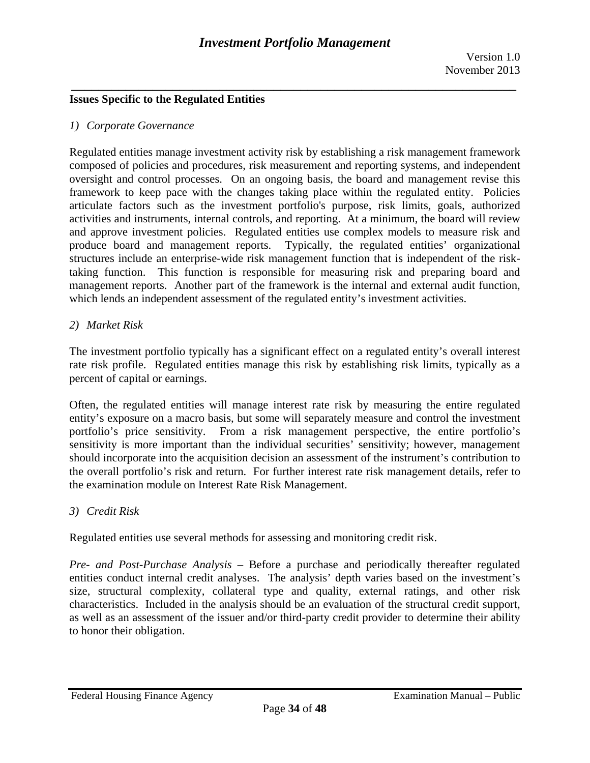## **Issues Specific to the Regulated Entities**

#### *1) Corporate Governance*

Regulated entities manage investment activity risk by establishing a risk management framework composed of policies and procedures, risk measurement and reporting systems, and independent oversight and control processes. On an ongoing basis, the board and management revise this framework to keep pace with the changes taking place within the regulated entity. Policies articulate factors such as the investment portfolio's purpose, risk limits, goals, authorized activities and instruments, internal controls, and reporting. At a minimum, the board will review and approve investment policies. Regulated entities use complex models to measure risk and produce board and management reports. Typically, the regulated entities' organizational structures include an enterprise-wide risk management function that is independent of the risktaking function. This function is responsible for measuring risk and preparing board and management reports. Another part of the framework is the internal and external audit function, which lends an independent assessment of the regulated entity's investment activities.

#### *2) Market Risk*

The investment portfolio typically has a significant effect on a regulated entity's overall interest rate risk profile. Regulated entities manage this risk by establishing risk limits, typically as a percent of capital or earnings.

Often, the regulated entities will manage interest rate risk by measuring the entire regulated entity's exposure on a macro basis, but some will separately measure and control the investment portfolio's price sensitivity. From a risk management perspective, the entire portfolio's sensitivity is more important than the individual securities' sensitivity; however, management should incorporate into the acquisition decision an assessment of the instrument's contribution to the overall portfolio's risk and return. For further interest rate risk management details, refer to the examination module on Interest Rate Risk Management.

## *3) Credit Risk*

Regulated entities use several methods for assessing and monitoring credit risk.

*Pre- and Post-Purchase Analysis* – Before a purchase and periodically thereafter regulated entities conduct internal credit analyses. The analysis' depth varies based on the investment's size, structural complexity, collateral type and quality, external ratings, and other risk characteristics. Included in the analysis should be an evaluation of the structural credit support, as well as an assessment of the issuer and/or third-party credit provider to determine their ability to honor their obligation.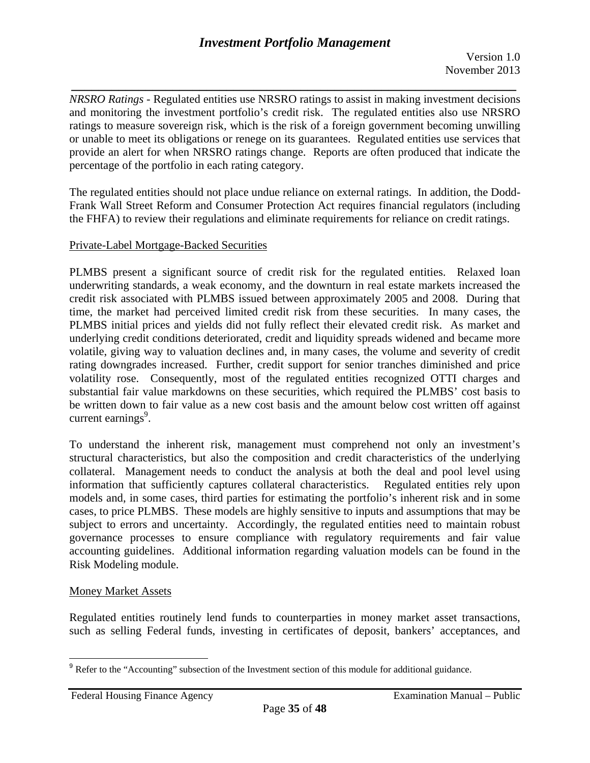*\_\_\_\_\_\_\_\_\_\_\_\_\_\_\_\_\_\_\_\_\_\_\_\_\_\_\_\_\_\_\_\_\_\_\_\_\_\_\_\_\_\_\_\_\_\_\_\_\_\_\_\_\_\_\_\_\_\_\_\_\_\_\_\_\_\_*  percentage of the portfolio in each rating category. *NRSRO Ratings* - Regulated entities use NRSRO ratings to assist in making investment decisions and monitoring the investment portfolio's credit risk. The regulated entities also use NRSRO ratings to measure sovereign risk, which is the risk of a foreign government becoming unwilling or unable to meet its obligations or renege on its guarantees. Regulated entities use services that provide an alert for when NRSRO ratings change. Reports are often produced that indicate the

The regulated entities should not place undue reliance on external ratings. In addition, the Dodd-Frank Wall Street Reform and Consumer Protection Act requires financial regulators (including the FHFA) to review their regulations and eliminate requirements for reliance on credit ratings.

#### Private-Label Mortgage-Backed Securities

PLMBS present a significant source of credit risk for the regulated entities. Relaxed loan underwriting standards, a weak economy, and the downturn in real estate markets increased the credit risk associated with PLMBS issued between approximately 2005 and 2008. During that time, the market had perceived limited credit risk from these securities. In many cases, the PLMBS initial prices and yields did not fully reflect their elevated credit risk. As market and underlying credit conditions deteriorated, credit and liquidity spreads widened and became more volatile, giving way to valuation declines and, in many cases, the volume and severity of credit rating downgrades increased. Further, credit support for senior tranches diminished and price volatility rose. Consequently, most of the regulated entities recognized OTTI charges and substantial fair value markdowns on these securities, which required the PLMBS' cost basis to be written down to fair value as a new cost basis and the amount below cost written off against current earnings<sup>9</sup>.

To understand the inherent risk, management must comprehend not only an investment's structural characteristics, but also the composition and credit characteristics of the underlying collateral. Management needs to conduct the analysis at both the deal and pool level using information that sufficiently captures collateral characteristics. Regulated entities rely upon models and, in some cases, third parties for estimating the portfolio's inherent risk and in some cases, to price PLMBS. These models are highly sensitive to inputs and assumptions that may be subject to errors and uncertainty. Accordingly, the regulated entities need to maintain robust governance processes to ensure compliance with regulatory requirements and fair value accounting guidelines. Additional information regarding valuation models can be found in the Risk Modeling module.

#### Money Market Assets

 $\overline{a}$ 

Regulated entities routinely lend funds to counterparties in money market asset transactions, such as selling Federal funds, investing in certificates of deposit, bankers' acceptances, and

<sup>&</sup>lt;sup>9</sup> Refer to the "Accounting" subsection of the Investment section of this module for additional guidance.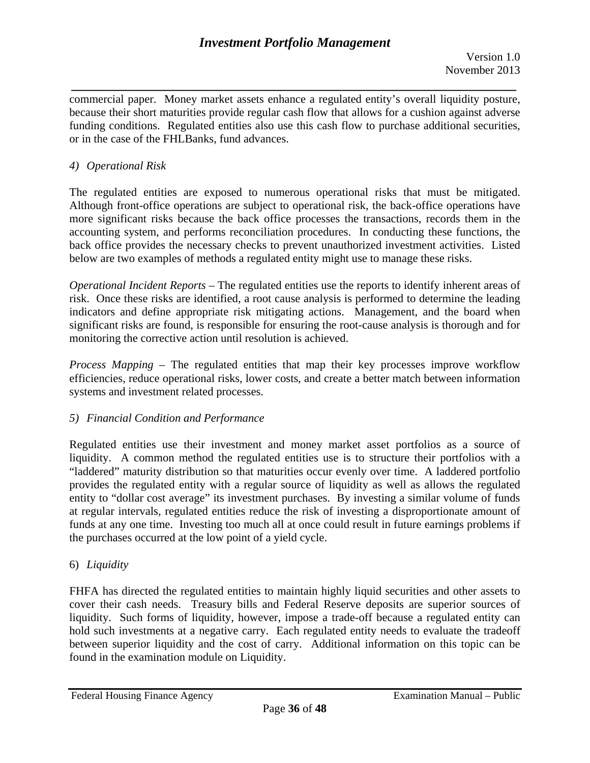*\_\_\_\_\_\_\_\_\_\_\_\_\_\_\_\_\_\_\_\_\_\_\_\_\_\_\_\_\_\_\_\_\_\_\_\_\_\_\_\_\_\_\_\_\_\_\_\_\_\_\_\_\_\_\_\_\_\_\_\_\_\_\_\_\_\_*  commercial paper. Money market assets enhance a regulated entity's overall liquidity posture, because their short maturities provide regular cash flow that allows for a cushion against adverse funding conditions. Regulated entities also use this cash flow to purchase additional securities, or in the case of the FHLBanks, fund advances.

## *4) Operational Risk*

The regulated entities are exposed to numerous operational risks that must be mitigated. Although front-office operations are subject to operational risk, the back-office operations have more significant risks because the back office processes the transactions, records them in the accounting system, and performs reconciliation procedures. In conducting these functions, the back office provides the necessary checks to prevent unauthorized investment activities. Listed below are two examples of methods a regulated entity might use to manage these risks.

*Operational Incident Reports* – The regulated entities use the reports to identify inherent areas of risk. Once these risks are identified, a root cause analysis is performed to determine the leading indicators and define appropriate risk mitigating actions. Management, and the board when significant risks are found, is responsible for ensuring the root-cause analysis is thorough and for monitoring the corrective action until resolution is achieved.

*Process Mapping* – The regulated entities that map their key processes improve workflow efficiencies, reduce operational risks, lower costs, and create a better match between information systems and investment related processes.

## *5) Financial Condition and Performance*

Regulated entities use their investment and money market asset portfolios as a source of liquidity. A common method the regulated entities use is to structure their portfolios with a "laddered" maturity distribution so that maturities occur evenly over time. A laddered portfolio provides the regulated entity with a regular source of liquidity as well as allows the regulated entity to "dollar cost average" its investment purchases. By investing a similar volume of funds at regular intervals, regulated entities reduce the risk of investing a disproportionate amount of funds at any one time. Investing too much all at once could result in future earnings problems if the purchases occurred at the low point of a yield cycle.

# 6) *Liquidity*

FHFA has directed the regulated entities to maintain highly liquid securities and other assets to cover their cash needs. Treasury bills and Federal Reserve deposits are superior sources of liquidity. Such forms of liquidity, however, impose a trade-off because a regulated entity can hold such investments at a negative carry. Each regulated entity needs to evaluate the tradeoff between superior liquidity and the cost of carry. Additional information on this topic can be found in the examination module on Liquidity.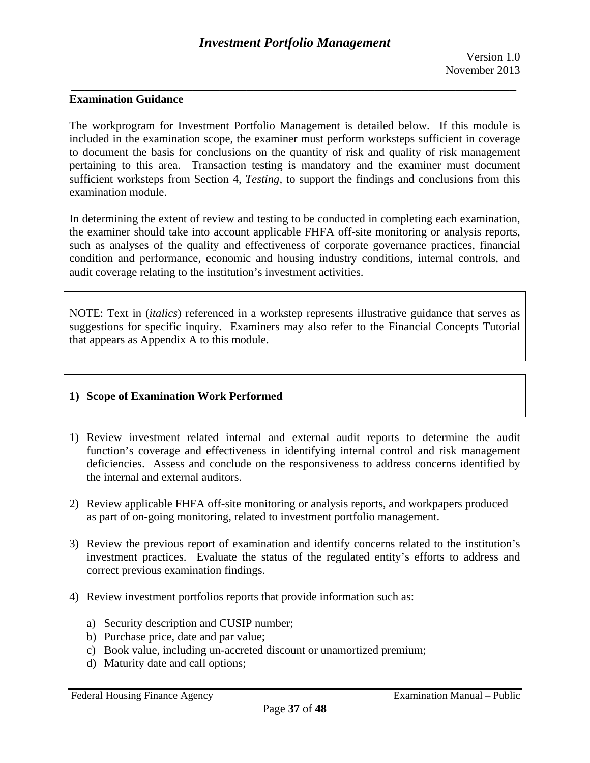### **Examination Guidance**

The workprogram for Investment Portfolio Management is detailed below. If this module is included in the examination scope, the examiner must perform worksteps sufficient in coverage to document the basis for conclusions on the quantity of risk and quality of risk management pertaining to this area. Transaction testing is mandatory and the examiner must document sufficient worksteps from Section 4, *Testing,* to support the findings and conclusions from this examination module.

In determining the extent of review and testing to be conducted in completing each examination, the examiner should take into account applicable FHFA off-site monitoring or analysis reports, such as analyses of the quality and effectiveness of corporate governance practices, financial condition and performance, economic and housing industry conditions, internal controls, and audit coverage relating to the institution's investment activities.

NOTE: Text in (*italics*) referenced in a workstep represents illustrative guidance that serves as suggestions for specific inquiry. Examiners may also refer to the Financial Concepts Tutorial that appears as Appendix A to this module.

### **1) Scope of Examination Work Performed**

- 1) Review investment related internal and external audit reports to determine the audit function's coverage and effectiveness in identifying internal control and risk management deficiencies. Assess and conclude on the responsiveness to address concerns identified by the internal and external auditors.
- 2) Review applicable FHFA off-site monitoring or analysis reports, and workpapers produced as part of on-going monitoring, related to investment portfolio management.
- 3) Review the previous report of examination and identify concerns related to the institution's investment practices. Evaluate the status of the regulated entity's efforts to address and correct previous examination findings.
- 4) Review investment portfolios reports that provide information such as:
	- a) Security description and CUSIP number;
	- b) Purchase price, date and par value;
	- c) Book value, including un-accreted discount or unamortized premium;
	- d) Maturity date and call options;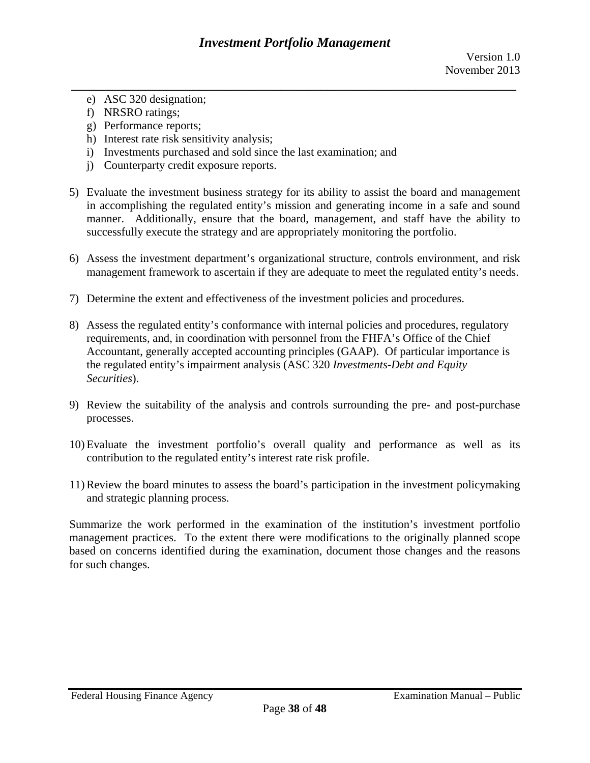- e) ASC 320 designation;
- f) NRSRO ratings;
- g) Performance reports;
- h) Interest rate risk sensitivity analysis;
- i) Investments purchased and sold since the last examination; and
- j) Counterparty credit exposure reports.
- 5) Evaluate the investment business strategy for its ability to assist the board and management in accomplishing the regulated entity's mission and generating income in a safe and sound manner. Additionally, ensure that the board, management, and staff have the ability to successfully execute the strategy and are appropriately monitoring the portfolio.
- 6) Assess the investment department's organizational structure, controls environment, and risk management framework to ascertain if they are adequate to meet the regulated entity's needs.
- 7) Determine the extent and effectiveness of the investment policies and procedures.
- 8) Assess the regulated entity's conformance with internal policies and procedures, regulatory requirements, and, in coordination with personnel from the FHFA's Office of the Chief Accountant, generally accepted accounting principles (GAAP). Of particular importance is the regulated entity's impairment analysis (ASC 320 *Investments-Debt and Equity Securities*).
- 9) Review the suitability of the analysis and controls surrounding the pre- and post-purchase processes.
- 10) Evaluate the investment portfolio's overall quality and performance as well as its contribution to the regulated entity's interest rate risk profile.
- 11) Review the board minutes to assess the board's participation in the investment policymaking and strategic planning process.

Summarize the work performed in the examination of the institution's investment portfolio management practices. To the extent there were modifications to the originally planned scope based on concerns identified during the examination, document those changes and the reasons for such changes.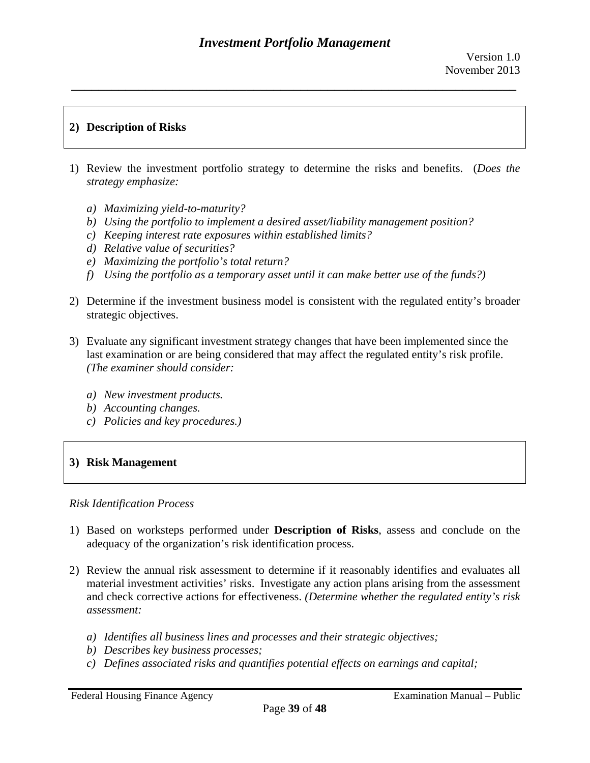## **2) Description of Risks**

- 1) Review the investment portfolio strategy to determine the risks and benefits. (*Does the strategy emphasize:* 
	- *a) Maximizing yield-to-maturity?*
	- *b) Using the portfolio to implement a desired asset/liability management position?*
	- *c) Keeping interest rate exposures within established limits?*
	- *d) Relative value of securities?*
	- *e) Maximizing the portfolio's total return?*
	- *f) Using the portfolio as a temporary asset until it can make better use of the funds?)*
- 2) Determine if the investment business model is consistent with the regulated entity's broader strategic objectives.
- 3) Evaluate any significant investment strategy changes that have been implemented since the last examination or are being considered that may affect the regulated entity's risk profile. *(The examiner should consider:* 
	- *a) New investment products.*
	- *b) Accounting changes.*
	- *c) Policies and key procedures.)*

## **3) Risk Management**

### *Risk Identification Process*

- 1) Based on worksteps performed under **Description of Risks**, assess and conclude on the adequacy of the organization's risk identification process.
- 2) Review the annual risk assessment to determine if it reasonably identifies and evaluates all material investment activities' risks. Investigate any action plans arising from the assessment and check corrective actions for effectiveness. *(Determine whether the regulated entity's risk assessment:* 
	- *a) Identifies all business lines and processes and their strategic objectives;*
	- *b) Describes key business processes;*
	- *c) Defines associated risks and quantifies potential effects on earnings and capital;*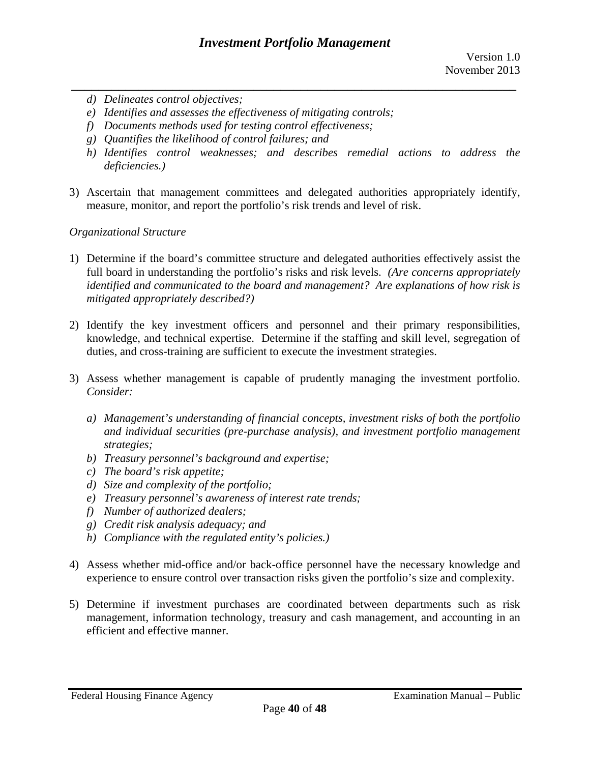- *d) Delineates control objectives;*
- *e) Identifies and assesses the effectiveness of mitigating controls;*
- *f) Documents methods used for testing control effectiveness;*
- *g) Quantifies the likelihood of control failures; and*
- *h) Identifies control weaknesses; and describes remedial actions to address the deficiencies.)*
- 3) Ascertain that management committees and delegated authorities appropriately identify, measure, monitor, and report the portfolio's risk trends and level of risk.

## *Organizational Structure*

- *mitigated appropriately described?)* 1) Determine if the board's committee structure and delegated authorities effectively assist the full board in understanding the portfolio's risks and risk levels. *(Are concerns appropriately identified and communicated to the board and management? Are explanations of how risk is*
- 2) Identify the key investment officers and personnel and their primary responsibilities, knowledge, and technical expertise. Determine if the staffing and skill level, segregation of duties, and cross-training are sufficient to execute the investment strategies.
- 3) Assess whether management is capable of prudently managing the investment portfolio. *Consider:* 
	- *a) Management's understanding of financial concepts, investment risks of both the portfolio and individual securities (pre-purchase analysis), and investment portfolio management strategies;*
	- *b) Treasury personnel's background and expertise;*
	- *c) The board's risk appetite;*
	- *d) Size and complexity of the portfolio;*
	- *e) Treasury personnel's awareness of interest rate trends;*
	- *f) Number of authorized dealers;*
	- *g) Credit risk analysis adequacy; and*
	- *h) Compliance with the regulated entity's policies.)*
- 4) Assess whether mid-office and/or back-office personnel have the necessary knowledge and experience to ensure control over transaction risks given the portfolio's size and complexity.
- 5) Determine if investment purchases are coordinated between departments such as risk management, information technology, treasury and cash management, and accounting in an efficient and effective manner.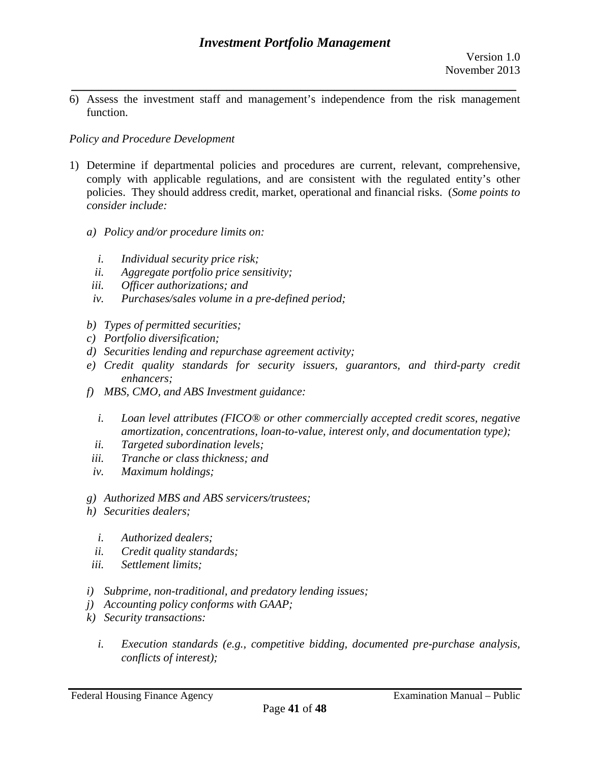*\_\_\_\_\_\_\_\_\_\_\_\_\_\_\_\_\_\_\_\_\_\_\_\_\_\_\_\_\_\_\_\_\_\_\_\_\_\_\_\_\_\_\_\_\_\_\_\_\_\_\_\_\_\_\_\_\_\_\_\_\_\_\_\_\_\_*  6) Assess the investment staff and management's independence from the risk management function.

## *Policy and Procedure Development*

- 1) Determine if departmental policies and procedures are current, relevant, comprehensive, comply with applicable regulations, and are consistent with the regulated entity's other policies. They should address credit, market, operational and financial risks. (*Some points to consider include:* 
	- *a) Policy and/or procedure limits on:* 
		- *i. Individual security price risk;*
	- *ii. Aggregate portfolio price sensitivity;*
	- *iii. Officer authorizations; and*
	- *iv. Purchases/sales volume in a pre-defined period;*
	- *b) Types of permitted securities;*
	- *c) Portfolio diversification;*
	- *d) Securities lending and repurchase agreement activity;*
	- *e) Credit quality standards for security issuers, guarantors, and third-party credit enhancers;*
	- *f) MBS, CMO, and ABS Investment guidance:* 
		- *i. Loan level attributes (FICO® or other commercially accepted credit scores, negative amortization, concentrations, loan-to-value, interest only, and documentation type);*
		- *ii. Targeted subordination levels;*
		- *iii. Tranche or class thickness; and*
		- *iv. Maximum holdings;*
	- *g) Authorized MBS and ABS servicers/trustees;*
	- *h) Securities dealers;*
		- *i. Authorized dealers;*
	- *ii. Credit quality standards;*
	- *iii. Settlement limits;*
	- *i) Subprime, non-traditional, and predatory lending issues;*
	- *j) Accounting policy conforms with GAAP;*
	- *k) Security transactions:*
		- *i. Execution standards (e.g., competitive bidding, documented pre-purchase analysis, conflicts of interest);*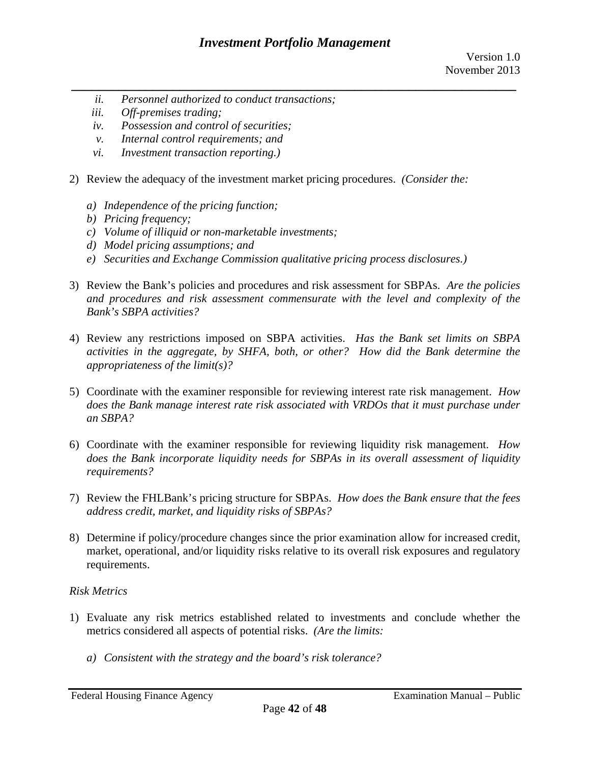- *ii. Personnel authorized to conduct transactions;*
- *iii. Off-premises trading;*
- *iv. Possession and control of securities;*
- *v. Internal control requirements; and*
- *vi. Investment transaction reporting.)*
- 2) Review the adequacy of the investment market pricing procedures. *(Consider the:* 
	- *a) Independence of the pricing function;*
	- *b) Pricing frequency;*
	- *c) Volume of illiquid or non-marketable investments;*
	- *d) Model pricing assumptions; and*
	- *e) Securities and Exchange Commission qualitative pricing process disclosures.)*
- 3) Review the Bank's policies and procedures and risk assessment for SBPAs. *Are the policies and procedures and risk assessment commensurate with the level and complexity of the Bank's SBPA activities?*
- 4) Review any restrictions imposed on SBPA activities. *Has the Bank set limits on SBPA activities in the aggregate, by SHFA, both, or other? How did the Bank determine the appropriateness of the limit(s)?*
- 5) Coordinate with the examiner responsible for reviewing interest rate risk management. *How does the Bank manage interest rate risk associated with VRDOs that it must purchase under an SBPA?*
- 6) Coordinate with the examiner responsible for reviewing liquidity risk management. *How does the Bank incorporate liquidity needs for SBPAs in its overall assessment of liquidity requirements?*
- 7) Review the FHLBank's pricing structure for SBPAs. *How does the Bank ensure that the fees address credit, market, and liquidity risks of SBPAs?*
- 8) Determine if policy/procedure changes since the prior examination allow for increased credit, market, operational, and/or liquidity risks relative to its overall risk exposures and regulatory requirements.

## *Risk Metrics*

- 1) Evaluate any risk metrics established related to investments and conclude whether the metrics considered all aspects of potential risks. *(Are the limits:* 
	- *a) Consistent with the strategy and the board's risk tolerance?*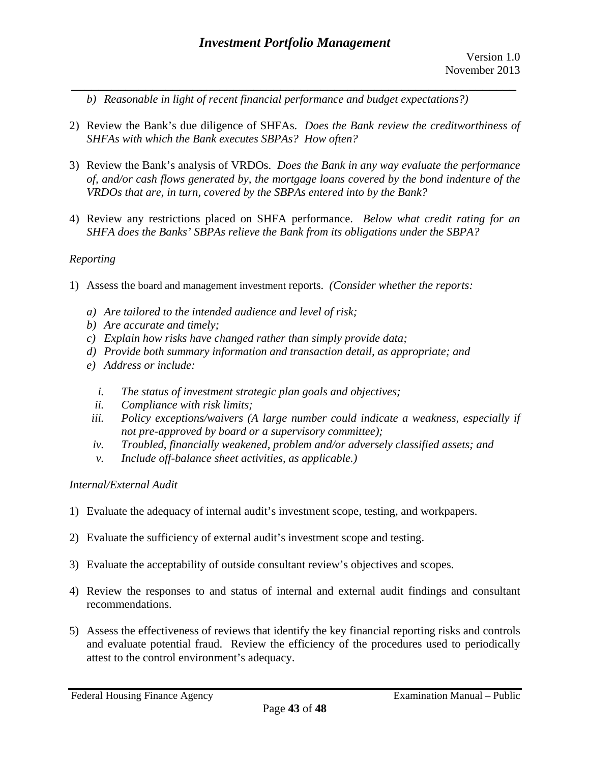*b) Reasonable in light of recent financial performance and budget expectations?)* 

2) Review the Bank's due diligence of SHFAs. *Does the Bank review the creditworthiness of SHFAs with which the Bank executes SBPAs? How often?* 

*\_\_\_\_\_\_\_\_\_\_\_\_\_\_\_\_\_\_\_\_\_\_\_\_\_\_\_\_\_\_\_\_\_\_\_\_\_\_\_\_\_\_\_\_\_\_\_\_\_\_\_\_\_\_\_\_\_\_\_\_\_\_\_\_\_\_* 

- 3) Review the Bank's analysis of VRDOs. *Does the Bank in any way evaluate the performance of, and/or cash flows generated by, the mortgage loans covered by the bond indenture of the VRDOs that are, in turn, covered by the SBPAs entered into by the Bank?*
- 4) Review any restrictions placed on SHFA performance. *Below what credit rating for an SHFA does the Banks' SBPAs relieve the Bank from its obligations under the SBPA?*

## *Reporting*

- 1) Assess the board and management investment reports. *(Consider whether the reports:* 
	- *a) Are tailored to the intended audience and level of risk;*
	- *b) Are accurate and timely;*
	- *c) Explain how risks have changed rather than simply provide data;*
	- *d) Provide both summary information and transaction detail, as appropriate; and*
	- *e) Address or include:* 
		- *i. The status of investment strategic plan goals and objectives;*
		- *ii. Compliance with risk limits;*
	- *iii. Policy exceptions/waivers (A large number could indicate a weakness, especially if not pre-approved by board or a supervisory committee);*
	- *iv. Troubled, financially weakened, problem and/or adversely classified assets; and*
	- *v. Include off-balance sheet activities, as applicable.)*

## *Internal/External Audit*

- 1) Evaluate the adequacy of internal audit's investment scope, testing, and workpapers.
- 2) Evaluate the sufficiency of external audit's investment scope and testing.
- 3) Evaluate the acceptability of outside consultant review's objectives and scopes.
- 4) Review the responses to and status of internal and external audit findings and consultant recommendations.
- 5) Assess the effectiveness of reviews that identify the key financial reporting risks and controls and evaluate potential fraud. Review the efficiency of the procedures used to periodically attest to the control environment's adequacy.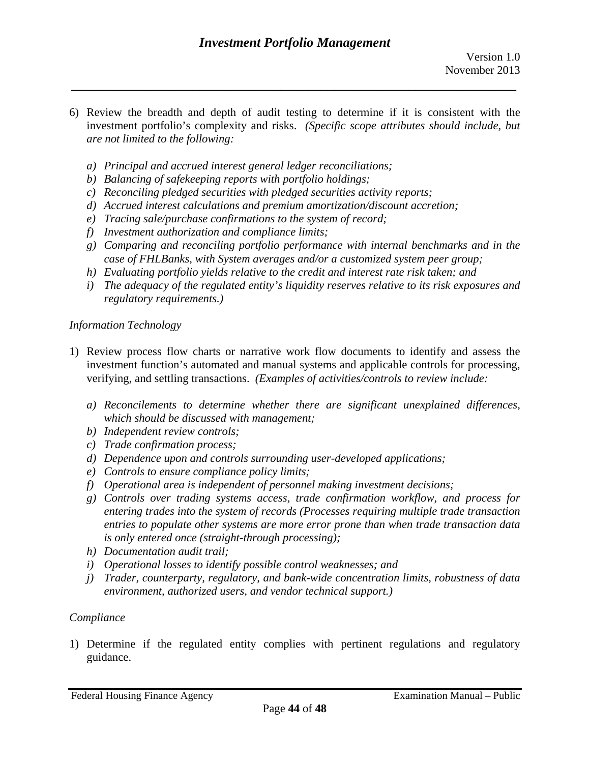investment portfolio's complexity and risks. *(Specific scope attributes should include, but*  6) Review the breadth and depth of audit testing to determine if it is consistent with the *are not limited to the following:* 

*\_\_\_\_\_\_\_\_\_\_\_\_\_\_\_\_\_\_\_\_\_\_\_\_\_\_\_\_\_\_\_\_\_\_\_\_\_\_\_\_\_\_\_\_\_\_\_\_\_\_\_\_\_\_\_\_\_\_\_\_\_\_\_\_\_\_* 

- *a) Principal and accrued interest general ledger reconciliations;*
- *b) Balancing of safekeeping reports with portfolio holdings;*
- *c) Reconciling pledged securities with pledged securities activity reports;*
- *d) Accrued interest calculations and premium amortization/discount accretion;*
- *e) Tracing sale/purchase confirmations to the system of record;*
- *f) Investment authorization and compliance limits;*
- *g) Comparing and reconciling portfolio performance with internal benchmarks and in the case of FHLBanks, with System averages and/or a customized system peer group;*
- *h) Evaluating portfolio yields relative to the credit and interest rate risk taken; and*
- *i) The adequacy of the regulated entity's liquidity reserves relative to its risk exposures and regulatory requirements.)*

## *Information Technology*

- 1) Review process flow charts or narrative work flow documents to identify and assess the investment function's automated and manual systems and applicable controls for processing, verifying, and settling transactions. *(Examples of activities/controls to review include:* 
	- *a) Reconcilements to determine whether there are significant unexplained differences, which should be discussed with management;*
	- *b) Independent review controls;*
	- *c) Trade confirmation process;*
	- *d) Dependence upon and controls surrounding user-developed applications;*
	- *e) Controls to ensure compliance policy limits;*
	- *f) Operational area is independent of personnel making investment decisions;*
	- *g) Controls over trading systems access, trade confirmation workflow, and process for entering trades into the system of records (Processes requiring multiple trade transaction entries to populate other systems are more error prone than when trade transaction data is only entered once (straight-through processing);*
	- *h) Documentation audit trail;*
	- *i) Operational losses to identify possible control weaknesses; and*
	- *j) Trader, counterparty, regulatory, and bank-wide concentration limits, robustness of data environment, authorized users, and vendor technical support.)*

# *Compliance*

1) Determine if the regulated entity complies with pertinent regulations and regulatory guidance.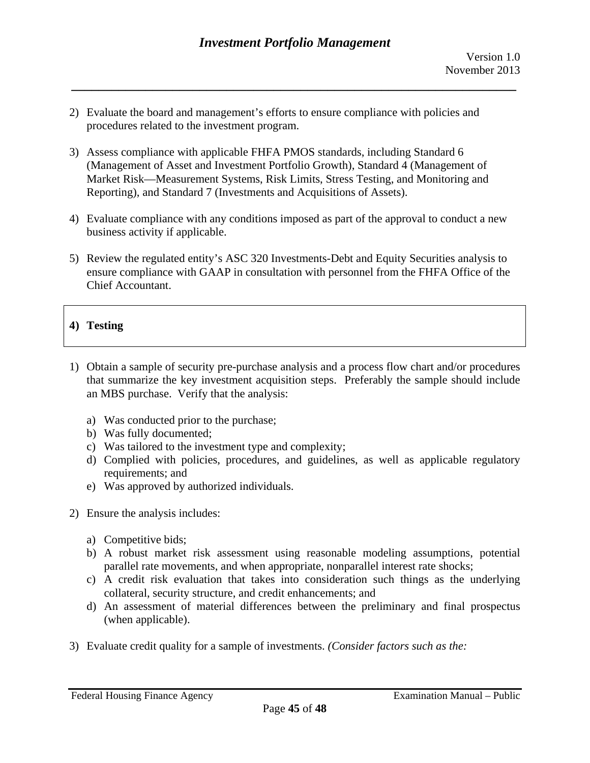- 2) Evaluate the board and management's efforts to ensure compliance with policies and procedures related to the investment program.
- 3) Assess compliance with applicable FHFA PMOS standards, including Standard 6 (Management of Asset and Investment Portfolio Growth), Standard 4 (Management of Market Risk—Measurement Systems, Risk Limits, Stress Testing, and Monitoring and Reporting), and Standard 7 (Investments and Acquisitions of Assets).
- 4) Evaluate compliance with any conditions imposed as part of the approval to conduct a new business activity if applicable.
- 5) Review the regulated entity's ASC 320 Investments-Debt and Equity Securities analysis to ensure compliance with GAAP in consultation with personnel from the FHFA Office of the Chief Accountant.

# **4) Testing**

- 1) Obtain a sample of security pre-purchase analysis and a process flow chart and/or procedures that summarize the key investment acquisition steps. Preferably the sample should include an MBS purchase. Verify that the analysis:
	- a) Was conducted prior to the purchase;
	- b) Was fully documented;
	- c) Was tailored to the investment type and complexity;
	- d) Complied with policies, procedures, and guidelines, as well as applicable regulatory requirements; and
	- e) Was approved by authorized individuals.
- 2) Ensure the analysis includes:
	- a) Competitive bids;
	- b) A robust market risk assessment using reasonable modeling assumptions, potential parallel rate movements, and when appropriate, nonparallel interest rate shocks;
	- c) A credit risk evaluation that takes into consideration such things as the underlying collateral, security structure, and credit enhancements; and
	- d) An assessment of material differences between the preliminary and final prospectus (when applicable).
- 3) Evaluate credit quality for a sample of investments. *(Consider factors such as the:*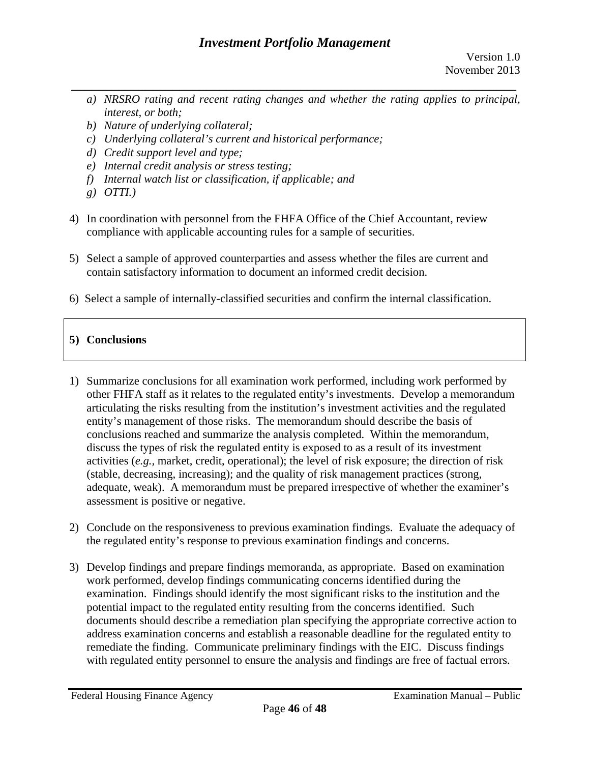- *a) NRSRO rating and recent rating changes and whether the rating applies to principal, interest, or both;*
- *b) Nature of underlying collateral;*
- *c) Underlying collateral's current and historical performance;*
- *d) Credit support level and type;*
- *e) Internal credit analysis or stress testing;*
- *f) Internal watch list or classification, if applicable; and*
- *g) OTTI.)*
- 4) In coordination with personnel from the FHFA Office of the Chief Accountant, review compliance with applicable accounting rules for a sample of securities.
- 5) Select a sample of approved counterparties and assess whether the files are current and contain satisfactory information to document an informed credit decision.
- 6) Select a sample of internally-classified securities and confirm the internal classification.

# **5) Conclusions**

- 1) Summarize conclusions for all examination work performed, including work performed by other FHFA staff as it relates to the regulated entity's investments. Develop a memorandum articulating the risks resulting from the institution's investment activities and the regulated entity's management of those risks. The memorandum should describe the basis of conclusions reached and summarize the analysis completed. Within the memorandum, discuss the types of risk the regulated entity is exposed to as a result of its investment activities (*e.g.,* market, credit, operational); the level of risk exposure; the direction of risk (stable, decreasing, increasing); and the quality of risk management practices (strong, adequate, weak). A memorandum must be prepared irrespective of whether the examiner's assessment is positive or negative.
- 2) Conclude on the responsiveness to previous examination findings. Evaluate the adequacy of the regulated entity's response to previous examination findings and concerns.
- 3) Develop findings and prepare findings memoranda, as appropriate. Based on examination work performed, develop findings communicating concerns identified during the examination. Findings should identify the most significant risks to the institution and the potential impact to the regulated entity resulting from the concerns identified. Such documents should describe a remediation plan specifying the appropriate corrective action to address examination concerns and establish a reasonable deadline for the regulated entity to remediate the finding. Communicate preliminary findings with the EIC. Discuss findings with regulated entity personnel to ensure the analysis and findings are free of factual errors.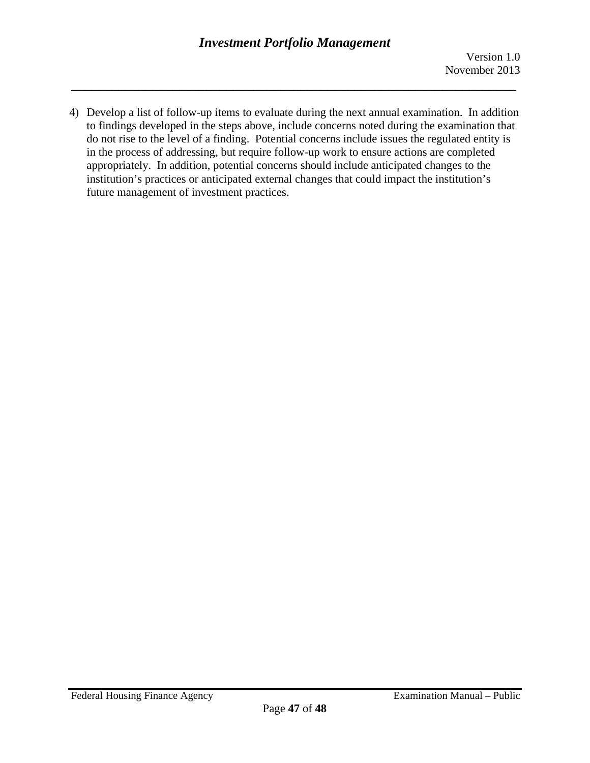4) Develop a list of follow-up items to evaluate during the next annual examination. In addition to findings developed in the steps above, include concerns noted during the examination that do not rise to the level of a finding. Potential concerns include issues the regulated entity is in the process of addressing, but require follow-up work to ensure actions are completed appropriately. In addition, potential concerns should include anticipated changes to the institution's practices or anticipated external changes that could impact the institution's future management of investment practices.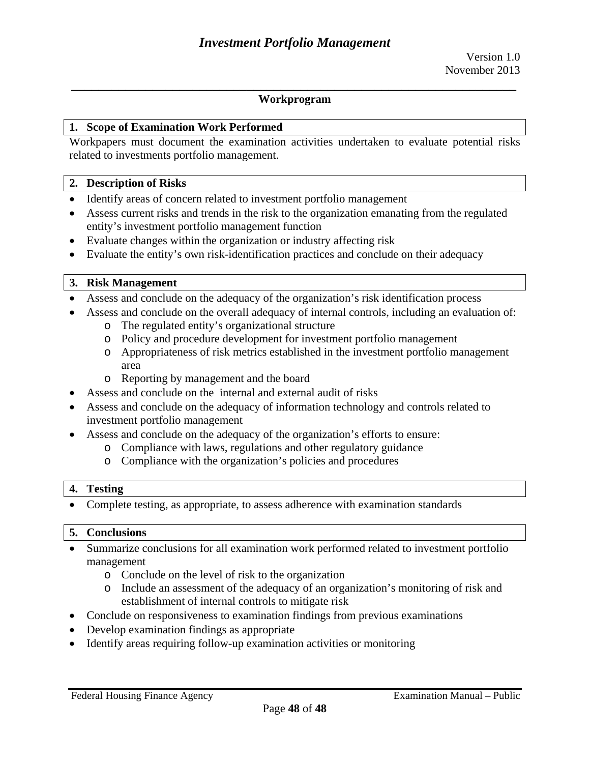### **1. Scope of Examination Work Performed**

Workpapers must document the examination activities undertaken to evaluate potential risks related to investments portfolio management.

#### **2. Description of Risks**

- Identify areas of concern related to investment portfolio management
- Assess current risks and trends in the risk to the organization emanating from the regulated entity's investment portfolio management function
- Evaluate changes within the organization or industry affecting risk
- Evaluate the entity's own risk-identification practices and conclude on their adequacy

### **3. Risk Management**

- Assess and conclude on the adequacy of the organization's risk identification process
- Assess and conclude on the overall adequacy of internal controls, including an evaluation of:
	- o The regulated entity's organizational structure
	- o Policy and procedure development for investment portfolio management
	- o Appropriateness of risk metrics established in the investment portfolio management area
	- o Reporting by management and the board
- Assess and conclude on the internal and external audit of risks
- Assess and conclude on the adequacy of information technology and controls related to investment portfolio management
- Assess and conclude on the adequacy of the organization's efforts to ensure:
	- o Compliance with laws, regulations and other regulatory guidance
	- o Compliance with the organization's policies and procedures

### **4. Testing**

Complete testing, as appropriate, to assess adherence with examination standards

### **5. Conclusions**

- Summarize conclusions for all examination work performed related to investment portfolio management
	- o Conclude on the level of risk to the organization
	- o Include an assessment of the adequacy of an organization's monitoring of risk and establishment of internal controls to mitigate risk
- Conclude on responsiveness to examination findings from previous examinations
- Develop examination findings as appropriate
- Identify areas requiring follow-up examination activities or monitoring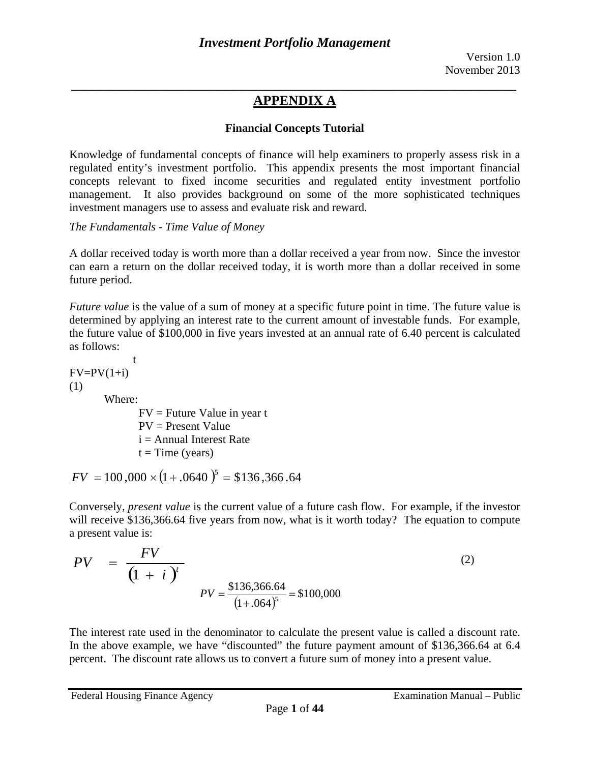# **Financial Concepts Tutorial**

Knowledge of fundamental concepts of finance will help examiners to properly assess risk in a regulated entity's investment portfolio. This appendix presents the most important financial concepts relevant to fixed income securities and regulated entity investment portfolio management. It also provides background on some of the more sophisticated techniques investment managers use to assess and evaluate risk and reward.

*The Fundamentals - Time Value of Money* 

A dollar received today is worth more than a dollar received a year from now. Since the investor can earn a return on the dollar received today, it is worth more than a dollar received in some future period.

*Future value* is the value of a sum of money at a specific future point in time. The future value is determined by applying an interest rate to the current amount of investable funds. For example, the future value of \$100,000 in five years invested at an annual rate of 6.40 percent is calculated as follows:

t  $FV = PV(1+i)$ (1) Where:

> $FV =$  Future Value in year t PV = Present Value  $i =$  Annual Interest Rate  $t = Time$  (years)

 $FV = 100,000 \times (1 + .0640)^5 = $136,366.64$ 

Conversely, *present value* is the current value of a future cash flow. For example, if the investor will receive \$136,366.64 five years from now, what is it worth today? The equation to compute a present value is:

$$
PV = \frac{FV}{\left(1 + i\right)^{t}}
$$
  
\n
$$
PV = \frac{\$136,366.64}{\left(1 + .064\right)^{5}} = \$100,000
$$
 (2)

The interest rate used in the denominator to calculate the present value is called a discount rate. In the above example, we have "discounted" the future payment amount of \$136,366.64 at 6.4 percent. The discount rate allows us to convert a future sum of money into a present value.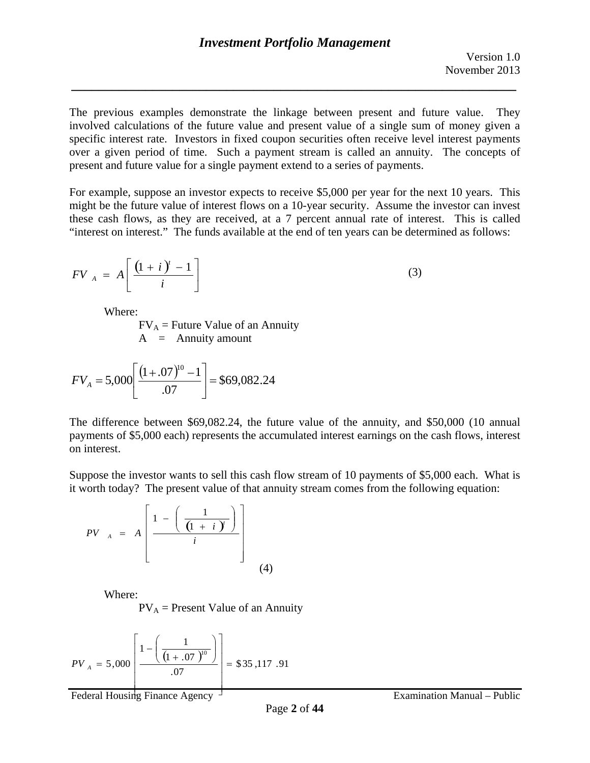The previous examples demonstrate the linkage between present and future value. They involved calculations of the future value and present value of a single sum of money given a specific interest rate. Investors in fixed coupon securities often receive level interest payments over a given period of time. Such a payment stream is called an annuity. The concepts of present and future value for a single payment extend to a series of payments.

For example, suppose an investor expects to receive \$5,000 per year for the next 10 years. This might be the future value of interest flows on a 10-year security. Assume the investor can invest these cash flows, as they are received, at a 7 percent annual rate of interest. This is called "interest on interest." The funds available at the end of ten years can be determined as follows:

$$
FV_A = A \left[ \frac{(1+i)^t - 1}{i} \right] \tag{3}
$$

Where:

 $A =$  Annuity amount  $FV_A$  = Future Value of an Annuity

$$
FV_A = 5,000 \left[ \frac{(1+.07)^{10} - 1}{.07} \right] = $69,082.24
$$

The difference between \$69,082.24, the future value of the annuity, and \$50,000 (10 annual payments of \$5,000 each) represents the accumulated interest earnings on the cash flows, interest on interest.

Suppose the investor wants to sell this cash flow stream of 10 payments of \$5,000 each. What is it worth today? The present value of that annuity stream comes from the following equation:

*PV*<sub>A</sub> = 
$$
A\left[\frac{1 - \left(\frac{1}{\left(1 + i\right)^{r}}\right)}{i}\right]
$$
  
\nWhere:  
\n $PV_A$  = Present Value of an A1

Where:

 $PV_A$  = Present Value of an Annuity

$$
PV_{A} = 5,000 \left[ \frac{1 - \left( \frac{1}{(1 + .07)^{10}} \right)}{.07} \right] = $35,117.91
$$

Federal Housing Finance Agency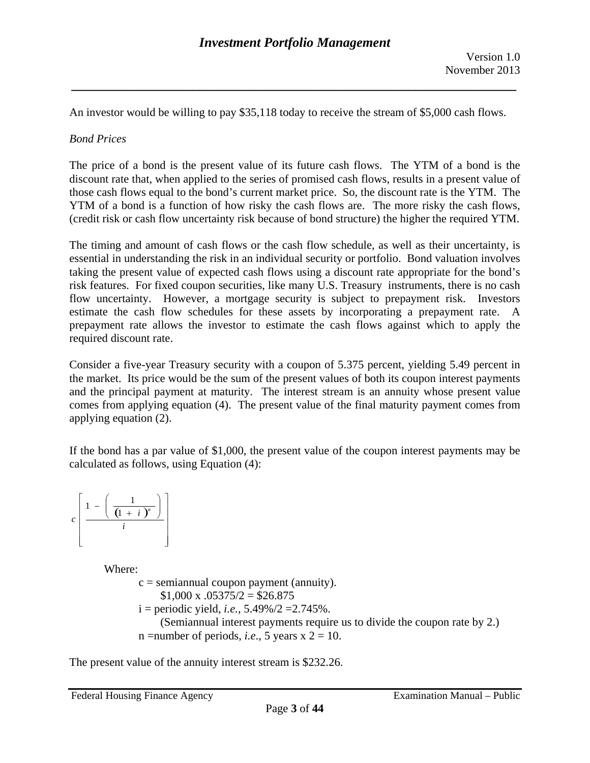An investor would be willing to pay \$35,118 today to receive the stream of \$5,000 cash flows.

## *Bond Prices*

The price of a bond is the present value of its future cash flows. The YTM of a bond is the discount rate that, when applied to the series of promised cash flows, results in a present value of those cash flows equal to the bond's current market price. So, the discount rate is the YTM. The YTM of a bond is a function of how risky the cash flows are. The more risky the cash flows, (credit risk or cash flow uncertainty risk because of bond structure) the higher the required YTM.

The timing and amount of cash flows or the cash flow schedule, as well as their uncertainty, is essential in understanding the risk in an individual security or portfolio. Bond valuation involves taking the present value of expected cash flows using a discount rate appropriate for the bond's risk features. For fixed coupon securities, like many U.S. Treasury instruments, there is no cash flow uncertainty. However, a mortgage security is subject to prepayment risk. Investors estimate the cash flow schedules for these assets by incorporating a prepayment rate. A prepayment rate allows the investor to estimate the cash flows against which to apply the required discount rate.

Consider a five-year Treasury security with a coupon of 5.375 percent, yielding 5.49 percent in the market. Its price would be the sum of the present values of both its coupon interest payments and the principal payment at maturity. The interest stream is an annuity whose present value comes from applying equation (4). The present value of the final maturity payment comes from applying equation (2).

If the bond has a par value of \$1,000, the present value of the coupon interest payments may be calculated as follows, using Equation (4):



Where:

 $c =$  semiannual coupon payment (annuity).  $$1,000 \times 0.05375/2 = $26.875$  $i =$  periodic yield, *i.e.*, 5.49%/2 = 2.745%. (Semiannual interest payments require us to divide the coupon rate by 2.) n = number of periods, *i.e.*, 5 years  $x$  2 = 10.

The present value of the annuity interest stream is \$232.26.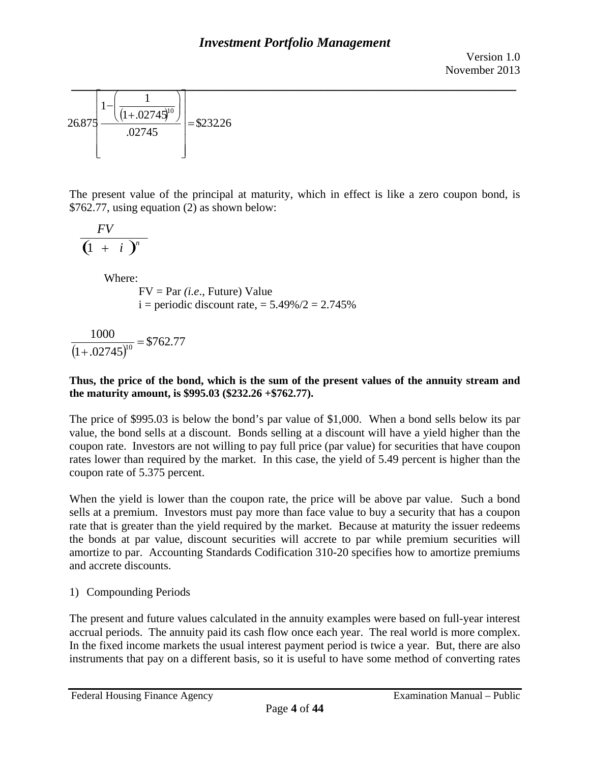

The present value of the principal at maturity, which in effect is like a zero coupon bond, is \$762.77, using equation (2) as shown below:

$$
\frac{FV}{\left(1\ +\ i\ \right)^{n}}
$$

Where:

FV = Par *(i.e*., Future) Value  $i =$  periodic discount rate,  $= 5.49\%/2 = 2.745\%$ 

$$
\frac{1000}{(1+.02745)^{10}} = $762.77
$$

### **Thus, the price of the bond, which is the sum of the present values of the annuity stream and the maturity amount, is \$995.03 (\$232.26 +\$762.77).**

coupon rate of 5.375 percent. The price of \$995.03 is below the bond's par value of \$1,000. When a bond sells below its par value, the bond sells at a discount. Bonds selling at a discount will have a yield higher than the coupon rate. Investors are not willing to pay full price (par value) for securities that have coupon rates lower than required by the market. In this case, the yield of 5.49 percent is higher than the

When the yield is lower than the coupon rate, the price will be above par value. Such a bond sells at a premium. Investors must pay more than face value to buy a security that has a coupon rate that is greater than the yield required by the market. Because at maturity the issuer redeems the bonds at par value, discount securities will accrete to par while premium securities will amortize to par. Accounting Standards Codification 310-20 specifies how to amortize premiums and accrete discounts.

1) Compounding Periods

The present and future values calculated in the annuity examples were based on full-year interest accrual periods. The annuity paid its cash flow once each year. The real world is more complex. In the fixed income markets the usual interest payment period is twice a year. But, there are also instruments that pay on a different basis, so it is useful to have some method of converting rates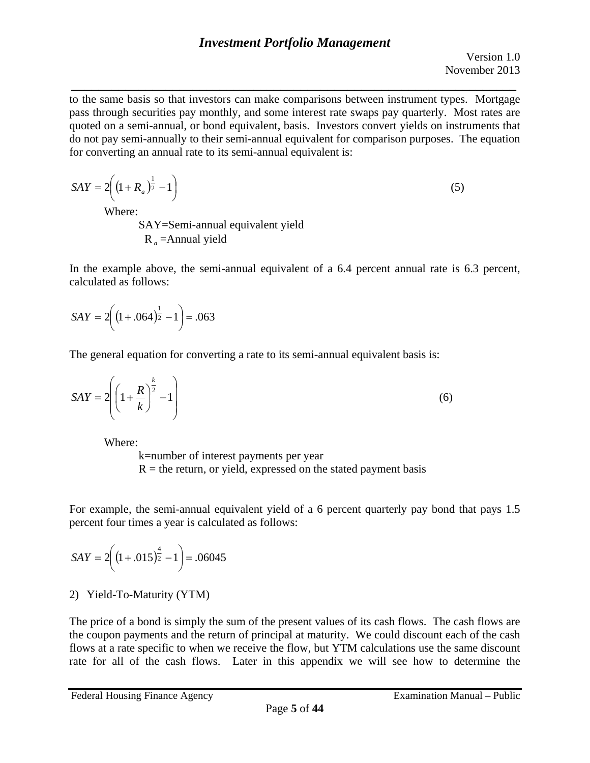*\_\_\_\_\_\_\_\_\_\_\_\_\_\_\_\_\_\_\_\_\_\_\_\_\_\_\_\_\_\_\_\_\_\_\_\_\_\_\_\_\_\_\_\_\_\_\_\_\_\_\_\_\_\_\_\_\_\_\_\_\_\_\_\_\_\_*  to the same basis so that investors can make comparisons between instrument types. Mortgage pass through securities pay monthly, and some interest rate swaps pay quarterly. Most rates are quoted on a semi-annual, or bond equivalent, basis. Investors convert yields on instruments that do not pay semi-annually to their semi-annual equivalent for comparison purposes. The equation for converting an annual rate to its semi-annual equivalent is:

$$
SAY = 2\left(\left(1 + R_a\right)^{\frac{1}{2}} - 1\right)
$$
\nWhere:

\n(5)

Where:

SAY=Semi-annual equivalent yield R *a* =Annual yield

In the example above, the semi-annual equivalent of a 6.4 percent annual rate is 6.3 percent, calculated as follows:

$$
SAY = 2\left(\left(1 + .064\right)^{\frac{1}{2}} - 1\right) = .063
$$

The general equation for converting a rate to its semi-annual equivalent basis is:

$$
SAY = 2\left(\left(1 + \frac{R}{k}\right)^{\frac{k}{2}} - 1\right) \tag{6}
$$

Where:

k=number of interest payments per year  $R =$  the return, or yield, expressed on the stated payment basis

For example, the semi-annual equivalent yield of a 6 percent quarterly pay bond that pays 1.5 percent four times a year is calculated as follows:

$$
SAY = 2\left(\left(1+.015\right)^{\frac{4}{2}}-1\right) = .06045
$$

# 2) Yield-To-Maturity (YTM)

The price of a bond is simply the sum of the present values of its cash flows. The cash flows are the coupon payments and the return of principal at maturity. We could discount each of the cash flows at a rate specific to when we receive the flow, but YTM calculations use the same discount rate for all of the cash flows. Later in this appendix we will see how to determine the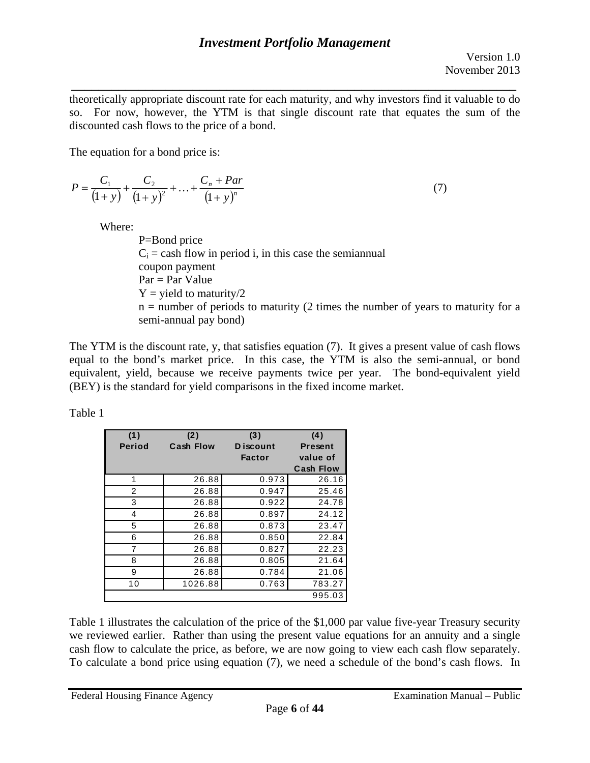*\_\_\_\_\_\_\_\_\_\_\_\_\_\_\_\_\_\_\_\_\_\_\_\_\_\_\_\_\_\_\_\_\_\_\_\_\_\_\_\_\_\_\_\_\_\_\_\_\_\_\_\_\_\_\_\_\_\_\_\_\_\_\_\_\_\_*  theoretically appropriate discount rate for each maturity, and why investors find it valuable to do so. For now, however, the YTM is that single discount rate that equates the sum of the discounted cash flows to the price of a bond.

The equation for a bond price is:

$$
P = \frac{C_1}{(1+y)} + \frac{C_2}{(1+y)^2} + \dots + \frac{C_n + Par}{(1+y)^n}
$$
(7)

Where:

P=Bond price  $C_i$  = cash flow in period i, in this case the semiannual coupon payment  $Par = Par$  Value  $Y =$  yield to maturity/2  $n =$  number of periods to maturity (2 times the number of years to maturity for a semi-annual pay bond)

The YTM is the discount rate, y, that satisfies equation (7). It gives a present value of cash flows equal to the bond's market price. In this case, the YTM is also the semi-annual, or bond equivalent, yield, because we receive payments twice per year. The bond-equivalent yield (BEY) is the standard for yield comparisons in the fixed income market.

Table 1

| (1)           | (2)              | (3)           | (4)              |
|---------------|------------------|---------------|------------------|
| <b>Period</b> | <b>Cash Flow</b> | D iscount     | <b>Present</b>   |
|               |                  | <b>Factor</b> | value of         |
|               |                  |               | <b>Cash Flow</b> |
| 1             | 26.88            | 0.973         | 26.16            |
| 2             | 26.88            | 0.947         | 25.46            |
| 3             | 26.88            | 0.922         | 24.78            |
| 4             | 26.88            | 0.897         | 24.12            |
| 5             | 26.88            | 0.873         | 23.47            |
| 6             | 26.88            | 0.850         | 22.84            |
| 7             | 26.88            | 0.827         | 22.23            |
| 8             | 26.88            | 0.805         | 21.64            |
| 9             | 26.88            | 0.784         | 21.06            |
| 10            | 1026.88          | 0.763         | 783.27           |
|               |                  |               | 995.03           |

Table 1 illustrates the calculation of the price of the \$1,000 par value five-year Treasury security we reviewed earlier. Rather than using the present value equations for an annuity and a single cash flow to calculate the price, as before, we are now going to view each cash flow separately. To calculate a bond price using equation (7), we need a schedule of the bond's cash flows. In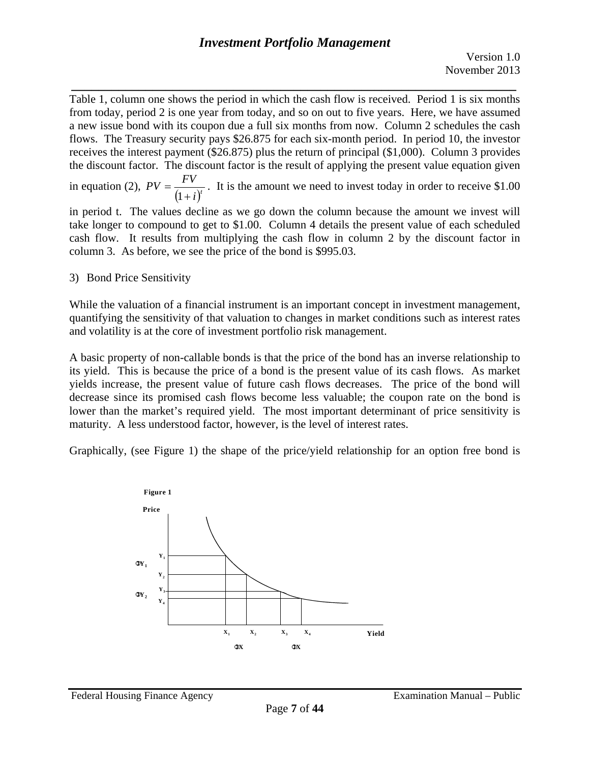*\_\_\_\_\_\_\_\_\_\_\_\_\_\_\_\_\_\_\_\_\_\_\_\_\_\_\_\_\_\_\_\_\_\_\_\_\_\_\_\_\_\_\_\_\_\_\_\_\_\_\_\_\_\_\_\_\_\_\_\_\_\_\_\_\_\_*  Table 1, column one shows the period in which the cash flow is received. Period 1 is six months from today, period 2 is one year from today, and so on out to five years. Here, we have assumed a new issue bond with its coupon due a full six months from now. Column 2 schedules the cash flows. The Treasury security pays \$26.875 for each six-month period. In period 10, the investor receives the interest payment (\$26.875) plus the return of principal (\$1,000). Column 3 provides the discount factor. The discount factor is the result of applying the present value equation given

in equation (2),  $PV = \frac{FV}{(1+i)^t}$ . It is the amount we need to invest today in order to receive \$1.00

in period t. The values decline as we go down the column because the amount we invest will take longer to compound to get to \$1.00. Column 4 details the present value of each scheduled cash flow. It results from multiplying the cash flow in column 2 by the discount factor in column 3. As before, we see the price of the bond is \$995.03.

3) Bond Price Sensitivity

While the valuation of a financial instrument is an important concept in investment management, quantifying the sensitivity of that valuation to changes in market conditions such as interest rates and volatility is at the core of investment portfolio risk management.

A basic property of non-callable bonds is that the price of the bond has an inverse relationship to its yield. This is because the price of a bond is the present value of its cash flows. As market yields increase, the present value of future cash flows decreases. The price of the bond will decrease since its promised cash flows become less valuable; the coupon rate on the bond is lower than the market's required yield. The most important determinant of price sensitivity is maturity. A less understood factor, however, is the level of interest rates.

Graphically, (see Figure 1) the shape of the price/yield relationship for an option free bond is

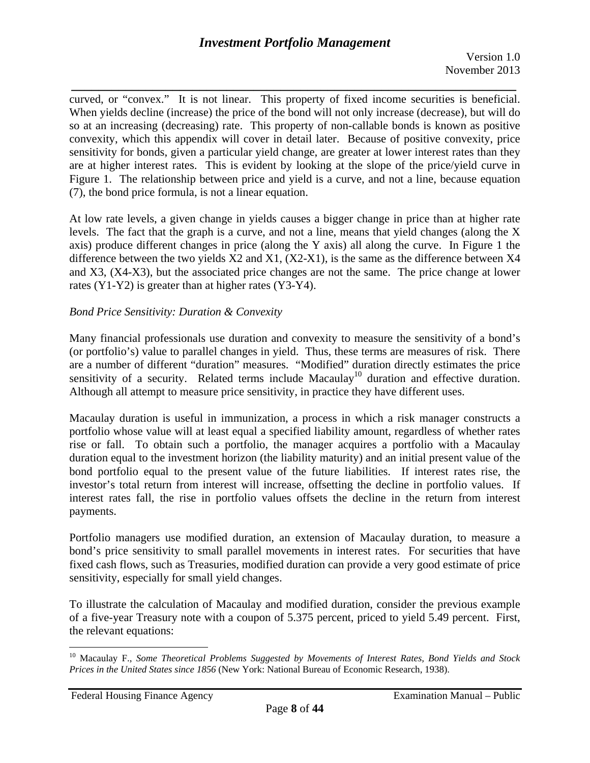*\_\_\_\_\_\_\_\_\_\_\_\_\_\_\_\_\_\_\_\_\_\_\_\_\_\_\_\_\_\_\_\_\_\_\_\_\_\_\_\_\_\_\_\_\_\_\_\_\_\_\_\_\_\_\_\_\_\_\_\_\_\_\_\_\_\_*  curved, or "convex." It is not linear. This property of fixed income securities is beneficial. When yields decline (increase) the price of the bond will not only increase (decrease), but will do so at an increasing (decreasing) rate. This property of non-callable bonds is known as positive convexity, which this appendix will cover in detail later. Because of positive convexity, price sensitivity for bonds, given a particular yield change, are greater at lower interest rates than they are at higher interest rates. This is evident by looking at the slope of the price/yield curve in Figure 1. The relationship between price and yield is a curve, and not a line, because equation (7), the bond price formula, is not a linear equation.

At low rate levels, a given change in yields causes a bigger change in price than at higher rate levels. The fact that the graph is a curve, and not a line, means that yield changes (along the X axis) produce different changes in price (along the Y axis) all along the curve. In Figure 1 the difference between the two yields X2 and X1, (X2-X1), is the same as the difference between X4 and X3, (X4-X3), but the associated price changes are not the same. The price change at lower rates (Y1-Y2) is greater than at higher rates (Y3-Y4).

## *Bond Price Sensitivity: Duration & Convexity*

Many financial professionals use duration and convexity to measure the sensitivity of a bond's (or portfolio's) value to parallel changes in yield. Thus, these terms are measures of risk. There are a number of different "duration" measures. "Modified" duration directly estimates the price sensitivity of a security. Related terms include  $Macaulay<sup>10</sup>$  duration and effective duration. Although all attempt to measure price sensitivity, in practice they have different uses.

Macaulay duration is useful in immunization, a process in which a risk manager constructs a portfolio whose value will at least equal a specified liability amount, regardless of whether rates rise or fall. To obtain such a portfolio, the manager acquires a portfolio with a Macaulay duration equal to the investment horizon (the liability maturity) and an initial present value of the bond portfolio equal to the present value of the future liabilities. If interest rates rise, the investor's total return from interest will increase, offsetting the decline in portfolio values. If interest rates fall, the rise in portfolio values offsets the decline in the return from interest payments.

Portfolio managers use modified duration, an extension of Macaulay duration, to measure a bond's price sensitivity to small parallel movements in interest rates. For securities that have fixed cash flows, such as Treasuries, modified duration can provide a very good estimate of price sensitivity, especially for small yield changes.

To illustrate the calculation of Macaulay and modified duration, consider the previous example of a five-year Treasury note with a coupon of 5.375 percent, priced to yield 5.49 percent. First, the relevant equations:

 $\overline{a}$ 

<sup>10</sup> Macaulay F., *Some Theoretical Problems Suggested by Movements of Interest Rates, Bond Yields and Stock Prices in the United States since 1856* (New York: National Bureau of Economic Research, 1938).

Federal Housing Finance Agency **Examination Manual** – Public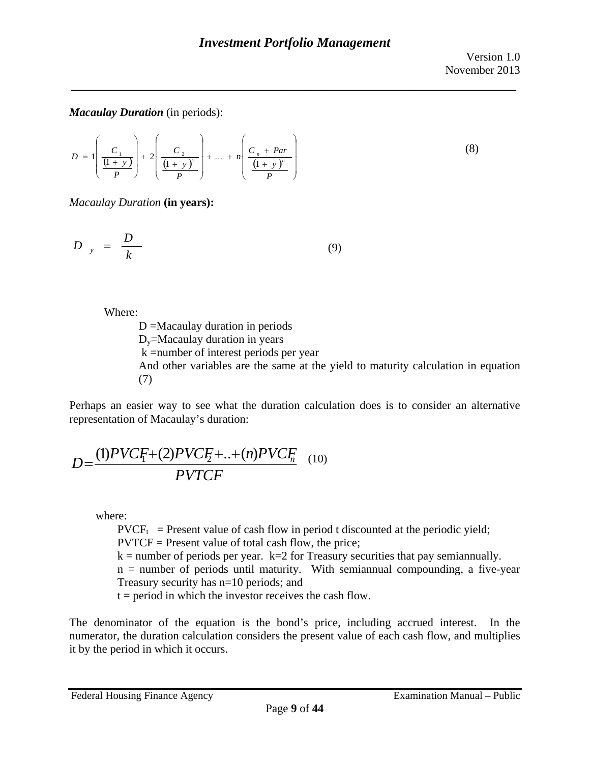## *Macaulay Duration* (in periods):

$$
D = 1 \left( \frac{C_1}{\frac{(1+y)}{P}} \right) + 2 \left( \frac{C_2}{\frac{(1+y)^2}{P}} \right) + \dots + n \left( \frac{C_n + Par}{\frac{(1+y)^n}{P}} \right)
$$
(8)

*Macaulay Duration* **(in years):**

$$
D_{y} = \frac{D}{k} \tag{9}
$$

Where:

D =Macaulay duration in periods  $D<sub>v</sub>$ =Macaulay duration in years k =number of interest periods per year And other variables are the same at the yield to maturity calculation in equation (7)

Perhaps an easier way to see what the duration calculation does is to consider an alternative representation of Macaulay's duration:

$$
D = \frac{(1)PVCF + (2)PVCF + ... + (n)PVCF}{PVTCF}
$$
 (10)

where:

 $\text{PVCF}_{t}$  = Present value of cash flow in period t discounted at the periodic yield; PVTCF = Present value of total cash flow, the price;

 $k =$  number of periods per year.  $k = 2$  for Treasury securities that pay semiannually.

n = number of periods until maturity. With semiannual compounding, a five-year Treasury security has n=10 periods; and

 $t = period$  in which the investor receives the cash flow.

The denominator of the equation is the bond's price, including accrued interest. In the numerator, the duration calculation considers the present value of each cash flow, and multiplies it by the period in which it occurs.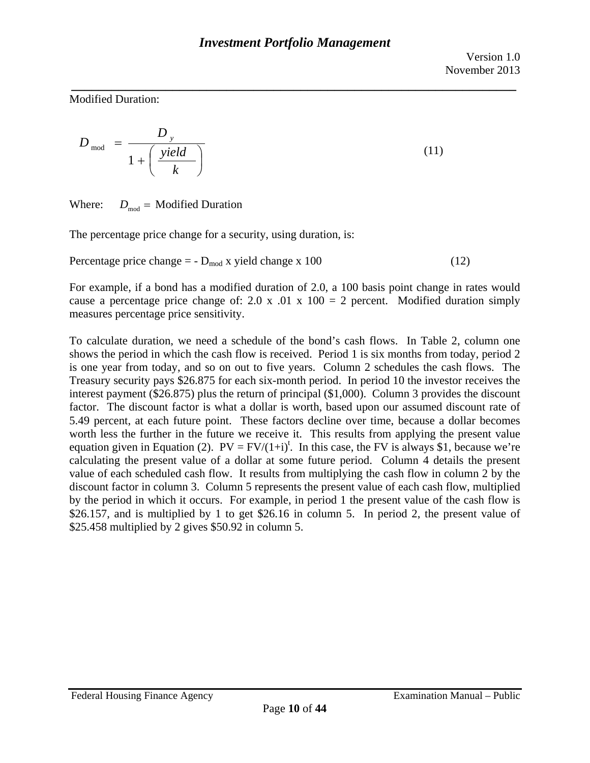*\_\_\_\_\_\_\_\_\_\_\_\_\_\_\_\_\_\_\_\_\_\_\_\_\_\_\_\_\_\_\_\_\_\_\_\_\_\_\_\_\_\_\_\_\_\_\_\_\_\_\_\_\_\_\_\_\_\_\_\_\_\_\_\_\_\_*  Modified Duration:

$$
D_{\text{mod}} = \frac{D_y}{1 + \left(\frac{yield}{k}\right)}
$$
(11)

Where:  $D_{\text{mod}} = \text{Modified}$  Duration

The percentage price change for a security, using duration, is:

Percentage price change  $= -D_{mod} x$  yield change x 100 (12)

For example, if a bond has a modified duration of 2.0, a 100 basis point change in rates would cause a percentage price change of: 2.0 x .01 x  $100 = 2$  percent. Modified duration simply measures percentage price sensitivity.

To calculate duration, we need a schedule of the bond's cash flows. In Table 2, column one shows the period in which the cash flow is received. Period 1 is six months from today, period 2 is one year from today, and so on out to five years. Column 2 schedules the cash flows. The Treasury security pays \$26.875 for each six-month period. In period 10 the investor receives the interest payment (\$26.875) plus the return of principal (\$1,000). Column 3 provides the discount factor. The discount factor is what a dollar is worth, based upon our assumed discount rate of 5.49 percent, at each future point. These factors decline over time, because a dollar becomes worth less the further in the future we receive it. This results from applying the present value equation given in Equation (2).  $PV = FV/(1+i)^t$ . In this case, the FV is always \$1, because we're calculating the present value of a dollar at some future period. Column 4 details the present value of each scheduled cash flow. It results from multiplying the cash flow in column 2 by the discount factor in column 3. Column 5 represents the present value of each cash flow, multiplied by the period in which it occurs. For example, in period 1 the present value of the cash flow is \$26.157, and is multiplied by 1 to get \$26.16 in column 5. In period 2, the present value of \$25.458 multiplied by 2 gives \$50.92 in column 5.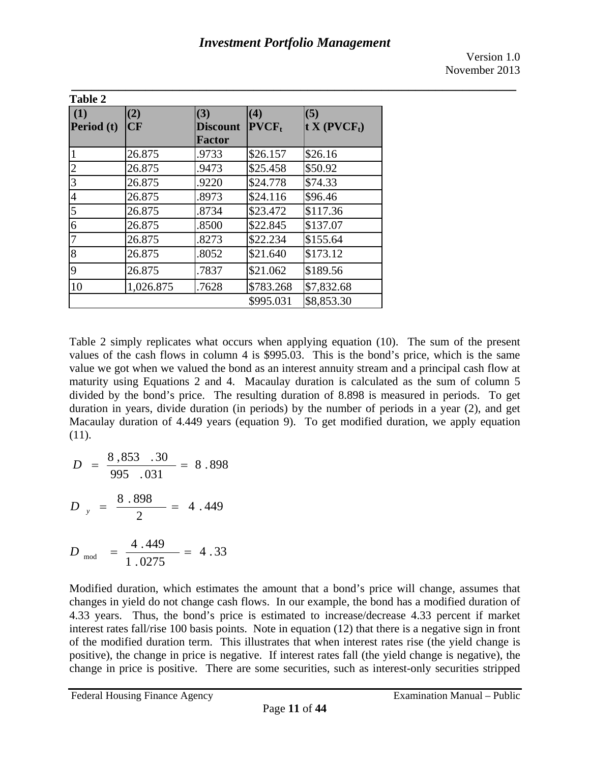Version 1.0 November 2013

| <b>Table 2</b>    |           |                                  |                 |                                            |  |  |
|-------------------|-----------|----------------------------------|-----------------|--------------------------------------------|--|--|
| (1)<br>Period (t) | (2)<br>CF | (3)<br><b>Discount</b><br>Factor | (4)<br>$PVCF_t$ | (5)<br>$\mathbf{t}$ X (PVCF <sub>t</sub> ) |  |  |
| $\mathbf{1}$      | 26.875    | .9733                            | \$26.157        | \$26.16                                    |  |  |
| $\overline{c}$    | 26.875    | .9473                            | \$25.458        | \$50.92                                    |  |  |
| 3                 | 26.875    | .9220                            | \$24.778        | \$74.33                                    |  |  |
| $\overline{4}$    | 26.875    | .8973                            | \$24.116        | \$96.46                                    |  |  |
| 5                 | 26.875    | .8734                            | \$23.472        | \$117.36                                   |  |  |
| 6                 | 26.875    | .8500                            | \$22.845        | \$137.07                                   |  |  |
| $\overline{7}$    | 26.875    | .8273                            | \$22.234        | \$155.64                                   |  |  |
| 8                 | 26.875    | .8052                            | \$21.640        | \$173.12                                   |  |  |
| 9                 | 26.875    | .7837                            | \$21.062        | \$189.56                                   |  |  |
| 10                | 1,026.875 | .7628                            | \$783.268       | \$7,832.68                                 |  |  |
|                   |           |                                  | \$995.031       | \$8,853.30                                 |  |  |

Table 2 simply replicates what occurs when applying equation (10). The sum of the present values of the cash flows in column 4 is \$995.03. This is the bond's price, which is the same value we got when we valued the bond as an interest annuity stream and a principal cash flow at maturity using Equations 2 and 4. Macaulay duration is calculated as the sum of column 5 divided by the bond's price. The resulting duration of 8.898 is measured in periods. To get duration in years, divide duration (in periods) by the number of periods in a year (2), and get Macaulay duration of 4.449 years (equation 9). To get modified duration, we apply equation (11).

$$
D = \frac{8,853 \cdot .30}{995 \cdot .031} = 8.898
$$

$$
D_{y} = \frac{8.898}{2} = 4.449
$$

$$
D_{\text{mod}} = \frac{4.449}{1.0275} = 4.33
$$

Modified duration, which estimates the amount that a bond's price will change, assumes that changes in yield do not change cash flows. In our example, the bond has a modified duration of 4.33 years. Thus, the bond's price is estimated to increase/decrease 4.33 percent if market interest rates fall/rise 100 basis points. Note in equation (12) that there is a negative sign in front of the modified duration term. This illustrates that when interest rates rise (the yield change is positive), the change in price is negative. If interest rates fall (the yield change is negative), the change in price is positive. There are some securities, such as interest-only securities stripped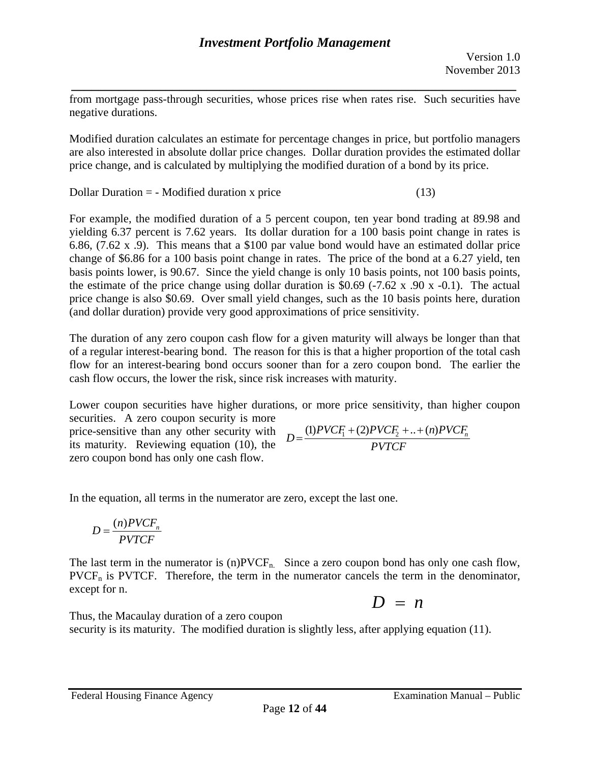from mortgage pass-through securities, whose prices rise when rates rise. Such securities have negative durations.

*\_\_\_\_\_\_\_\_\_\_\_\_\_\_\_\_\_\_\_\_\_\_\_\_\_\_\_\_\_\_\_\_\_\_\_\_\_\_\_\_\_\_\_\_\_\_\_\_\_\_\_\_\_\_\_\_\_\_\_\_\_\_\_\_\_\_* 

Modified duration calculates an estimate for percentage changes in price, but portfolio managers are also interested in absolute dollar price changes. Dollar duration provides the estimated dollar price change, and is calculated by multiplying the modified duration of a bond by its price.

 $Dollar Duration = - Modified duration x price$  (13)

For example, the modified duration of a 5 percent coupon, ten year bond trading at 89.98 and yielding 6.37 percent is 7.62 years. Its dollar duration for a 100 basis point change in rates is 6.86, (7.62 x .9). This means that a \$100 par value bond would have an estimated dollar price change of \$6.86 for a 100 basis point change in rates. The price of the bond at a 6.27 yield, ten basis points lower, is 90.67. Since the yield change is only 10 basis points, not 100 basis points, the estimate of the price change using dollar duration is  $$0.69$  (-7.62 x .90 x -0.1). The actual price change is also \$0.69. Over small yield changes, such as the 10 basis points here, duration (and dollar duration) provide very good approximations of price sensitivity.

The duration of any zero coupon cash flow for a given maturity will always be longer than that of a regular interest-bearing bond. The reason for this is that a higher proportion of the total cash flow for an interest-bearing bond occurs sooner than for a zero coupon bond. The earlier the cash flow occurs, the lower the risk, since risk increases with maturity.

Lower coupon securities have higher durations, or more price sensitivity, than higher coupon securities. A zero coupon security is more  $\frac{1}{2}$  price-sensitive than any other security with

its maturity. Reviewing equation (10), the zero coupon bond has only one cash flow.

$$
D = \frac{(1)PVCF_1 + (2)PVCF_2 + ... + (n)PVCF_n}{PVTCF}
$$

In the equation, all terms in the numerator are zero, except the last one.

$$
D = \frac{(n) PVCF_n}{PVTCF}
$$

except for n. The last term in the numerator is  $(n)$ PVCF<sub>n.</sub> Since a zero coupon bond has only one cash flow,  $PVCF<sub>n</sub>$  is PVTCF. Therefore, the term in the numerator cancels the term in the denominator, except for n.  $D = n$ 

$$
D = n
$$

Thus, the Macaulay duration of a zero coupon security is its maturity. The modified duration is slightly less, after applying equation (11).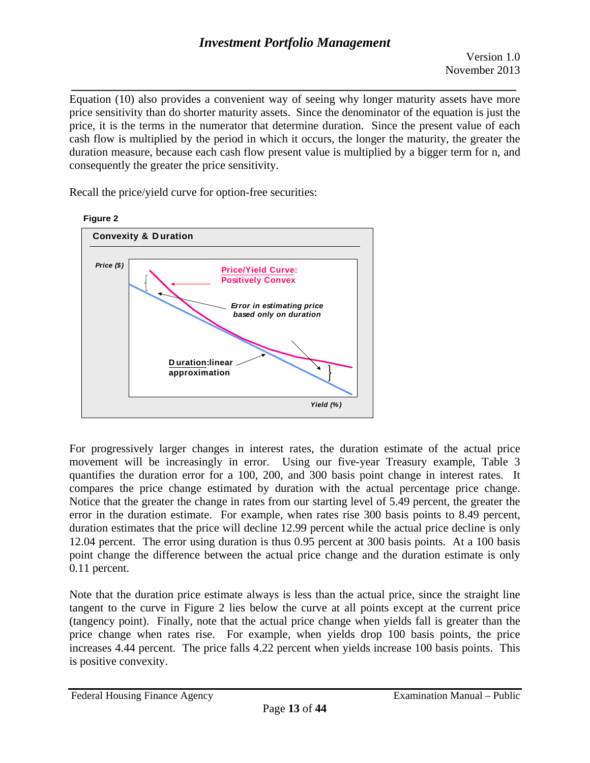*\_\_\_\_\_\_\_\_\_\_\_\_\_\_\_\_\_\_\_\_\_\_\_\_\_\_\_\_\_\_\_\_\_\_\_\_\_\_\_\_\_\_\_\_\_\_\_\_\_\_\_\_\_\_\_\_\_\_\_\_\_\_\_\_\_\_*  Equation (10) also provides a convenient way of seeing why longer maturity assets have more price sensitivity than do shorter maturity assets. Since the denominator of the equation is just the price, it is the terms in the numerator that determine duration. Since the present value of each cash flow is multiplied by the period in which it occurs, the longer the maturity, the greater the duration measure, because each cash flow present value is multiplied by a bigger term for n, and consequently the greater the price sensitivity.

 *Error in estimating price*  **Figure 2 Convexity & D uration**  *Price (\$) Yield (% )*  **Price/Yield Curve: Positively Convex**  *based only on duration*  **D uration:linear approximation** 

Recall the price/yield curve for option-free securities:

For progressively larger changes in interest rates, the duration estimate of the actual price movement will be increasingly in error. Using our five-year Treasury example, Table 3 quantifies the duration error for a 100, 200, and 300 basis point change in interest rates. It compares the price change estimated by duration with the actual percentage price change. Notice that the greater the change in rates from our starting level of 5.49 percent, the greater the error in the duration estimate. For example, when rates rise 300 basis points to 8.49 percent, duration estimates that the price will decline 12.99 percent while the actual price decline is only 12.04 percent. The error using duration is thus 0.95 percent at 300 basis points. At a 100 basis point change the difference between the actual price change and the duration estimate is only 0.11 percent.

Note that the duration price estimate always is less than the actual price, since the straight line tangent to the curve in Figure 2 lies below the curve at all points except at the current price (tangency point). Finally, note that the actual price change when yields fall is greater than the price change when rates rise. For example, when yields drop 100 basis points, the price increases 4.44 percent. The price falls 4.22 percent when yields increase 100 basis points. This is positive convexity.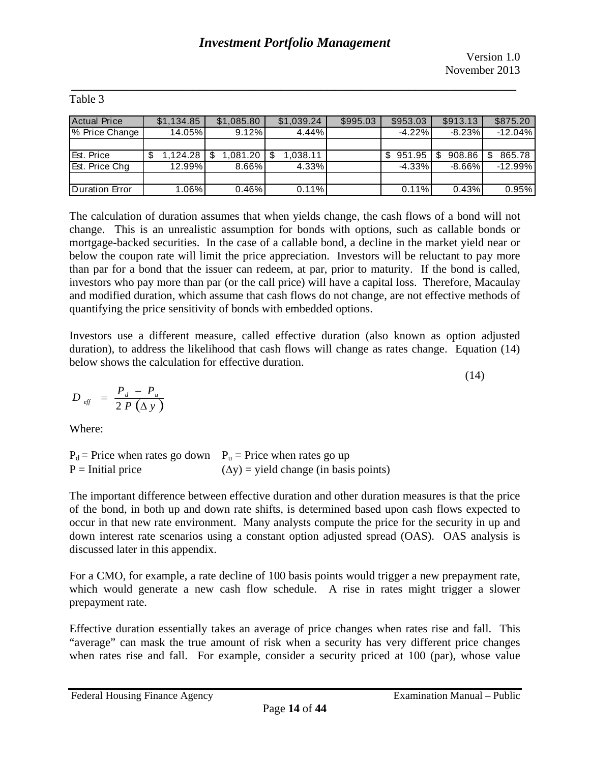(14)

| <b>Actual Price</b> | \$1,134.85 | \$1,085.80 | \$1,039.24 | \$995.03 | \$953.03  | \$913.13    | \$875.20    |
|---------------------|------------|------------|------------|----------|-----------|-------------|-------------|
| % Price Change      | 14.05%     | 9.12%      | 4.44%      |          | $-4.22%$  | $-8.23%$    | $-12.04%$   |
|                     |            |            |            |          |           |             |             |
| Est. Price          | ,124.28    | ا 1,081.20 | 1,038.11   |          | 951.95    | 908.86<br>S | 865.78<br>S |
| Est. Price Chg      | 12.99%     | 8.66%      | 4.33%      |          | $-4.33\%$ | $-8.66\%$   | $-12.99%$   |
|                     |            |            |            |          |           |             |             |
| Duration Error      | $1.06\%$   | 0.46%      | 0.11%      |          | 0.11%     | 0.43%       | 0.95%       |

### *\_\_\_\_\_\_\_\_\_\_\_\_\_\_\_\_\_\_\_\_\_\_\_\_\_\_\_\_\_\_\_\_\_\_\_\_\_\_\_\_\_\_\_\_\_\_\_\_\_\_\_\_\_\_\_\_\_\_\_\_\_\_\_\_\_\_*  Table 3

The calculation of duration assumes that when yields change, the cash flows of a bond will not change. This is an unrealistic assumption for bonds with options, such as callable bonds or mortgage-backed securities. In the case of a callable bond, a decline in the market yield near or below the coupon rate will limit the price appreciation. Investors will be reluctant to pay more than par for a bond that the issuer can redeem, at par, prior to maturity. If the bond is called, investors who pay more than par (or the call price) will have a capital loss. Therefore, Macaulay and modified duration, which assume that cash flows do not change, are not effective methods of quantifying the price sensitivity of bonds with embedded options.

Investors use a different measure, called effective duration (also known as option adjusted duration), to address the likelihood that cash flows will change as rates change. Equation (14) below shows the calculation for effective duration.

$$
D_{\text{eff}} = \frac{P_d - P_u}{2 P (\Delta y)}
$$

Where:

 $P = Initial price$  $P_d$  = Price when rates go down  $P_u$  = Price when rates go up  $(\Delta y)$  = yield change (in basis points)

The important difference between effective duration and other duration measures is that the price of the bond, in both up and down rate shifts, is determined based upon cash flows expected to occur in that new rate environment. Many analysts compute the price for the security in up and down interest rate scenarios using a constant option adjusted spread (OAS). OAS analysis is discussed later in this appendix.

For a CMO, for example, a rate decline of 100 basis points would trigger a new prepayment rate, which would generate a new cash flow schedule. A rise in rates might trigger a slower prepayment rate.

Effective duration essentially takes an average of price changes when rates rise and fall. This "average" can mask the true amount of risk when a security has very different price changes when rates rise and fall. For example, consider a security priced at 100 (par), whose value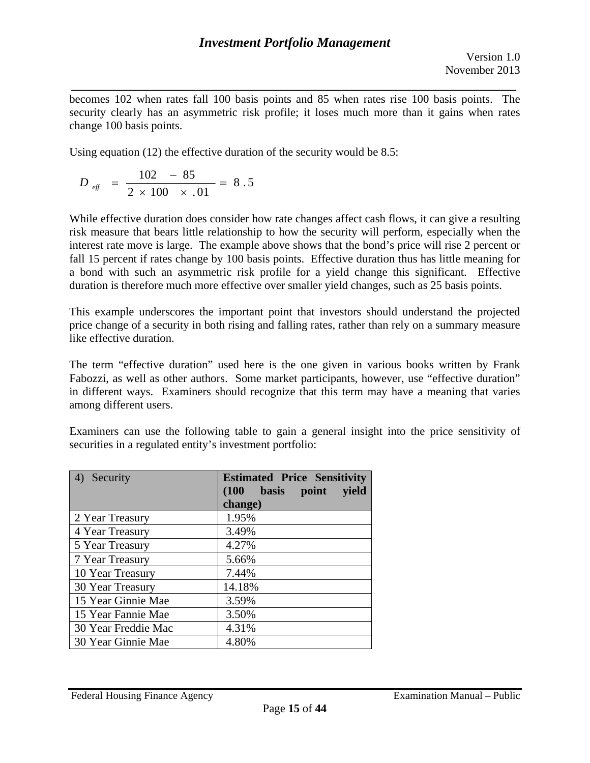*\_\_\_\_\_\_\_\_\_\_\_\_\_\_\_\_\_\_\_\_\_\_\_\_\_\_\_\_\_\_\_\_\_\_\_\_\_\_\_\_\_\_\_\_\_\_\_\_\_\_\_\_\_\_\_\_\_\_\_\_\_\_\_\_\_\_*  becomes 102 when rates fall 100 basis points and 85 when rates rise 100 basis points. The security clearly has an asymmetric risk profile; it loses much more than it gains when rates change 100 basis points.

Using equation (12) the effective duration of the security would be 8.5:

$$
D_{\text{eff}} = \frac{102 - 85}{2 \times 100 \times .01} = 8.5
$$

While effective duration does consider how rate changes affect cash flows, it can give a resulting risk measure that bears little relationship to how the security will perform, especially when the interest rate move is large. The example above shows that the bond's price will rise 2 percent or fall 15 percent if rates change by 100 basis points. Effective duration thus has little meaning for a bond with such an asymmetric risk profile for a yield change this significant. Effective duration is therefore much more effective over smaller yield changes, such as 25 basis points.

This example underscores the important point that investors should understand the projected price change of a security in both rising and falling rates, rather than rely on a summary measure like effective duration.

The term "effective duration" used here is the one given in various books written by Frank Fabozzi, as well as other authors. Some market participants, however, use "effective duration" in different ways. Examiners should recognize that this term may have a meaning that varies among different users.

Examiners can use the following table to gain a general insight into the price sensitivity of securities in a regulated entity's investment portfolio:

| Security<br>4)      | <b>Estimated Price Sensitivity</b> |  |  |  |
|---------------------|------------------------------------|--|--|--|
|                     | (100)<br>basis point<br>yield      |  |  |  |
|                     | change)                            |  |  |  |
| 2 Year Treasury     | 1.95%                              |  |  |  |
| 4 Year Treasury     | 3.49%                              |  |  |  |
| 5 Year Treasury     | 4.27%                              |  |  |  |
| 7 Year Treasury     | 5.66%                              |  |  |  |
| 10 Year Treasury    | 7.44%                              |  |  |  |
| 30 Year Treasury    | 14.18%                             |  |  |  |
| 15 Year Ginnie Mae  | 3.59%                              |  |  |  |
| 15 Year Fannie Mae  | 3.50%                              |  |  |  |
| 30 Year Freddie Mac | 4.31%                              |  |  |  |
| 30 Year Ginnie Mae  | 4.80%                              |  |  |  |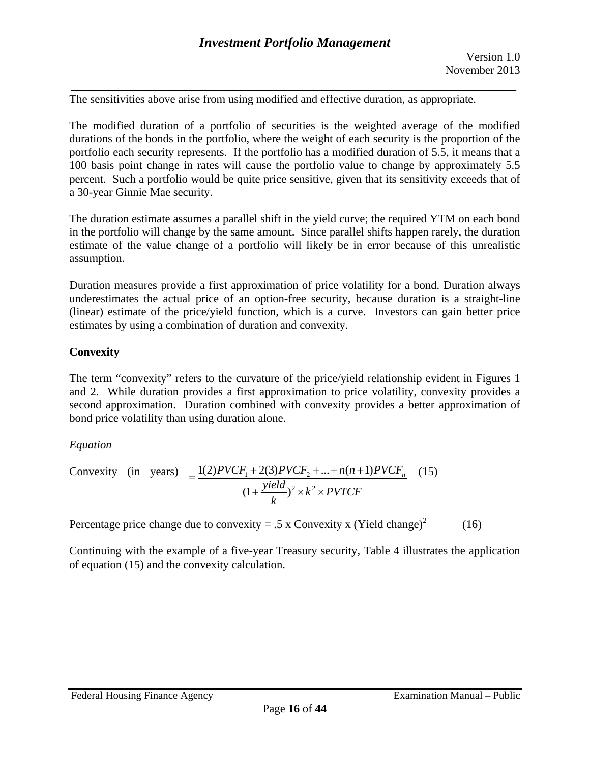*\_\_\_\_\_\_\_\_\_\_\_\_\_\_\_\_\_\_\_\_\_\_\_\_\_\_\_\_\_\_\_\_\_\_\_\_\_\_\_\_\_\_\_\_\_\_\_\_\_\_\_\_\_\_\_\_\_\_\_\_\_\_\_\_\_\_*  The sensitivities above arise from using modified and effective duration, as appropriate.

The modified duration of a portfolio of securities is the weighted average of the modified durations of the bonds in the portfolio, where the weight of each security is the proportion of the portfolio each security represents. If the portfolio has a modified duration of 5.5, it means that a 100 basis point change in rates will cause the portfolio value to change by approximately 5.5 percent. Such a portfolio would be quite price sensitive, given that its sensitivity exceeds that of a 30-year Ginnie Mae security.

The duration estimate assumes a parallel shift in the yield curve; the required YTM on each bond in the portfolio will change by the same amount. Since parallel shifts happen rarely, the duration estimate of the value change of a portfolio will likely be in error because of this unrealistic assumption.

Duration measures provide a first approximation of price volatility for a bond. Duration always underestimates the actual price of an option-free security, because duration is a straight-line (linear) estimate of the price/yield function, which is a curve. Investors can gain better price estimates by using a combination of duration and convexity.

# **Convexity**

The term "convexity" refers to the curvature of the price/yield relationship evident in Figures 1 and 2. While duration provides a first approximation to price volatility, convexity provides a second approximation. Duration combined with convexity provides a better approximation of bond price volatility than using duration alone.

# *Equation*

Convexity (in years) 
$$
= \frac{1(2)PVCF_1 + 2(3)PVCF_2 + ... + n(n+1)PVCF_n}{(1 + \frac{yield}{k})^2 \times k^2 \times PVTCF}
$$
 (15)

Percentage price change due to convexity = .5 x Convexity x (Yield change)<sup>2</sup> (16)

Continuing with the example of a five-year Treasury security, Table 4 illustrates the application of equation (15) and the convexity calculation.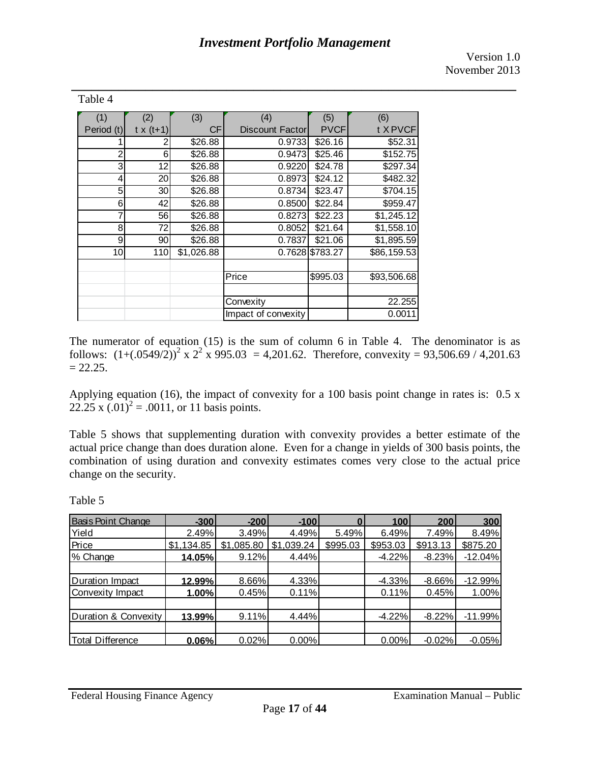Version 1.0 November 2013

| (1)        | (2)              | (3)        | (4)                 | (5)             | (6)         |
|------------|------------------|------------|---------------------|-----------------|-------------|
| Period (t) | $t \times (t+1)$ | СF         | Discount Factor     | <b>PVCF</b>     | t X PVCF    |
|            |                  | \$26.88    | 0.9733              | \$26.16         | \$52.31     |
| 2          | 6                | \$26.88    | 0.9473              | \$25.46         | \$152.75    |
| 3          | 12               | \$26.88    | 0.9220              | \$24.78         | \$297.34    |
| 4          | 20               | \$26.88    | 0.8973              | \$24.12         | \$482.32    |
| 5          | 30               | \$26.88    | 0.8734              | \$23.47         | \$704.15    |
| 6          | 42               | \$26.88    | 0.8500              | \$22.84         | \$959.47    |
| 7          | 56               | \$26.88    | 0.8273              | \$22.23         | \$1,245.12  |
| 8          | 72               | \$26.88    | 0.8052              | \$21.64         | \$1,558.10  |
| 9          | 90               | \$26.88    | 0.7837              | \$21.06         | \$1,895.59  |
| 10         | 110              | \$1,026.88 |                     | 0.7628 \$783.27 | \$86,159.53 |
|            |                  |            |                     |                 |             |
|            |                  |            | Price               | \$995.03        | \$93,506.68 |
|            |                  |            |                     |                 |             |
|            |                  |            | Convexity           |                 | 22.255      |
|            |                  |            | Impact of convexity |                 | 0.0011      |

The numerator of equation (15) is the sum of column 6 in Table 4. The denominator is as follows:  $(1+(0.0549/2))^2$  x  $2^2$  x 995.03 = 4,201.62. Therefore, convexity = 93,506.69 / 4,201.63  $= 22.25.$ 

Applying equation (16), the impact of convexity for a 100 basis point change in rates is: 0.5 x 22.25 x  $(.01)^2 = .0011$ , or 11 basis points.

Table 5 shows that supplementing duration with convexity provides a better estimate of the actual price change than does duration alone. Even for a change in yields of 300 basis points, the combination of using duration and convexity estimates comes very close to the actual price change on the security.

Table 4

| <b>Basis Point Change</b> | $-300$     | $-200$     | $-100$     | $\bf{0}$ | 100      | 200      | 300       |
|---------------------------|------------|------------|------------|----------|----------|----------|-----------|
| Yield                     | 2.49%      | 3.49%      | 4.49%      | 5.49%    | 6.49%    | 7.49%    | 8.49%     |
| Price                     | \$1,134.85 | \$1,085.80 | \$1,039.24 | \$995.03 | \$953.03 | \$913.13 | \$875.20  |
| % Change                  | 14.05%     | 9.12%      | 4.44%      |          | $-4.22%$ | $-8.23%$ | $-12.04%$ |
|                           |            |            |            |          |          |          |           |
| Duration Impact           | 12.99%     | 8.66%      | 4.33%      |          | $-4.33%$ | $-8.66%$ | $-12.99%$ |
| Convexity Impact          | 1.00%      | 0.45%      | 0.11%      |          | 0.11%    | 0.45%    | 1.00%     |
|                           |            |            |            |          |          |          |           |
| Duration & Convexity      | 13.99%     | 9.11%      | 4.44%      |          | $-4.22%$ | $-8.22%$ | $-11.99%$ |
|                           |            |            |            |          |          |          |           |
| <b>Total Difference</b>   | 0.06%      | 0.02%      | 0.00%      |          | 0.00%    | $-0.02%$ | $-0.05%$  |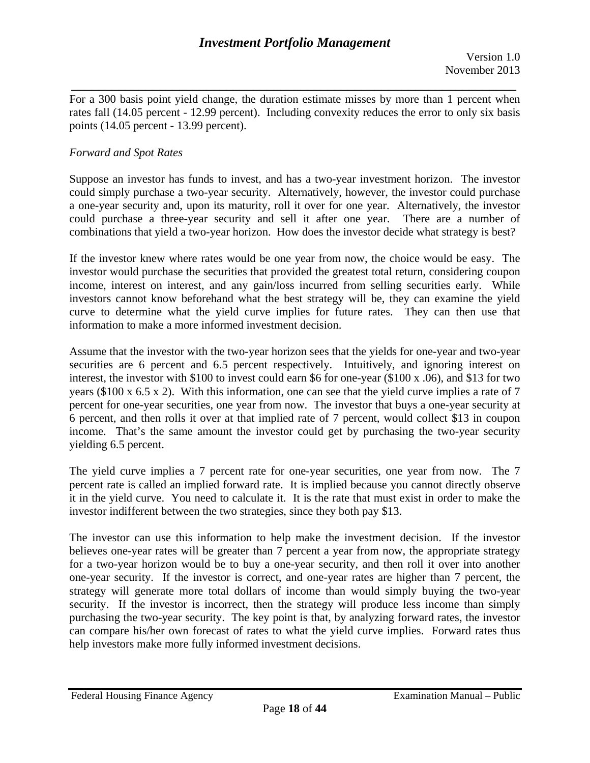*\_\_\_\_\_\_\_\_\_\_\_\_\_\_\_\_\_\_\_\_\_\_\_\_\_\_\_\_\_\_\_\_\_\_\_\_\_\_\_\_\_\_\_\_\_\_\_\_\_\_\_\_\_\_\_\_\_\_\_\_\_\_\_\_\_\_*  For a 300 basis point yield change, the duration estimate misses by more than 1 percent when rates fall (14.05 percent - 12.99 percent). Including convexity reduces the error to only six basis points (14.05 percent - 13.99 percent).

## *Forward and Spot Rates*

Suppose an investor has funds to invest, and has a two-year investment horizon. The investor could simply purchase a two-year security. Alternatively, however, the investor could purchase a one-year security and, upon its maturity, roll it over for one year. Alternatively, the investor could purchase a three-year security and sell it after one year. There are a number of combinations that yield a two-year horizon. How does the investor decide what strategy is best?

If the investor knew where rates would be one year from now, the choice would be easy. The investor would purchase the securities that provided the greatest total return, considering coupon income, interest on interest, and any gain/loss incurred from selling securities early. While investors cannot know beforehand what the best strategy will be, they can examine the yield curve to determine what the yield curve implies for future rates. They can then use that information to make a more informed investment decision.

Assume that the investor with the two-year horizon sees that the yields for one-year and two-year securities are 6 percent and 6.5 percent respectively. Intuitively, and ignoring interest on interest, the investor with \$100 to invest could earn \$6 for one-year (\$100 x .06), and \$13 for two years (\$100 x 6.5 x 2). With this information, one can see that the yield curve implies a rate of 7 percent for one-year securities, one year from now. The investor that buys a one-year security at 6 percent, and then rolls it over at that implied rate of 7 percent, would collect \$13 in coupon income. That's the same amount the investor could get by purchasing the two-year security yielding 6.5 percent.

The yield curve implies a 7 percent rate for one-year securities, one year from now. The 7 percent rate is called an implied forward rate. It is implied because you cannot directly observe it in the yield curve. You need to calculate it. It is the rate that must exist in order to make the investor indifferent between the two strategies, since they both pay \$13.

The investor can use this information to help make the investment decision. If the investor believes one-year rates will be greater than 7 percent a year from now, the appropriate strategy for a two-year horizon would be to buy a one-year security, and then roll it over into another one-year security. If the investor is correct, and one-year rates are higher than 7 percent, the strategy will generate more total dollars of income than would simply buying the two-year security. If the investor is incorrect, then the strategy will produce less income than simply purchasing the two-year security. The key point is that, by analyzing forward rates, the investor can compare his/her own forecast of rates to what the yield curve implies. Forward rates thus help investors make more fully informed investment decisions.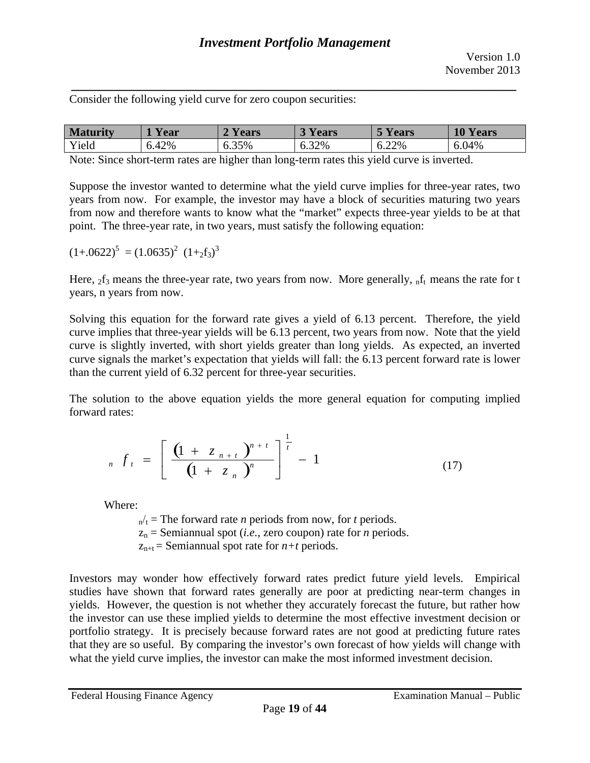Consider the following yield curve for zero coupon securities:

| <b>M</b> | r ear | ears  | ears  | ears       | 10Y<br>ears |
|----------|-------|-------|-------|------------|-------------|
| Yield    | 6.42% | 6.35% | 6.32% | 6.22%<br>h | 6.04%       |

Note: Since short-term rates are higher than long-term rates this yield curve is inverted.

Suppose the investor wanted to determine what the yield curve implies for three-year rates, two years from now. For example, the investor may have a block of securities maturing two years from now and therefore wants to know what the "market" expects three-year yields to be at that point. The three-year rate, in two years, must satisfy the following equation:

$$
(1+.0622)^5 = (1.0635)^2 (1+zf_3)^3
$$

Here,  $_2f_3$  means the three-year rate, two years from now. More generally,  $_nf_t$  means the rate for t years, n years from now.

Solving this equation for the forward rate gives a yield of 6.13 percent. Therefore, the yield curve implies that three-year yields will be 6.13 percent, two years from now. Note that the yield curve is slightly inverted, with short yields greater than long yields. As expected, an inverted curve signals the market's expectation that yields will fall: the 6.13 percent forward rate is lower than the current yield of 6.32 percent for three-year securities.

The solution to the above equation yields the more general equation for computing implied forward rates:

$$
_{n} f_{t} = \left[ \frac{\left(1 + z_{n+t}\right)^{n+t}}{\left(1 + z_{n}\right)^{n}} \right]^{\frac{1}{t}} - 1 \tag{17}
$$

Where:

 $n_t =$ The forward rate *n* periods from now, for *t* periods.  $z_n$  = Semiannual spot (*i.e.*, zero coupon) rate for *n* periods.  $z_{n+t}$  = Semiannual spot rate for  $n+t$  periods.

Investors may wonder how effectively forward rates predict future yield levels. Empirical studies have shown that forward rates generally are poor at predicting near-term changes in yields. However, the question is not whether they accurately forecast the future, but rather how the investor can use these implied yields to determine the most effective investment decision or portfolio strategy. It is precisely because forward rates are not good at predicting future rates that they are so useful. By comparing the investor's own forecast of how yields will change with what the yield curve implies, the investor can make the most informed investment decision.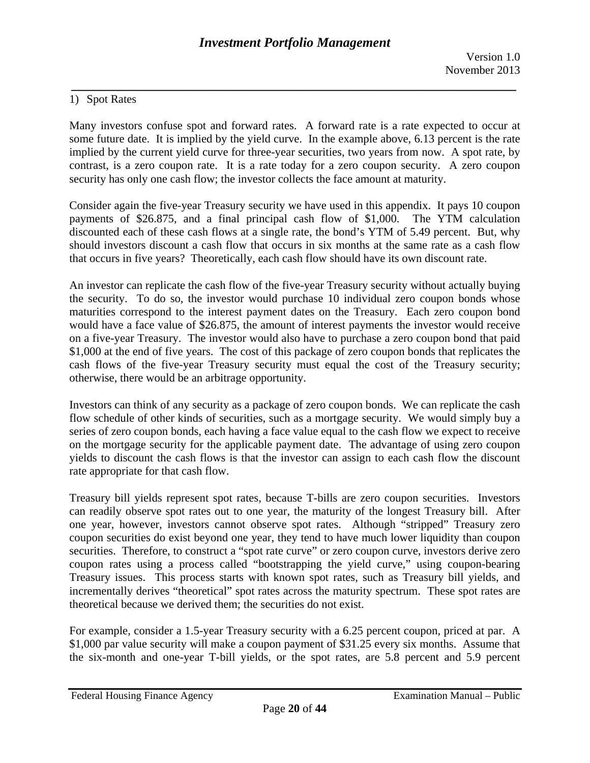## 1) Spot Rates

Many investors confuse spot and forward rates. A forward rate is a rate expected to occur at some future date. It is implied by the yield curve. In the example above, 6.13 percent is the rate implied by the current yield curve for three-year securities, two years from now. A spot rate, by contrast, is a zero coupon rate. It is a rate today for a zero coupon security. A zero coupon security has only one cash flow; the investor collects the face amount at maturity.

Consider again the five-year Treasury security we have used in this appendix. It pays 10 coupon payments of \$26.875, and a final principal cash flow of \$1,000. The YTM calculation discounted each of these cash flows at a single rate, the bond's YTM of 5.49 percent. But, why should investors discount a cash flow that occurs in six months at the same rate as a cash flow that occurs in five years? Theoretically, each cash flow should have its own discount rate.

An investor can replicate the cash flow of the five-year Treasury security without actually buying the security. To do so, the investor would purchase 10 individual zero coupon bonds whose maturities correspond to the interest payment dates on the Treasury. Each zero coupon bond would have a face value of \$26.875, the amount of interest payments the investor would receive on a five-year Treasury. The investor would also have to purchase a zero coupon bond that paid \$1,000 at the end of five years. The cost of this package of zero coupon bonds that replicates the cash flows of the five-year Treasury security must equal the cost of the Treasury security; otherwise, there would be an arbitrage opportunity.

Investors can think of any security as a package of zero coupon bonds. We can replicate the cash flow schedule of other kinds of securities, such as a mortgage security. We would simply buy a series of zero coupon bonds, each having a face value equal to the cash flow we expect to receive on the mortgage security for the applicable payment date. The advantage of using zero coupon yields to discount the cash flows is that the investor can assign to each cash flow the discount rate appropriate for that cash flow.

Treasury bill yields represent spot rates, because T-bills are zero coupon securities. Investors can readily observe spot rates out to one year, the maturity of the longest Treasury bill. After one year, however, investors cannot observe spot rates. Although "stripped" Treasury zero coupon securities do exist beyond one year, they tend to have much lower liquidity than coupon securities. Therefore, to construct a "spot rate curve" or zero coupon curve, investors derive zero coupon rates using a process called "bootstrapping the yield curve," using coupon-bearing Treasury issues. This process starts with known spot rates, such as Treasury bill yields, and incrementally derives "theoretical" spot rates across the maturity spectrum. These spot rates are theoretical because we derived them; the securities do not exist.

For example, consider a 1.5-year Treasury security with a 6.25 percent coupon, priced at par. A \$1,000 par value security will make a coupon payment of \$31.25 every six months. Assume that the six-month and one-year T-bill yields, or the spot rates, are 5.8 percent and 5.9 percent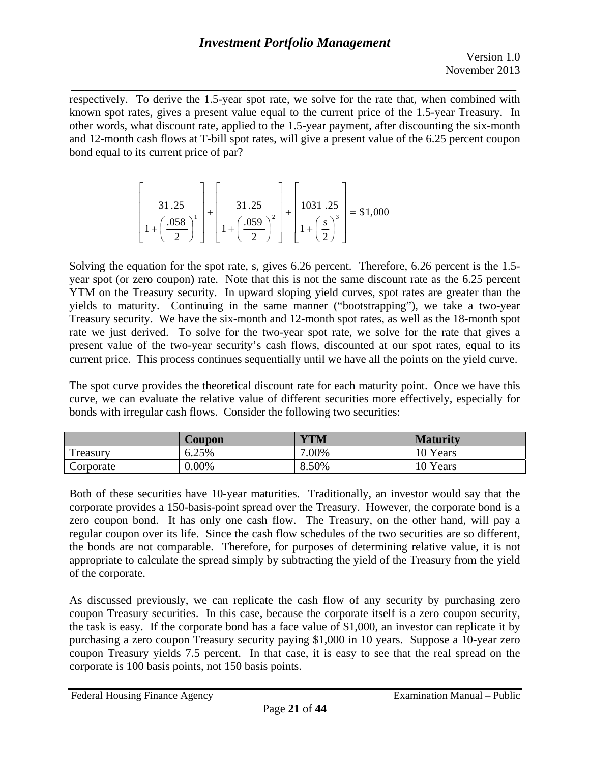*\_\_\_\_\_\_\_\_\_\_\_\_\_\_\_\_\_\_\_\_\_\_\_\_\_\_\_\_\_\_\_\_\_\_\_\_\_\_\_\_\_\_\_\_\_\_\_\_\_\_\_\_\_\_\_\_\_\_\_\_\_\_\_\_\_\_*  respectively. To derive the 1.5-year spot rate, we solve for the rate that, when combined with known spot rates, gives a present value equal to the current price of the 1.5-year Treasury. In other words, what discount rate, applied to the 1.5-year payment, after discounting the six-month and 12-month cash flows at T-bill spot rates, will give a present value of the 6.25 percent coupon bond equal to its current price of par?

$$
\left[\frac{31.25}{1 + \left(\frac{.058}{2}\right)^{1}}\right] + \left[\frac{31.25}{1 + \left(\frac{.059}{2}\right)^{2}}\right] + \left[\frac{1031.25}{1 + \left(\frac{s}{2}\right)^{3}}\right] = $1,000
$$

Solving the equation for the spot rate, s, gives 6.26 percent. Therefore, 6.26 percent is the 1.5year spot (or zero coupon) rate. Note that this is not the same discount rate as the 6.25 percent YTM on the Treasury security. In upward sloping yield curves, spot rates are greater than the yields to maturity. Continuing in the same manner ("bootstrapping"), we take a two-year Treasury security. We have the six-month and 12-month spot rates, as well as the 18-month spot rate we just derived. To solve for the two-year spot rate, we solve for the rate that gives a present value of the two-year security's cash flows, discounted at our spot rates, equal to its current price. This process continues sequentially until we have all the points on the yield curve.

The spot curve provides the theoretical discount rate for each maturity point. Once we have this curve, we can evaluate the relative value of different securities more effectively, especially for bonds with irregular cash flows. Consider the following two securities:

|           | Coupon | <b>YTM</b> | <b>Maturity</b> |
|-----------|--------|------------|-----------------|
| Treasury  | 6.25%  | 7.00%      | 10 Years        |
| Corporate | 0.00%  | 8.50%      | 10 Years        |

Both of these securities have 10-year maturities. Traditionally, an investor would say that the corporate provides a 150-basis-point spread over the Treasury. However, the corporate bond is a zero coupon bond. It has only one cash flow. The Treasury, on the other hand, will pay a regular coupon over its life. Since the cash flow schedules of the two securities are so different, the bonds are not comparable. Therefore, for purposes of determining relative value, it is not appropriate to calculate the spread simply by subtracting the yield of the Treasury from the yield of the corporate.

As discussed previously, we can replicate the cash flow of any security by purchasing zero coupon Treasury securities. In this case, because the corporate itself is a zero coupon security, the task is easy. If the corporate bond has a face value of \$1,000, an investor can replicate it by purchasing a zero coupon Treasury security paying \$1,000 in 10 years. Suppose a 10-year zero coupon Treasury yields 7.5 percent. In that case, it is easy to see that the real spread on the corporate is 100 basis points, not 150 basis points.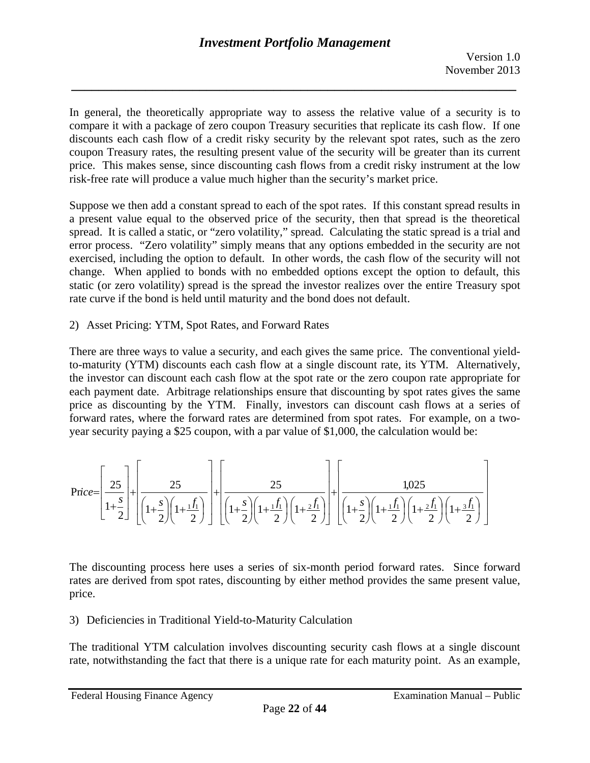In general, the theoretically appropriate way to assess the relative value of a security is to compare it with a package of zero coupon Treasury securities that replicate its cash flow. If one discounts each cash flow of a credit risky security by the relevant spot rates, such as the zero coupon Treasury rates, the resulting present value of the security will be greater than its current price. This makes sense, since discounting cash flows from a credit risky instrument at the low risk-free rate will produce a value much higher than the security's market price.

Suppose we then add a constant spread to each of the spot rates. If this constant spread results in a present value equal to the observed price of the security, then that spread is the theoretical spread. It is called a static, or "zero volatility," spread. Calculating the static spread is a trial and error process. "Zero volatility" simply means that any options embedded in the security are not exercised, including the option to default. In other words, the cash flow of the security will not change. When applied to bonds with no embedded options except the option to default, this static (or zero volatility) spread is the spread the investor realizes over the entire Treasury spot rate curve if the bond is held until maturity and the bond does not default.

# 2) Asset Pricing: YTM, Spot Rates, and Forward Rates

There are three ways to value a security, and each gives the same price. The conventional yieldto-maturity (YTM) discounts each cash flow at a single discount rate, its YTM. Alternatively, the investor can discount each cash flow at the spot rate or the zero coupon rate appropriate for each payment date. Arbitrage relationships ensure that discounting by spot rates gives the same price as discounting by the YTM. Finally, investors can discount cash flows at a series of forward rates, where the forward rates are determined from spot rates. For example, on a twoyear security paying a \$25 coupon, with a par value of \$1,000, the calculation would be:

$$
Price = \left[\frac{25}{1+\frac{s}{2}}\right] + \left[\frac{25}{\left(1+\frac{s}{2}\right)\left(1+\frac{1}{1}\right)}\right] + \left[\frac{25}{\left(1+\frac{s}{2}\right)\left(1+\frac{1}{1}\right)\left(1+\frac{2}{1}\right)}\right] + \left[\frac{1,025}{\left(1+\frac{s}{2}\right)\left(1+\frac{1}{2}\right)\left(1+\frac{2}{1}\right)\left(1+\frac{2}{1}\right)}\right]
$$

The discounting process here uses a series of six-month period forward rates. Since forward rates are derived from spot rates, discounting by either method provides the same present value, price.

# 3) Deficiencies in Traditional Yield-to-Maturity Calculation

The traditional YTM calculation involves discounting security cash flows at a single discount rate, notwithstanding the fact that there is a unique rate for each maturity point. As an example,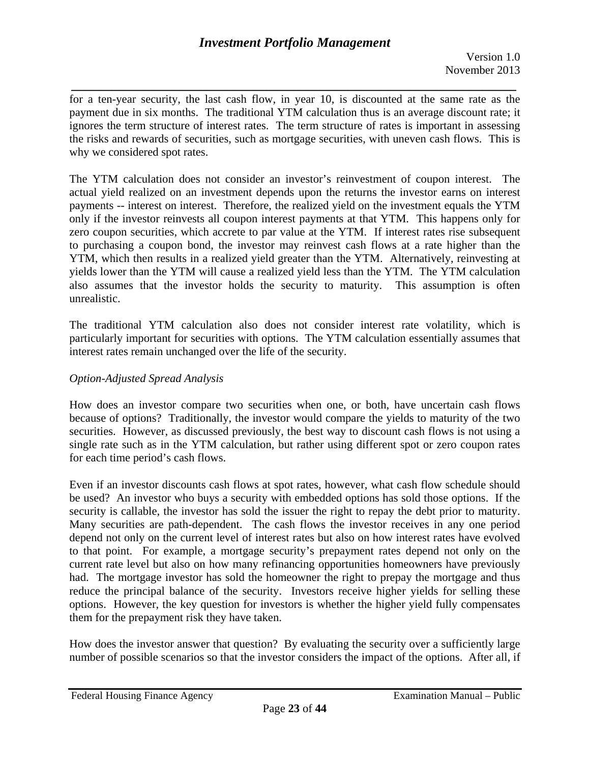*\_\_\_\_\_\_\_\_\_\_\_\_\_\_\_\_\_\_\_\_\_\_\_\_\_\_\_\_\_\_\_\_\_\_\_\_\_\_\_\_\_\_\_\_\_\_\_\_\_\_\_\_\_\_\_\_\_\_\_\_\_\_\_\_\_\_*  for a ten-year security, the last cash flow, in year 10, is discounted at the same rate as the payment due in six months. The traditional YTM calculation thus is an average discount rate; it ignores the term structure of interest rates. The term structure of rates is important in assessing the risks and rewards of securities, such as mortgage securities, with uneven cash flows. This is why we considered spot rates.

The YTM calculation does not consider an investor's reinvestment of coupon interest. The actual yield realized on an investment depends upon the returns the investor earns on interest payments -- interest on interest. Therefore, the realized yield on the investment equals the YTM only if the investor reinvests all coupon interest payments at that YTM. This happens only for zero coupon securities, which accrete to par value at the YTM. If interest rates rise subsequent to purchasing a coupon bond, the investor may reinvest cash flows at a rate higher than the YTM, which then results in a realized yield greater than the YTM. Alternatively, reinvesting at yields lower than the YTM will cause a realized yield less than the YTM. The YTM calculation also assumes that the investor holds the security to maturity. This assumption is often unrealistic.

The traditional YTM calculation also does not consider interest rate volatility, which is particularly important for securities with options. The YTM calculation essentially assumes that interest rates remain unchanged over the life of the security.

# *Option-Adjusted Spread Analysis*

How does an investor compare two securities when one, or both, have uncertain cash flows because of options? Traditionally, the investor would compare the yields to maturity of the two securities. However, as discussed previously, the best way to discount cash flows is not using a single rate such as in the YTM calculation, but rather using different spot or zero coupon rates for each time period's cash flows.

Even if an investor discounts cash flows at spot rates, however, what cash flow schedule should be used? An investor who buys a security with embedded options has sold those options. If the security is callable, the investor has sold the issuer the right to repay the debt prior to maturity. Many securities are path-dependent. The cash flows the investor receives in any one period depend not only on the current level of interest rates but also on how interest rates have evolved to that point. For example, a mortgage security's prepayment rates depend not only on the current rate level but also on how many refinancing opportunities homeowners have previously had. The mortgage investor has sold the homeowner the right to prepay the mortgage and thus reduce the principal balance of the security. Investors receive higher yields for selling these options. However, the key question for investors is whether the higher yield fully compensates them for the prepayment risk they have taken.

How does the investor answer that question? By evaluating the security over a sufficiently large number of possible scenarios so that the investor considers the impact of the options. After all, if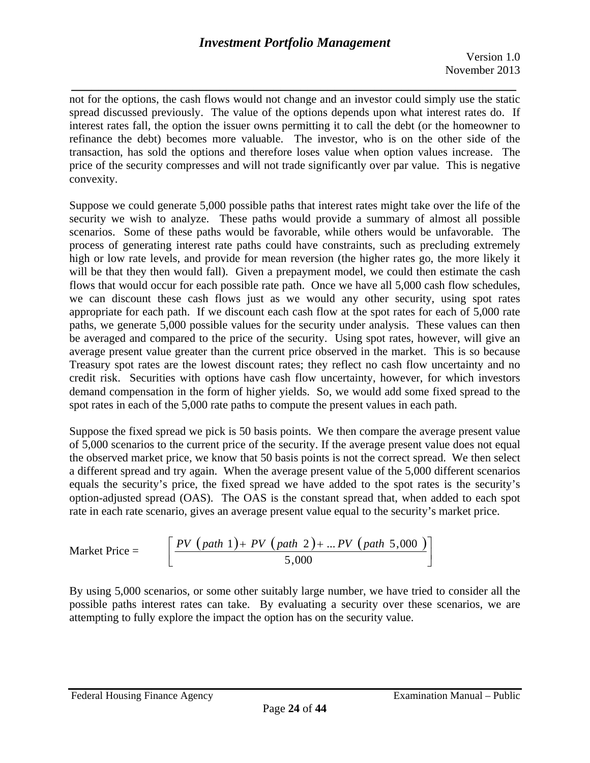*\_\_\_\_\_\_\_\_\_\_\_\_\_\_\_\_\_\_\_\_\_\_\_\_\_\_\_\_\_\_\_\_\_\_\_\_\_\_\_\_\_\_\_\_\_\_\_\_\_\_\_\_\_\_\_\_\_\_\_\_\_\_\_\_\_\_*  not for the options, the cash flows would not change and an investor could simply use the static spread discussed previously. The value of the options depends upon what interest rates do. If interest rates fall, the option the issuer owns permitting it to call the debt (or the homeowner to refinance the debt) becomes more valuable. The investor, who is on the other side of the transaction, has sold the options and therefore loses value when option values increase. The price of the security compresses and will not trade significantly over par value. This is negative convexity.

Suppose we could generate 5,000 possible paths that interest rates might take over the life of the security we wish to analyze. These paths would provide a summary of almost all possible scenarios. Some of these paths would be favorable, while others would be unfavorable. The process of generating interest rate paths could have constraints, such as precluding extremely high or low rate levels, and provide for mean reversion (the higher rates go, the more likely it will be that they then would fall). Given a prepayment model, we could then estimate the cash flows that would occur for each possible rate path. Once we have all 5,000 cash flow schedules, we can discount these cash flows just as we would any other security, using spot rates appropriate for each path. If we discount each cash flow at the spot rates for each of 5,000 rate paths, we generate 5,000 possible values for the security under analysis. These values can then be averaged and compared to the price of the security. Using spot rates, however, will give an average present value greater than the current price observed in the market. This is so because Treasury spot rates are the lowest discount rates; they reflect no cash flow uncertainty and no credit risk. Securities with options have cash flow uncertainty, however, for which investors demand compensation in the form of higher yields. So, we would add some fixed spread to the spot rates in each of the 5,000 rate paths to compute the present values in each path.

Suppose the fixed spread we pick is 50 basis points. We then compare the average present value of 5,000 scenarios to the current price of the security. If the average present value does not equal the observed market price, we know that 50 basis points is not the correct spread. We then select a different spread and try again. When the average present value of the 5,000 different scenarios equals the security's price, the fixed spread we have added to the spot rates is the security's option-adjusted spread (OAS). The OAS is the constant spread that, when added to each spot rate in each rate scenario, gives an average present value equal to the security's market price.

Market Price = 
$$
\left[ \frac{PV (path 1) + PV (path 2) + ... PV (path 5,000)}{5,000} \right]
$$

By using 5,000 scenarios, or some other suitably large number, we have tried to consider all the possible paths interest rates can take. By evaluating a security over these scenarios, we are attempting to fully explore the impact the option has on the security value.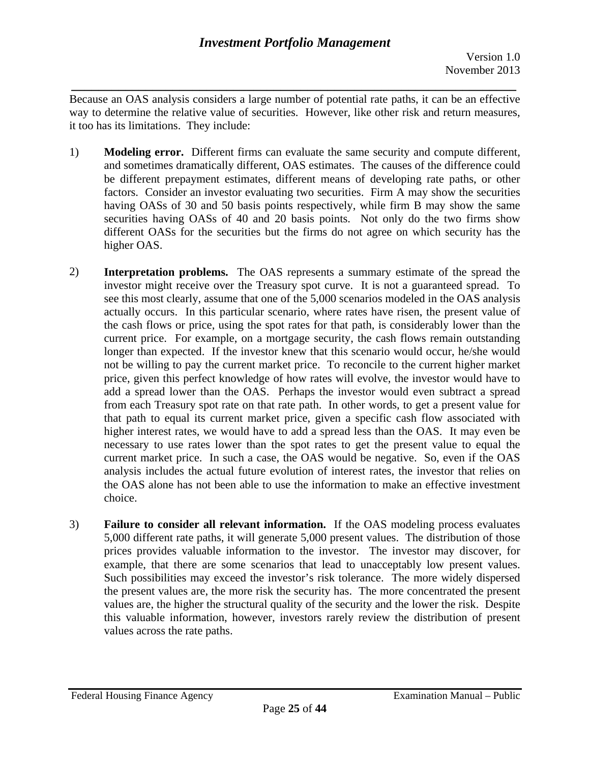Version 1.0 November 2013

*\_\_\_\_\_\_\_\_\_\_\_\_\_\_\_\_\_\_\_\_\_\_\_\_\_\_\_\_\_\_\_\_\_\_\_\_\_\_\_\_\_\_\_\_\_\_\_\_\_\_\_\_\_\_\_\_\_\_\_\_\_\_\_\_\_\_*  Because an OAS analysis considers a large number of potential rate paths, it can be an effective way to determine the relative value of securities. However, like other risk and return measures, it too has its limitations. They include:

- 1) **Modeling error.** Different firms can evaluate the same security and compute different, and sometimes dramatically different, OAS estimates. The causes of the difference could be different prepayment estimates, different means of developing rate paths, or other factors. Consider an investor evaluating two securities. Firm A may show the securities having OASs of 30 and 50 basis points respectively, while firm B may show the same securities having OASs of 40 and 20 basis points. Not only do the two firms show different OASs for the securities but the firms do not agree on which security has the higher OAS.
- 2) **Interpretation problems.** The OAS represents a summary estimate of the spread the investor might receive over the Treasury spot curve. It is not a guaranteed spread. To see this most clearly, assume that one of the 5,000 scenarios modeled in the OAS analysis actually occurs. In this particular scenario, where rates have risen, the present value of the cash flows or price, using the spot rates for that path, is considerably lower than the current price. For example, on a mortgage security, the cash flows remain outstanding longer than expected. If the investor knew that this scenario would occur, he/she would not be willing to pay the current market price. To reconcile to the current higher market price, given this perfect knowledge of how rates will evolve, the investor would have to add a spread lower than the OAS. Perhaps the investor would even subtract a spread from each Treasury spot rate on that rate path. In other words, to get a present value for that path to equal its current market price, given a specific cash flow associated with higher interest rates, we would have to add a spread less than the OAS. It may even be necessary to use rates lower than the spot rates to get the present value to equal the current market price. In such a case, the OAS would be negative. So, even if the OAS analysis includes the actual future evolution of interest rates, the investor that relies on the OAS alone has not been able to use the information to make an effective investment choice.
- example, that there are some scenarios that lead to unacceptably low present values. 3) **Failure to consider all relevant information.** If the OAS modeling process evaluates 5,000 different rate paths, it will generate 5,000 present values. The distribution of those prices provides valuable information to the investor. The investor may discover, for Such possibilities may exceed the investor's risk tolerance. The more widely dispersed the present values are, the more risk the security has. The more concentrated the present values are, the higher the structural quality of the security and the lower the risk. Despite this valuable information, however, investors rarely review the distribution of present values across the rate paths.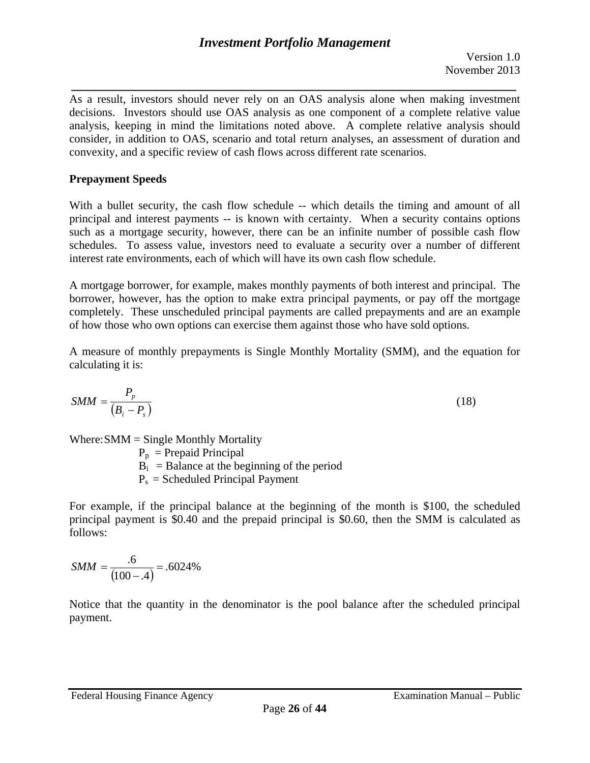*\_\_\_\_\_\_\_\_\_\_\_\_\_\_\_\_\_\_\_\_\_\_\_\_\_\_\_\_\_\_\_\_\_\_\_\_\_\_\_\_\_\_\_\_\_\_\_\_\_\_\_\_\_\_\_\_\_\_\_\_\_\_\_\_\_\_*  As a result, investors should never rely on an OAS analysis alone when making investment decisions. Investors should use OAS analysis as one component of a complete relative value analysis, keeping in mind the limitations noted above. A complete relative analysis should consider, in addition to OAS, scenario and total return analyses, an assessment of duration and convexity, and a specific review of cash flows across different rate scenarios.

### **Prepayment Speeds**

With a bullet security, the cash flow schedule -- which details the timing and amount of all principal and interest payments -- is known with certainty. When a security contains options such as a mortgage security, however, there can be an infinite number of possible cash flow schedules. To assess value, investors need to evaluate a security over a number of different interest rate environments, each of which will have its own cash flow schedule.

A mortgage borrower, for example, makes monthly payments of both interest and principal. The borrower, however, has the option to make extra principal payments, or pay off the mortgage completely. These unscheduled principal payments are called prepayments and are an example of how those who own options can exercise them against those who have sold options.

A measure of monthly prepayments is Single Monthly Mortality (SMM), and the equation for calculating it is:

$$
SMM = \frac{P_p}{\left(B_i - P_s\right)}\tag{18}
$$

Where: $SMM =$  Single Monthly Mortality

 $P_p$  = Prepaid Principal

 $B_i$  = Balance at the beginning of the period

 $P_s$  = Scheduled Principal Payment

For example, if the principal balance at the beginning of the month is \$100, the scheduled principal payment is \$0.40 and the prepaid principal is \$0.60, then the SMM is calculated as follows:

$$
SMM = \frac{.6}{(100 - .4)} = .6024\%
$$

Notice that the quantity in the denominator is the pool balance after the scheduled principal payment.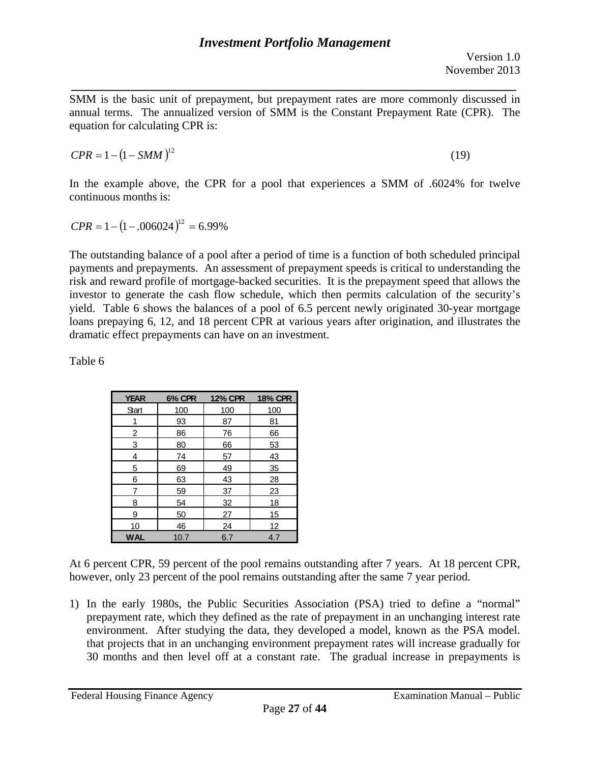*\_\_\_\_\_\_\_\_\_\_\_\_\_\_\_\_\_\_\_\_\_\_\_\_\_\_\_\_\_\_\_\_\_\_\_\_\_\_\_\_\_\_\_\_\_\_\_\_\_\_\_\_\_\_\_\_\_\_\_\_\_\_\_\_\_\_*  SMM is the basic unit of prepayment, but prepayment rates are more commonly discussed in annual terms. The annualized version of SMM is the Constant Prepayment Rate (CPR). The equation for calculating CPR is:

$$
CPR = 1 - (1 - SMM)^{12} \tag{19}
$$

In the example above, the CPR for a pool that experiences a SMM of .6024% for twelve continuous months is:

$$
CPR = 1 - (1 - .006024)^{12} = 6.99\%
$$

The outstanding balance of a pool after a period of time is a function of both scheduled principal payments and prepayments. An assessment of prepayment speeds is critical to understanding the risk and reward profile of mortgage-backed securities. It is the prepayment speed that allows the investor to generate the cash flow schedule, which then permits calculation of the security's yield. Table 6 shows the balances of a pool of 6.5 percent newly originated 30-year mortgage loans prepaying 6, 12, and 18 percent CPR at various years after origination, and illustrates the dramatic effect prepayments can have on an investment.

Table 6

| <b>YEAR</b> | 6% CPR     | <b>12% CPR</b> | <b>18% CPR</b> |  |
|-------------|------------|----------------|----------------|--|
| Start       | <u>100</u> | <u>100</u>     | <u>100</u>     |  |
|             | 93         | 87             | 81             |  |
| 2           | 86         | 76             | 66             |  |
| 3           | 80         | 66             | 53             |  |
| 4           | 74         | 57             | 43             |  |
| 5           | 69         | 49             | 35             |  |
| 6           | 63         | 43             | 28             |  |
| 7           | 59         | 37             | 23             |  |
| 8           | 54         | 32             | 18             |  |
| 9           | 50         | 27             | 15             |  |
| 10          | 46         | 24             | 12             |  |
| <b>WAL</b>  | 10.7       | 6.7            | 4.7            |  |

At 6 percent CPR, 59 percent of the pool remains outstanding after 7 years. At 18 percent CPR, however, only 23 percent of the pool remains outstanding after the same 7 year period.

1) In the early 1980s, the Public Securities Association (PSA) tried to define a "normal" prepayment rate, which they defined as the rate of prepayment in an unchanging interest rate environment. After studying the data, they developed a model, known as the PSA model. that projects that in an unchanging environment prepayment rates will increase gradually for 30 months and then level off at a constant rate. The gradual increase in prepayments is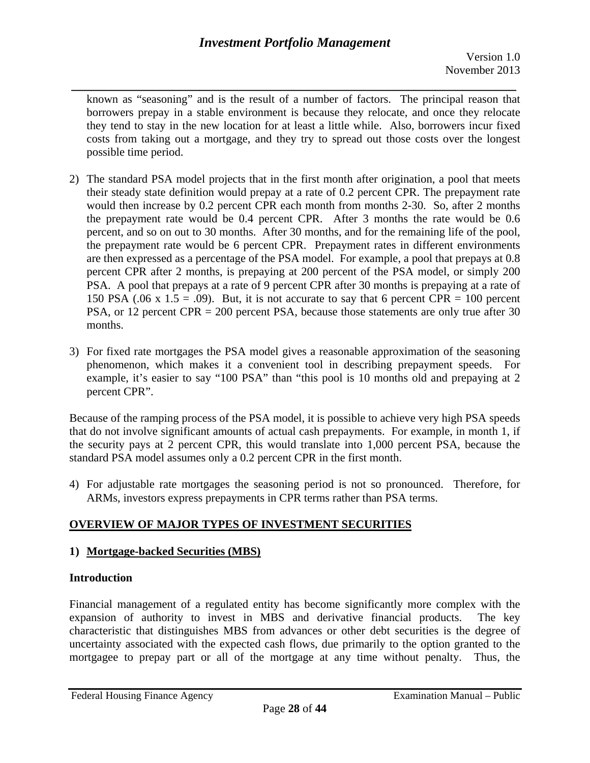*\_\_\_\_\_\_\_\_\_\_\_\_\_\_\_\_\_\_\_\_\_\_\_\_\_\_\_\_\_\_\_\_\_\_\_\_\_\_\_\_\_\_\_\_\_\_\_\_\_\_\_\_\_\_\_\_\_\_\_\_\_\_\_\_\_\_*  known as "seasoning" and is the result of a number of factors. The principal reason that borrowers prepay in a stable environment is because they relocate, and once they relocate they tend to stay in the new location for at least a little while. Also, borrowers incur fixed costs from taking out a mortgage, and they try to spread out those costs over the longest possible time period.

- 2) The standard PSA model projects that in the first month after origination, a pool that meets their steady state definition would prepay at a rate of 0.2 percent CPR. The prepayment rate would then increase by 0.2 percent CPR each month from months 2-30. So, after 2 months the prepayment rate would be 0.4 percent CPR. After 3 months the rate would be 0.6 percent, and so on out to 30 months. After 30 months, and for the remaining life of the pool, the prepayment rate would be 6 percent CPR. Prepayment rates in different environments are then expressed as a percentage of the PSA model. For example, a pool that prepays at 0.8 percent CPR after 2 months, is prepaying at 200 percent of the PSA model, or simply 200 PSA. A pool that prepays at a rate of 9 percent CPR after 30 months is prepaying at a rate of 150 PSA (.06 x 1.5 = .09). But, it is not accurate to say that 6 percent CPR = 100 percent PSA, or 12 percent CPR = 200 percent PSA, because those statements are only true after 30 months.
- 3) For fixed rate mortgages the PSA model gives a reasonable approximation of the seasoning phenomenon, which makes it a convenient tool in describing prepayment speeds. For example, it's easier to say "100 PSA" than "this pool is 10 months old and prepaying at 2 percent CPR".

Because of the ramping process of the PSA model, it is possible to achieve very high PSA speeds that do not involve significant amounts of actual cash prepayments. For example, in month 1, if the security pays at 2 percent CPR, this would translate into 1,000 percent PSA, because the standard PSA model assumes only a 0.2 percent CPR in the first month.

4) For adjustable rate mortgages the seasoning period is not so pronounced. Therefore, for ARMs, investors express prepayments in CPR terms rather than PSA terms.

# **OVERVIEW OF MAJOR TYPES OF INVESTMENT SECURITIES**

# **1) Mortgage-backed Securities (MBS)**

# **Introduction**

Financial management of a regulated entity has become significantly more complex with the expansion of authority to invest in MBS and derivative financial products. The key characteristic that distinguishes MBS from advances or other debt securities is the degree of uncertainty associated with the expected cash flows, due primarily to the option granted to the mortgagee to prepay part or all of the mortgage at any time without penalty. Thus, the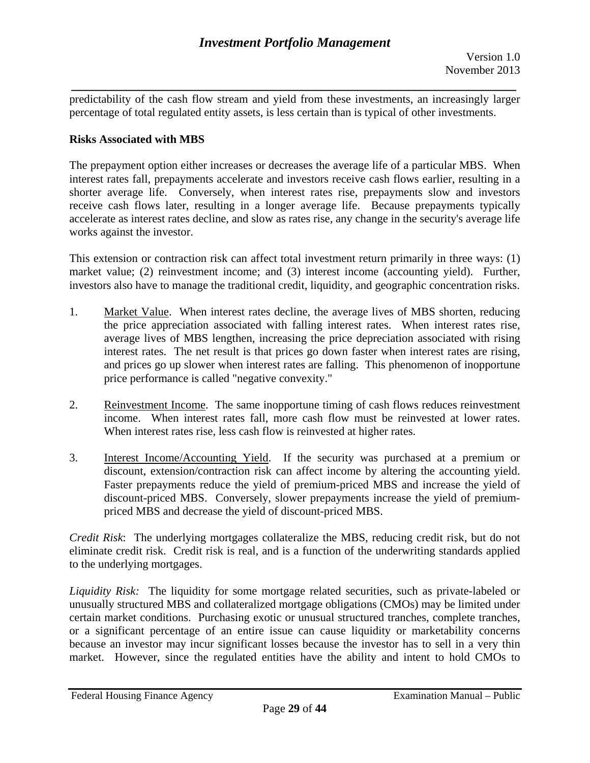*\_\_\_\_\_\_\_\_\_\_\_\_\_\_\_\_\_\_\_\_\_\_\_\_\_\_\_\_\_\_\_\_\_\_\_\_\_\_\_\_\_\_\_\_\_\_\_\_\_\_\_\_\_\_\_\_\_\_\_\_\_\_\_\_\_\_*  predictability of the cash flow stream and yield from these investments, an increasingly larger percentage of total regulated entity assets, is less certain than is typical of other investments.

#### **Risks Associated with MBS**

The prepayment option either increases or decreases the average life of a particular MBS. When interest rates fall, prepayments accelerate and investors receive cash flows earlier, resulting in a shorter average life. Conversely, when interest rates rise, prepayments slow and investors receive cash flows later, resulting in a longer average life. Because prepayments typically accelerate as interest rates decline, and slow as rates rise, any change in the security's average life works against the investor.

This extension or contraction risk can affect total investment return primarily in three ways: (1) market value; (2) reinvestment income; and (3) interest income (accounting yield). Further, investors also have to manage the traditional credit, liquidity, and geographic concentration risks.

- 1. Market Value. When interest rates decline, the average lives of MBS shorten, reducing the price appreciation associated with falling interest rates. When interest rates rise, average lives of MBS lengthen, increasing the price depreciation associated with rising interest rates. The net result is that prices go down faster when interest rates are rising, and prices go up slower when interest rates are falling. This phenomenon of inopportune price performance is called "negative convexity."
- 2. Reinvestment Income. The same inopportune timing of cash flows reduces reinvestment income. When interest rates fall, more cash flow must be reinvested at lower rates. When interest rates rise, less cash flow is reinvested at higher rates.
- 3. Interest Income/Accounting Yield. If the security was purchased at a premium or discount, extension/contraction risk can affect income by altering the accounting yield. Faster prepayments reduce the yield of premium-priced MBS and increase the yield of discount-priced MBS. Conversely, slower prepayments increase the yield of premiumpriced MBS and decrease the yield of discount-priced MBS.

*Credit Risk*: The underlying mortgages collateralize the MBS, reducing credit risk, but do not eliminate credit risk. Credit risk is real, and is a function of the underwriting standards applied to the underlying mortgages.

*Liquidity Risk:* The liquidity for some mortgage related securities, such as private-labeled or unusually structured MBS and collateralized mortgage obligations (CMOs) may be limited under certain market conditions. Purchasing exotic or unusual structured tranches, complete tranches, or a significant percentage of an entire issue can cause liquidity or marketability concerns because an investor may incur significant losses because the investor has to sell in a very thin market. However, since the regulated entities have the ability and intent to hold CMOs to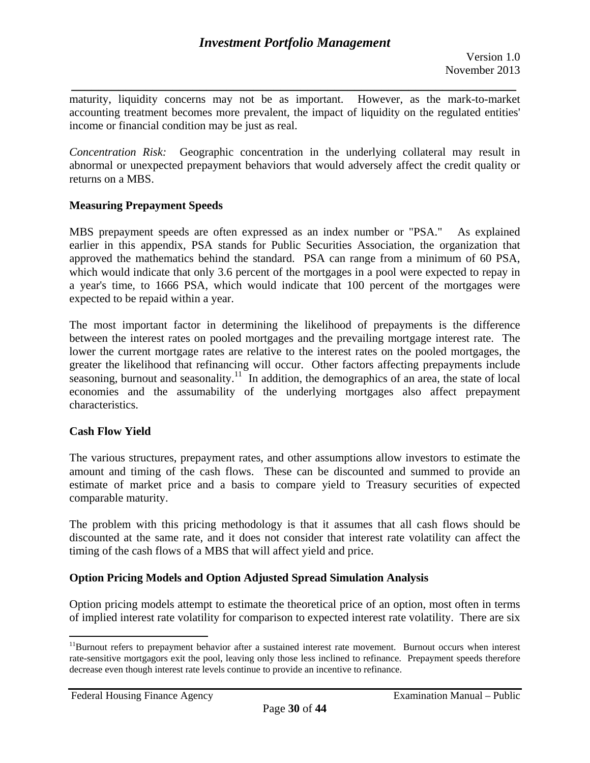*\_\_\_\_\_\_\_\_\_\_\_\_\_\_\_\_\_\_\_\_\_\_\_\_\_\_\_\_\_\_\_\_\_\_\_\_\_\_\_\_\_\_\_\_\_\_\_\_\_\_\_\_\_\_\_\_\_\_\_\_\_\_\_\_\_\_*  maturity, liquidity concerns may not be as important. However, as the mark-to-market accounting treatment becomes more prevalent, the impact of liquidity on the regulated entities' income or financial condition may be just as real.

*Concentration Risk:* Geographic concentration in the underlying collateral may result in abnormal or unexpected prepayment behaviors that would adversely affect the credit quality or returns on a MBS.

### **Measuring Prepayment Speeds**

MBS prepayment speeds are often expressed as an index number or "PSA." As explained earlier in this appendix, PSA stands for Public Securities Association, the organization that approved the mathematics behind the standard. PSA can range from a minimum of 60 PSA, which would indicate that only 3.6 percent of the mortgages in a pool were expected to repay in a year's time, to 1666 PSA, which would indicate that 100 percent of the mortgages were expected to be repaid within a year.

The most important factor in determining the likelihood of prepayments is the difference between the interest rates on pooled mortgages and the prevailing mortgage interest rate. The lower the current mortgage rates are relative to the interest rates on the pooled mortgages, the greater the likelihood that refinancing will occur. Other factors affecting prepayments include seasoning, burnout and seasonality.<sup>11</sup> In addition, the demographics of an area, the state of local economies and the assumability of the underlying mortgages also affect prepayment characteristics.

### **Cash Flow Yield**

 $\overline{a}$ 

The various structures, prepayment rates, and other assumptions allow investors to estimate the amount and timing of the cash flows. These can be discounted and summed to provide an estimate of market price and a basis to compare yield to Treasury securities of expected comparable maturity.

The problem with this pricing methodology is that it assumes that all cash flows should be discounted at the same rate, and it does not consider that interest rate volatility can affect the timing of the cash flows of a MBS that will affect yield and price.

### **Option Pricing Models and Option Adjusted Spread Simulation Analysis**

Option pricing models attempt to estimate the theoretical price of an option, most often in terms of implied interest rate volatility for comparison to expected interest rate volatility. There are six

<sup>&</sup>lt;sup>11</sup>Burnout refers to prepayment behavior after a sustained interest rate movement. Burnout occurs when interest rate-sensitive mortgagors exit the pool, leaving only those less inclined to refinance. Prepayment speeds therefore decrease even though interest rate levels continue to provide an incentive to refinance.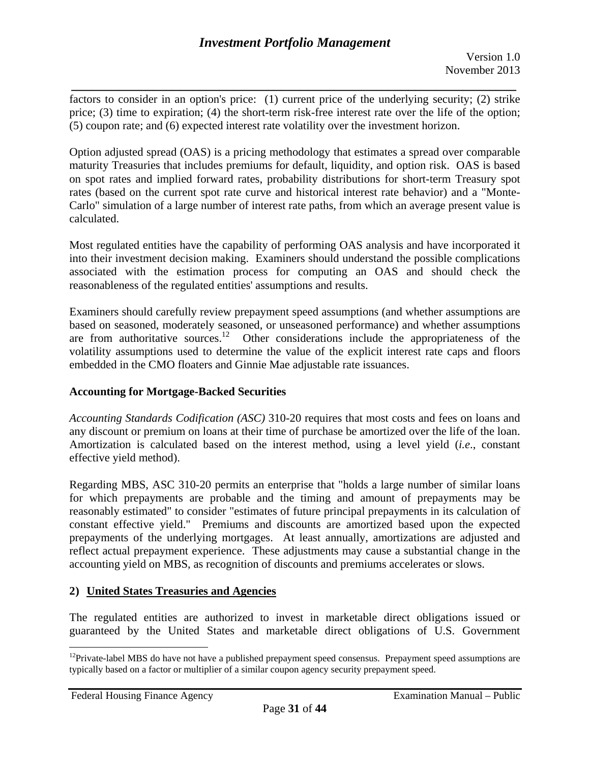*\_\_\_\_\_\_\_\_\_\_\_\_\_\_\_\_\_\_\_\_\_\_\_\_\_\_\_\_\_\_\_\_\_\_\_\_\_\_\_\_\_\_\_\_\_\_\_\_\_\_\_\_\_\_\_\_\_\_\_\_\_\_\_\_\_\_*  factors to consider in an option's price: (1) current price of the underlying security; (2) strike price; (3) time to expiration; (4) the short-term risk-free interest rate over the life of the option; (5) coupon rate; and (6) expected interest rate volatility over the investment horizon.

Option adjusted spread (OAS) is a pricing methodology that estimates a spread over comparable maturity Treasuries that includes premiums for default, liquidity, and option risk. OAS is based on spot rates and implied forward rates, probability distributions for short-term Treasury spot rates (based on the current spot rate curve and historical interest rate behavior) and a "Monte-Carlo" simulation of a large number of interest rate paths, from which an average present value is calculated.

Most regulated entities have the capability of performing OAS analysis and have incorporated it into their investment decision making. Examiners should understand the possible complications associated with the estimation process for computing an OAS and should check the reasonableness of the regulated entities' assumptions and results.

Examiners should carefully review prepayment speed assumptions (and whether assumptions are based on seasoned, moderately seasoned, or unseasoned performance) and whether assumptions are from authoritative sources.<sup>12</sup> Other considerations include the appropriateness of the volatility assumptions used to determine the value of the explicit interest rate caps and floors embedded in the CMO floaters and Ginnie Mae adjustable rate issuances.

### **Accounting for Mortgage-Backed Securities**

*Accounting Standards Codification (ASC)* 310-20 requires that most costs and fees on loans and any discount or premium on loans at their time of purchase be amortized over the life of the loan. Amortization is calculated based on the interest method, using a level yield (*i.e*., constant effective yield method).

Regarding MBS, ASC 310-20 permits an enterprise that "holds a large number of similar loans for which prepayments are probable and the timing and amount of prepayments may be reasonably estimated" to consider "estimates of future principal prepayments in its calculation of constant effective yield." Premiums and discounts are amortized based upon the expected prepayments of the underlying mortgages. At least annually, amortizations are adjusted and reflect actual prepayment experience. These adjustments may cause a substantial change in the accounting yield on MBS, as recognition of discounts and premiums accelerates or slows.

# **2) United States Treasuries and Agencies**

The regulated entities are authorized to invest in marketable direct obligations issued or guaranteed by the United States and marketable direct obligations of U.S. Government

 $\overline{a}$ 

 $12$ Private-label MBS do have not have a published prepayment speed consensus. Prepayment speed assumptions are typically based on a factor or multiplier of a similar coupon agency security prepayment speed.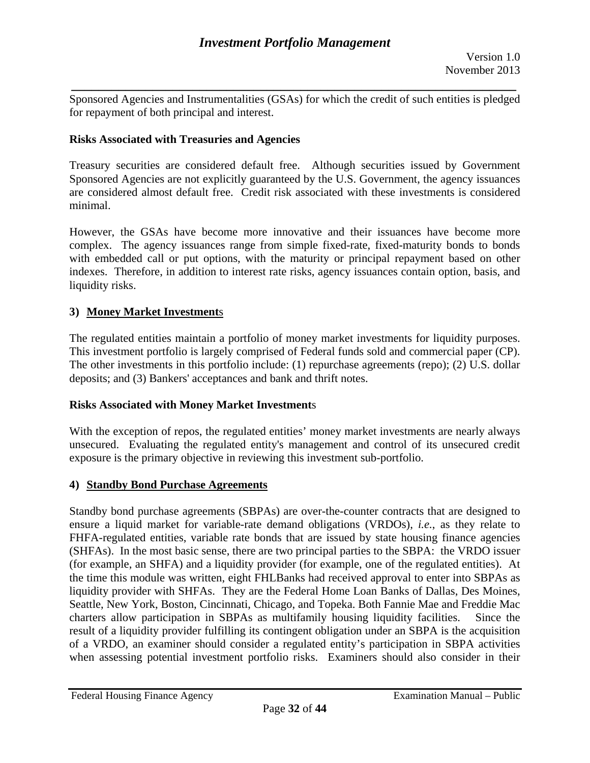*\_\_\_\_\_\_\_\_\_\_\_\_\_\_\_\_\_\_\_\_\_\_\_\_\_\_\_\_\_\_\_\_\_\_\_\_\_\_\_\_\_\_\_\_\_\_\_\_\_\_\_\_\_\_\_\_\_\_\_\_\_\_\_\_\_\_*  Sponsored Agencies and Instrumentalities (GSAs) for which the credit of such entities is pledged for repayment of both principal and interest.

### **Risks Associated with Treasuries and Agencies**

Treasury securities are considered default free. Although securities issued by Government Sponsored Agencies are not explicitly guaranteed by the U.S. Government, the agency issuances are considered almost default free. Credit risk associated with these investments is considered minimal.

However, the GSAs have become more innovative and their issuances have become more complex. The agency issuances range from simple fixed-rate, fixed-maturity bonds to bonds with embedded call or put options, with the maturity or principal repayment based on other indexes. Therefore, in addition to interest rate risks, agency issuances contain option, basis, and liquidity risks.

### **3) Money Market Investment**s

The regulated entities maintain a portfolio of money market investments for liquidity purposes. This investment portfolio is largely comprised of Federal funds sold and commercial paper (CP). The other investments in this portfolio include: (1) repurchase agreements (repo); (2) U.S. dollar deposits; and (3) Bankers' acceptances and bank and thrift notes.

### **Risks Associated with Money Market Investment**s

With the exception of repos, the regulated entities' money market investments are nearly always unsecured. Evaluating the regulated entity's management and control of its unsecured credit exposure is the primary objective in reviewing this investment sub-portfolio.

### **4) Standby Bond Purchase Agreements**

Standby bond purchase agreements (SBPAs) are over-the-counter contracts that are designed to ensure a liquid market for variable-rate demand obligations (VRDOs), *i.e.*, as they relate to FHFA-regulated entities, variable rate bonds that are issued by state housing finance agencies (SHFAs). In the most basic sense, there are two principal parties to the SBPA: the VRDO issuer (for example, an SHFA) and a liquidity provider (for example, one of the regulated entities). At the time this module was written, eight FHLBanks had received approval to enter into SBPAs as liquidity provider with SHFAs. They are the Federal Home Loan Banks of Dallas, Des Moines, Seattle, New York, Boston, Cincinnati, Chicago, and Topeka. Both Fannie Mae and Freddie Mac charters allow participation in SBPAs as multifamily housing liquidity facilities. Since the result of a liquidity provider fulfilling its contingent obligation under an SBPA is the acquisition of a VRDO, an examiner should consider a regulated entity's participation in SBPA activities when assessing potential investment portfolio risks. Examiners should also consider in their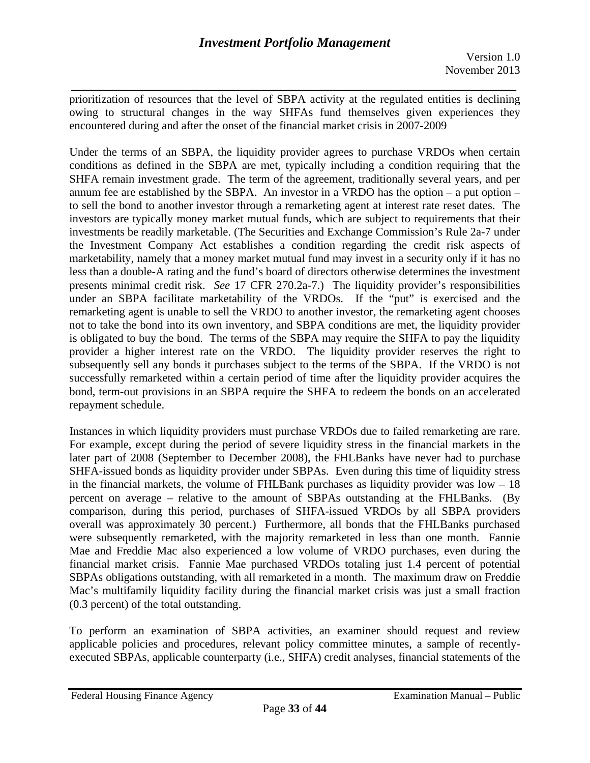*\_\_\_\_\_\_\_\_\_\_\_\_\_\_\_\_\_\_\_\_\_\_\_\_\_\_\_\_\_\_\_\_\_\_\_\_\_\_\_\_\_\_\_\_\_\_\_\_\_\_\_\_\_\_\_\_\_\_\_\_\_\_\_\_\_\_*  prioritization of resources that the level of SBPA activity at the regulated entities is declining owing to structural changes in the way SHFAs fund themselves given experiences they encountered during and after the onset of the financial market crisis in 2007-2009

 provider a higher interest rate on the VRDO. The liquidity provider reserves the right to Under the terms of an SBPA, the liquidity provider agrees to purchase VRDOs when certain conditions as defined in the SBPA are met, typically including a condition requiring that the SHFA remain investment grade. The term of the agreement, traditionally several years, and per annum fee are established by the SBPA. An investor in a VRDO has the option – a put option – to sell the bond to another investor through a remarketing agent at interest rate reset dates. The investors are typically money market mutual funds, which are subject to requirements that their investments be readily marketable. (The Securities and Exchange Commission's Rule 2a-7 under the Investment Company Act establishes a condition regarding the credit risk aspects of marketability, namely that a money market mutual fund may invest in a security only if it has no less than a double-A rating and the fund's board of directors otherwise determines the investment presents minimal credit risk. *See* 17 CFR 270.2a-7.) The liquidity provider's responsibilities under an SBPA facilitate marketability of the VRDOs. If the "put" is exercised and the remarketing agent is unable to sell the VRDO to another investor, the remarketing agent chooses not to take the bond into its own inventory, and SBPA conditions are met, the liquidity provider is obligated to buy the bond. The terms of the SBPA may require the SHFA to pay the liquidity subsequently sell any bonds it purchases subject to the terms of the SBPA. If the VRDO is not successfully remarketed within a certain period of time after the liquidity provider acquires the bond, term-out provisions in an SBPA require the SHFA to redeem the bonds on an accelerated repayment schedule.

Instances in which liquidity providers must purchase VRDOs due to failed remarketing are rare. (0.3 percent) of the total outstanding. For example, except during the period of severe liquidity stress in the financial markets in the later part of 2008 (September to December 2008), the FHLBanks have never had to purchase SHFA-issued bonds as liquidity provider under SBPAs. Even during this time of liquidity stress in the financial markets, the volume of FHLBank purchases as liquidity provider was  $low - 18$ percent on average – relative to the amount of SBPAs outstanding at the FHLBanks. (By comparison, during this period, purchases of SHFA-issued VRDOs by all SBPA providers overall was approximately 30 percent.) Furthermore, all bonds that the FHLBanks purchased were subsequently remarketed, with the majority remarketed in less than one month. Fannie Mae and Freddie Mac also experienced a low volume of VRDO purchases, even during the financial market crisis. Fannie Mae purchased VRDOs totaling just 1.4 percent of potential SBPAs obligations outstanding, with all remarketed in a month. The maximum draw on Freddie Mac's multifamily liquidity facility during the financial market crisis was just a small fraction

To perform an examination of SBPA activities, an examiner should request and review applicable policies and procedures, relevant policy committee minutes, a sample of recentlyexecuted SBPAs, applicable counterparty (i.e., SHFA) credit analyses, financial statements of the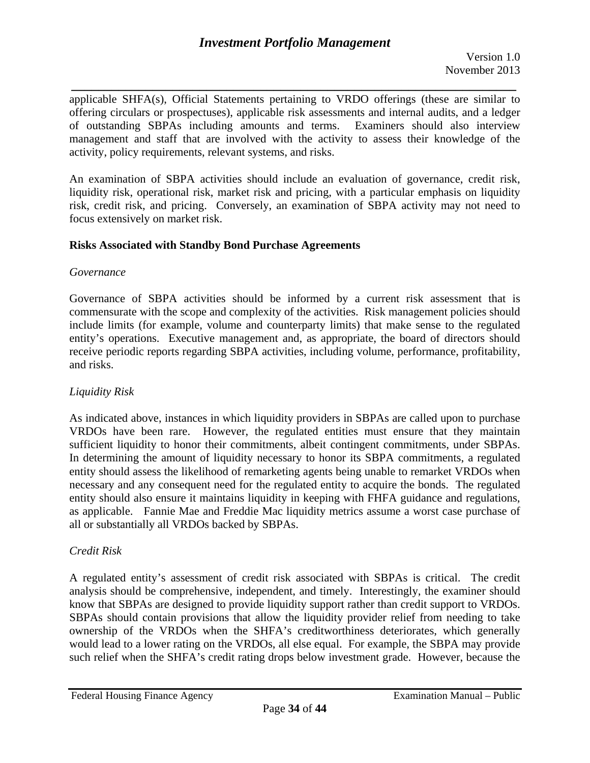Version 1.0 November 2013

*\_\_\_\_\_\_\_\_\_\_\_\_\_\_\_\_\_\_\_\_\_\_\_\_\_\_\_\_\_\_\_\_\_\_\_\_\_\_\_\_\_\_\_\_\_\_\_\_\_\_\_\_\_\_\_\_\_\_\_\_\_\_\_\_\_\_*  applicable SHFA(s), Official Statements pertaining to VRDO offerings (these are similar to offering circulars or prospectuses), applicable risk assessments and internal audits, and a ledger of outstanding SBPAs including amounts and terms. Examiners should also interview management and staff that are involved with the activity to assess their knowledge of the activity, policy requirements, relevant systems, and risks.

An examination of SBPA activities should include an evaluation of governance, credit risk, liquidity risk, operational risk, market risk and pricing, with a particular emphasis on liquidity risk, credit risk, and pricing. Conversely, an examination of SBPA activity may not need to focus extensively on market risk.

### **Risks Associated with Standby Bond Purchase Agreements**

#### *Governance*

Governance of SBPA activities should be informed by a current risk assessment that is commensurate with the scope and complexity of the activities. Risk management policies should include limits (for example, volume and counterparty limits) that make sense to the regulated entity's operations. Executive management and, as appropriate, the board of directors should receive periodic reports regarding SBPA activities, including volume, performance, profitability, and risks.

### *Liquidity Risk*

As indicated above, instances in which liquidity providers in SBPAs are called upon to purchase VRDOs have been rare. However, the regulated entities must ensure that they maintain sufficient liquidity to honor their commitments, albeit contingent commitments, under SBPAs. In determining the amount of liquidity necessary to honor its SBPA commitments, a regulated entity should assess the likelihood of remarketing agents being unable to remarket VRDOs when necessary and any consequent need for the regulated entity to acquire the bonds. The regulated entity should also ensure it maintains liquidity in keeping with FHFA guidance and regulations, as applicable. Fannie Mae and Freddie Mac liquidity metrics assume a worst case purchase of all or substantially all VRDOs backed by SBPAs.

### *Credit Risk*

know that SBPAs are designed to provide liquidity support rather than credit support to VRDOs. A regulated entity's assessment of credit risk associated with SBPAs is critical. The credit analysis should be comprehensive, independent, and timely. Interestingly, the examiner should KRPAs should contain provisions that allow the liquidity provider relief from needing to take ownership of the VRDOs when the SHFA's creditworthiness deteriorates, which generally would lead to a lower rating on the VRDOs, all else equal. For example, the SBPA may provide such relief when the SHFA's credit rating drops below investment grade. However, because the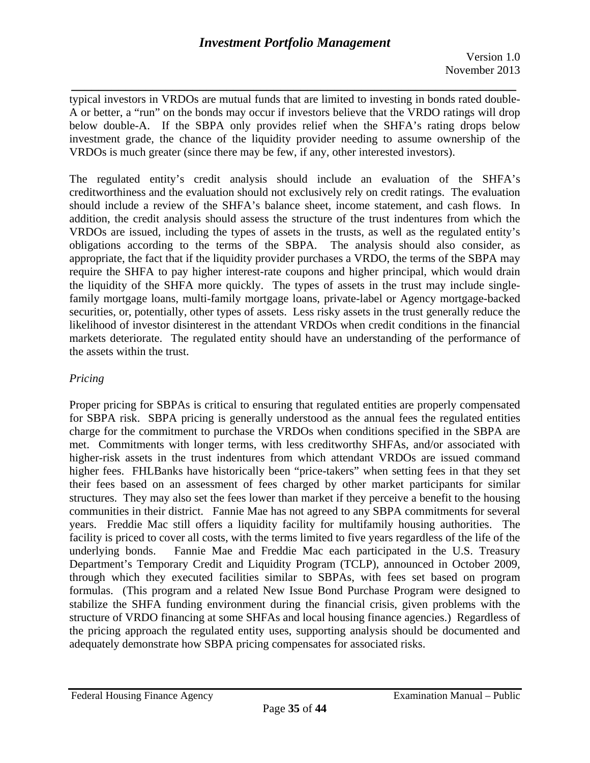*\_\_\_\_\_\_\_\_\_\_\_\_\_\_\_\_\_\_\_\_\_\_\_\_\_\_\_\_\_\_\_\_\_\_\_\_\_\_\_\_\_\_\_\_\_\_\_\_\_\_\_\_\_\_\_\_\_\_\_\_\_\_\_\_\_\_*  typical investors in VRDOs are mutual funds that are limited to investing in bonds rated double-A or better, a "run" on the bonds may occur if investors believe that the VRDO ratings will drop below double-A. If the SBPA only provides relief when the SHFA's rating drops below investment grade, the chance of the liquidity provider needing to assume ownership of the VRDOs is much greater (since there may be few, if any, other interested investors).

The regulated entity's credit analysis should include an evaluation of the SHFA's creditworthiness and the evaluation should not exclusively rely on credit ratings. The evaluation should include a review of the SHFA's balance sheet, income statement, and cash flows. In addition, the credit analysis should assess the structure of the trust indentures from which the VRDOs are issued, including the types of assets in the trusts, as well as the regulated entity's obligations according to the terms of the SBPA. The analysis should also consider, as appropriate, the fact that if the liquidity provider purchases a VRDO, the terms of the SBPA may require the SHFA to pay higher interest-rate coupons and higher principal, which would drain the liquidity of the SHFA more quickly. The types of assets in the trust may include singlefamily mortgage loans, multi-family mortgage loans, private-label or Agency mortgage-backed securities, or, potentially, other types of assets. Less risky assets in the trust generally reduce the likelihood of investor disinterest in the attendant VRDOs when credit conditions in the financial markets deteriorate. The regulated entity should have an understanding of the performance of the assets within the trust.

# *Pricing*

underlying bonds. Proper pricing for SBPAs is critical to ensuring that regulated entities are properly compensated for SBPA risk. SBPA pricing is generally understood as the annual fees the regulated entities charge for the commitment to purchase the VRDOs when conditions specified in the SBPA are met. Commitments with longer terms, with less creditworthy SHFAs, and/or associated with higher-risk assets in the trust indentures from which attendant VRDOs are issued command higher fees. FHLBanks have historically been "price-takers" when setting fees in that they set their fees based on an assessment of fees charged by other market participants for similar structures. They may also set the fees lower than market if they perceive a benefit to the housing communities in their district. Fannie Mae has not agreed to any SBPA commitments for several years. Freddie Mac still offers a liquidity facility for multifamily housing authorities. The facility is priced to cover all costs, with the terms limited to five years regardless of the life of the Fannie Mae and Freddie Mac each participated in the U.S. Treasury Department's Temporary Credit and Liquidity Program (TCLP), announced in October 2009, through which they executed facilities similar to SBPAs, with fees set based on program formulas. (This program and a related New Issue Bond Purchase Program were designed to stabilize the SHFA funding environment during the financial crisis, given problems with the structure of VRDO financing at some SHFAs and local housing finance agencies.) Regardless of the pricing approach the regulated entity uses, supporting analysis should be documented and adequately demonstrate how SBPA pricing compensates for associated risks.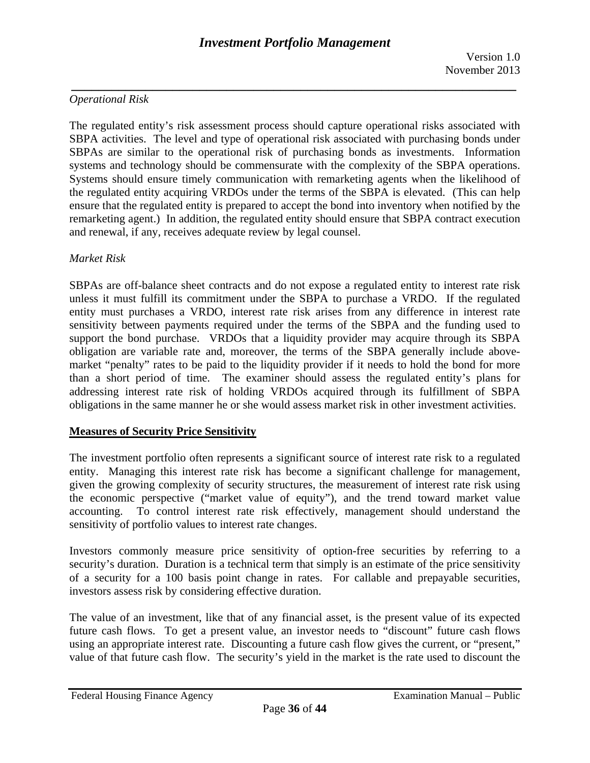*\_\_\_\_\_\_\_\_\_\_\_\_\_\_\_\_\_\_\_\_\_\_\_\_\_\_\_\_\_\_\_\_\_\_\_\_\_\_\_\_\_\_\_\_\_\_\_\_\_\_\_\_\_\_\_\_\_\_\_\_\_\_\_\_\_\_* 

### *Operational Risk*

The regulated entity's risk assessment process should capture operational risks associated with SBPA activities. The level and type of operational risk associated with purchasing bonds under SBPAs are similar to the operational risk of purchasing bonds as investments. Information systems and technology should be commensurate with the complexity of the SBPA operations. Systems should ensure timely communication with remarketing agents when the likelihood of the regulated entity acquiring VRDOs under the terms of the SBPA is elevated. (This can help ensure that the regulated entity is prepared to accept the bond into inventory when notified by the remarketing agent.) In addition, the regulated entity should ensure that SBPA contract execution and renewal, if any, receives adequate review by legal counsel.

### *Market Risk*

SBPAs are off-balance sheet contracts and do not expose a regulated entity to interest rate risk unless it must fulfill its commitment under the SBPA to purchase a VRDO. If the regulated entity must purchases a VRDO, interest rate risk arises from any difference in interest rate sensitivity between payments required under the terms of the SBPA and the funding used to support the bond purchase. VRDOs that a liquidity provider may acquire through its SBPA obligation are variable rate and, moreover, the terms of the SBPA generally include abovemarket "penalty" rates to be paid to the liquidity provider if it needs to hold the bond for more than a short period of time. The examiner should assess the regulated entity's plans for addressing interest rate risk of holding VRDOs acquired through its fulfillment of SBPA obligations in the same manner he or she would assess market risk in other investment activities.

### **Measures of Security Price Sensitivity**

The investment portfolio often represents a significant source of interest rate risk to a regulated entity. Managing this interest rate risk has become a significant challenge for management, given the growing complexity of security structures, the measurement of interest rate risk using the economic perspective ("market value of equity"), and the trend toward market value accounting. To control interest rate risk effectively, management should understand the sensitivity of portfolio values to interest rate changes.

Investors commonly measure price sensitivity of option-free securities by referring to a security's duration. Duration is a technical term that simply is an estimate of the price sensitivity of a security for a 100 basis point change in rates. For callable and prepayable securities, investors assess risk by considering effective duration.

The value of an investment, like that of any financial asset, is the present value of its expected future cash flows. To get a present value, an investor needs to "discount" future cash flows using an appropriate interest rate. Discounting a future cash flow gives the current, or "present," value of that future cash flow. The security's yield in the market is the rate used to discount the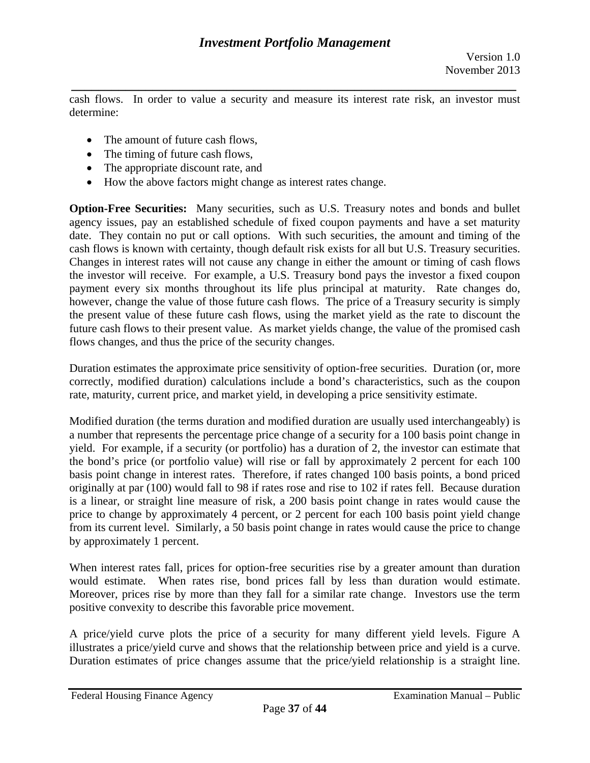*\_\_\_\_\_\_\_\_\_\_\_\_\_\_\_\_\_\_\_\_\_\_\_\_\_\_\_\_\_\_\_\_\_\_\_\_\_\_\_\_\_\_\_\_\_\_\_\_\_\_\_\_\_\_\_\_\_\_\_\_\_\_\_\_\_\_*  cash flows. In order to value a security and measure its interest rate risk, an investor must determine:

- The amount of future cash flows.
- The timing of future cash flows,
- The appropriate discount rate, and
- How the above factors might change as interest rates change.

**Option-Free Securities:** Many securities, such as U.S. Treasury notes and bonds and bullet agency issues, pay an established schedule of fixed coupon payments and have a set maturity date. They contain no put or call options. With such securities, the amount and timing of the cash flows is known with certainty, though default risk exists for all but U.S. Treasury securities. Changes in interest rates will not cause any change in either the amount or timing of cash flows the investor will receive. For example, a U.S. Treasury bond pays the investor a fixed coupon payment every six months throughout its life plus principal at maturity. Rate changes do, however, change the value of those future cash flows. The price of a Treasury security is simply the present value of these future cash flows, using the market yield as the rate to discount the future cash flows to their present value. As market yields change, the value of the promised cash flows changes, and thus the price of the security changes.

Duration estimates the approximate price sensitivity of option-free securities. Duration (or, more correctly, modified duration) calculations include a bond's characteristics, such as the coupon rate, maturity, current price, and market yield, in developing a price sensitivity estimate.

Modified duration (the terms duration and modified duration are usually used interchangeably) is a number that represents the percentage price change of a security for a 100 basis point change in yield. For example, if a security (or portfolio) has a duration of 2, the investor can estimate that the bond's price (or portfolio value) will rise or fall by approximately 2 percent for each 100 basis point change in interest rates. Therefore, if rates changed 100 basis points, a bond priced originally at par (100) would fall to 98 if rates rose and rise to 102 if rates fell. Because duration is a linear, or straight line measure of risk, a 200 basis point change in rates would cause the price to change by approximately 4 percent, or 2 percent for each 100 basis point yield change from its current level. Similarly, a 50 basis point change in rates would cause the price to change by approximately 1 percent.

When interest rates fall, prices for option-free securities rise by a greater amount than duration would estimate. When rates rise, bond prices fall by less than duration would estimate. Moreover, prices rise by more than they fall for a similar rate change. Investors use the term positive convexity to describe this favorable price movement.

A price/yield curve plots the price of a security for many different yield levels. Figure A illustrates a price/yield curve and shows that the relationship between price and yield is a curve. Duration estimates of price changes assume that the price/yield relationship is a straight line.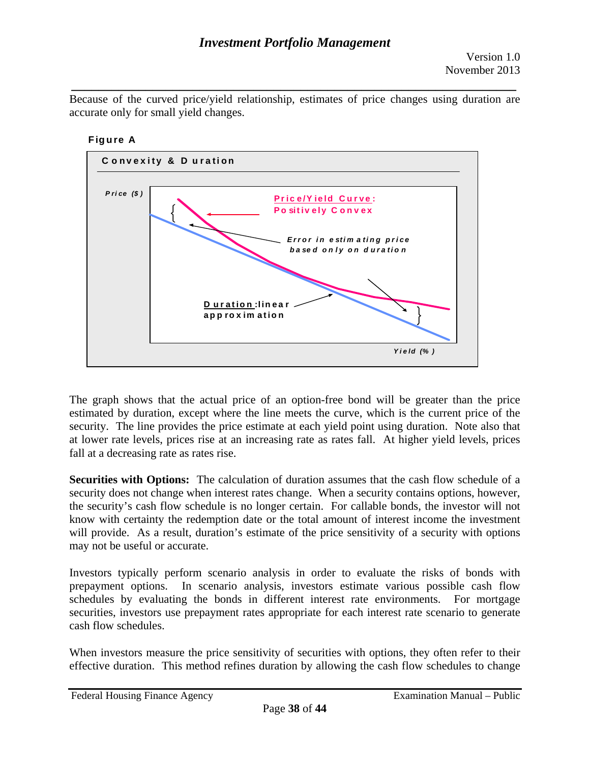*\_\_\_\_\_\_\_\_\_\_\_\_\_\_\_\_\_\_\_\_\_\_\_\_\_\_\_\_\_\_\_\_\_\_\_\_\_\_\_\_\_\_\_\_\_\_\_\_\_\_\_\_\_\_\_\_\_\_\_\_\_\_\_\_\_\_*  Because of the curved price/yield relationship, estimates of price changes using duration are accurate only for small yield changes.



The graph shows that the actual price of an option-free bond will be greater than the price estimated by duration, except where the line meets the curve, which is the current price of the security. The line provides the price estimate at each yield point using duration. Note also that at lower rate levels, prices rise at an increasing rate as rates fall. At higher yield levels, prices fall at a decreasing rate as rates rise.

**Securities with Options:** The calculation of duration assumes that the cash flow schedule of a security does not change when interest rates change. When a security contains options, however, the security's cash flow schedule is no longer certain. For callable bonds, the investor will not know with certainty the redemption date or the total amount of interest income the investment will provide. As a result, duration's estimate of the price sensitivity of a security with options may not be useful or accurate.

Investors typically perform scenario analysis in order to evaluate the risks of bonds with prepayment options. In scenario analysis, investors estimate various possible cash flow schedules by evaluating the bonds in different interest rate environments. For mortgage securities, investors use prepayment rates appropriate for each interest rate scenario to generate cash flow schedules.

When investors measure the price sensitivity of securities with options, they often refer to their effective duration. This method refines duration by allowing the cash flow schedules to change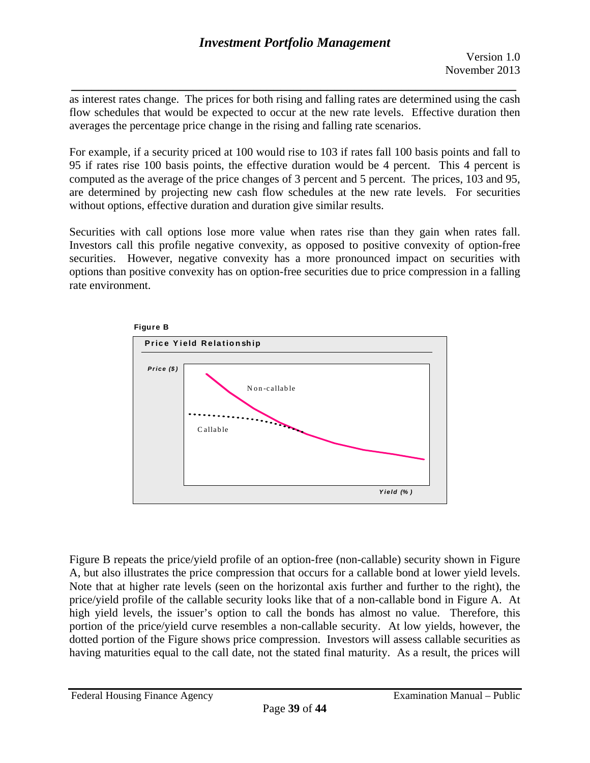*\_\_\_\_\_\_\_\_\_\_\_\_\_\_\_\_\_\_\_\_\_\_\_\_\_\_\_\_\_\_\_\_\_\_\_\_\_\_\_\_\_\_\_\_\_\_\_\_\_\_\_\_\_\_\_\_\_\_\_\_\_\_\_\_\_\_*  as interest rates change. The prices for both rising and falling rates are determined using the cash flow schedules that would be expected to occur at the new rate levels. Effective duration then averages the percentage price change in the rising and falling rate scenarios.

For example, if a security priced at 100 would rise to 103 if rates fall 100 basis points and fall to 95 if rates rise 100 basis points, the effective duration would be 4 percent. This 4 percent is computed as the average of the price changes of 3 percent and 5 percent. The prices, 103 and 95, are determined by projecting new cash flow schedules at the new rate levels. For securities without options, effective duration and duration give similar results.

 Securities with call options lose more value when rates rise than they gain when rates fall. Investors call this profile negative convexity, as opposed to positive convexity of option-free securities. However, negative convexity has a more pronounced impact on securities with options than positive convexity has on option-free securities due to price compression in a falling rate environment.



Figure B repeats the price/yield profile of an option-free (non-callable) security shown in Figure A, but also illustrates the price compression that occurs for a callable bond at lower yield levels. Note that at higher rate levels (seen on the horizontal axis further and further to the right), the price/yield profile of the callable security looks like that of a non-callable bond in Figure A. At high yield levels, the issuer's option to call the bonds has almost no value. Therefore, this portion of the price/yield curve resembles a non-callable security. At low yields, however, the dotted portion of the Figure shows price compression. Investors will assess callable securities as having maturities equal to the call date, not the stated final maturity. As a result, the prices will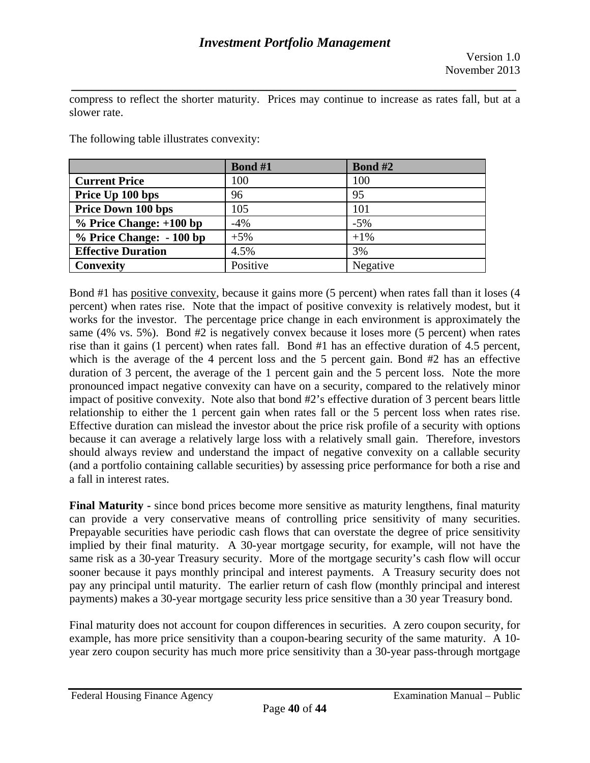compress to reflect the shorter maturity. Prices may continue to increase as rates fall, but at a slower rate.

*\_\_\_\_\_\_\_\_\_\_\_\_\_\_\_\_\_\_\_\_\_\_\_\_\_\_\_\_\_\_\_\_\_\_\_\_\_\_\_\_\_\_\_\_\_\_\_\_\_\_\_\_\_\_\_\_\_\_\_\_\_\_\_\_\_\_* 

|                           | Bond #1  | <b>Bond #2</b> |
|---------------------------|----------|----------------|
| <b>Current Price</b>      | 100      | 100            |
| Price Up 100 bps          | 96       | 95             |
| <b>Price Down 100 bps</b> | 105      | 101            |
| $%$ Price Change: +100 bp | $-4%$    | $-5%$          |
| % Price Change: - 100 bp  | $+5%$    | $+1\%$         |
| <b>Effective Duration</b> | 4.5%     | 3%             |
| Convexity                 | Positive | Negative       |

The following table illustrates convexity:

Bond #1 has positive convexity, because it gains more (5 percent) when rates fall than it loses (4 percent) when rates rise. Note that the impact of positive convexity is relatively modest, but it works for the investor. The percentage price change in each environment is approximately the same (4% vs. 5%). Bond #2 is negatively convex because it loses more (5 percent) when rates rise than it gains (1 percent) when rates fall. Bond #1 has an effective duration of 4.5 percent, which is the average of the 4 percent loss and the 5 percent gain. Bond #2 has an effective duration of 3 percent, the average of the 1 percent gain and the 5 percent loss. Note the more pronounced impact negative convexity can have on a security, compared to the relatively minor impact of positive convexity. Note also that bond #2's effective duration of 3 percent bears little relationship to either the 1 percent gain when rates fall or the 5 percent loss when rates rise. Effective duration can mislead the investor about the price risk profile of a security with options because it can average a relatively large loss with a relatively small gain. Therefore, investors should always review and understand the impact of negative convexity on a callable security (and a portfolio containing callable securities) by assessing price performance for both a rise and a fall in interest rates.

can provide a very conservative means of controlling price sensitivity of many securities. **Final Maturity -** since bond prices become more sensitive as maturity lengthens, final maturity Prepayable securities have periodic cash flows that can overstate the degree of price sensitivity implied by their final maturity. A 30-year mortgage security, for example, will not have the same risk as a 30-year Treasury security. More of the mortgage security's cash flow will occur sooner because it pays monthly principal and interest payments. A Treasury security does not pay any principal until maturity. The earlier return of cash flow (monthly principal and interest payments) makes a 30-year mortgage security less price sensitive than a 30 year Treasury bond.

Final maturity does not account for coupon differences in securities. A zero coupon security, for example, has more price sensitivity than a coupon-bearing security of the same maturity. A 10 year zero coupon security has much more price sensitivity than a 30-year pass-through mortgage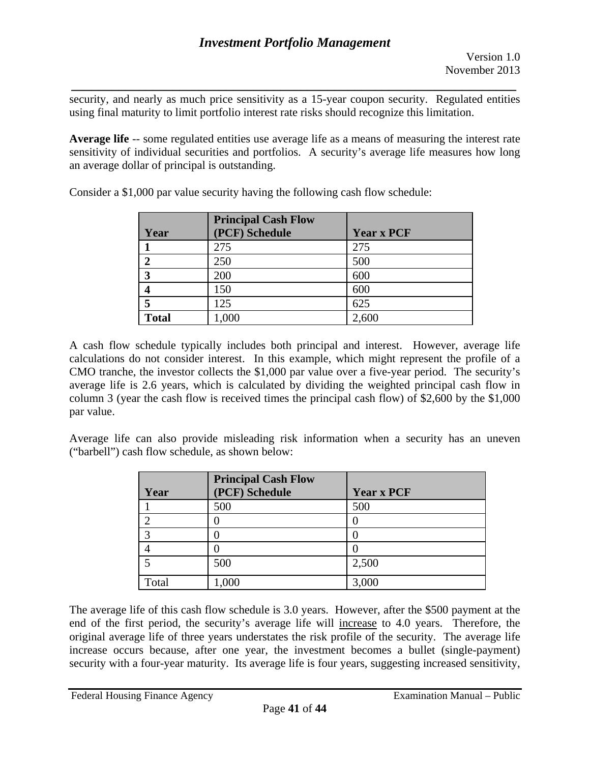*\_\_\_\_\_\_\_\_\_\_\_\_\_\_\_\_\_\_\_\_\_\_\_\_\_\_\_\_\_\_\_\_\_\_\_\_\_\_\_\_\_\_\_\_\_\_\_\_\_\_\_\_\_\_\_\_\_\_\_\_\_\_\_\_\_\_*  security, and nearly as much price sensitivity as a 15-year coupon security. Regulated entities using final maturity to limit portfolio interest rate risks should recognize this limitation.

**Average life** -- some regulated entities use average life as a means of measuring the interest rate sensitivity of individual securities and portfolios. A security's average life measures how long an average dollar of principal is outstanding.

|                | <b>Principal Cash Flow</b> |                   |
|----------------|----------------------------|-------------------|
| Year           | (PCF) Schedule             | <b>Year x PCF</b> |
|                | 275                        | 275               |
| $\overline{2}$ | 250                        | 500               |
| 3              | 200                        | 600               |
| 4              | 150                        | 600               |
| 5              | 125                        | 625               |
| <b>Total</b>   | 1,000                      | 2,600             |

Consider a \$1,000 par value security having the following cash flow schedule:

A cash flow schedule typically includes both principal and interest. However, average life calculations do not consider interest. In this example, which might represent the profile of a CMO tranche, the investor collects the \$1,000 par value over a five-year period. The security's average life is 2.6 years, which is calculated by dividing the weighted principal cash flow in column 3 (year the cash flow is received times the principal cash flow) of \$2,600 by the \$1,000 par value.

Average life can also provide misleading risk information when a security has an uneven ("barbell") cash flow schedule, as shown below:

| Year  | <b>Principal Cash Flow</b><br>(PCF) Schedule | <b>Year x PCF</b> |
|-------|----------------------------------------------|-------------------|
|       | 500                                          | 500               |
| ◠     |                                              |                   |
| 3     |                                              |                   |
|       |                                              |                   |
|       | 500                                          | 2,500             |
| Total | 1,000                                        | 3,000             |

The average life of this cash flow schedule is 3.0 years. However, after the \$500 payment at the end of the first period, the security's average life will increase to 4.0 years. Therefore, the original average life of three years understates the risk profile of the security. The average life increase occurs because, after one year, the investment becomes a bullet (single-payment) security with a four-year maturity. Its average life is four years, suggesting increased sensitivity,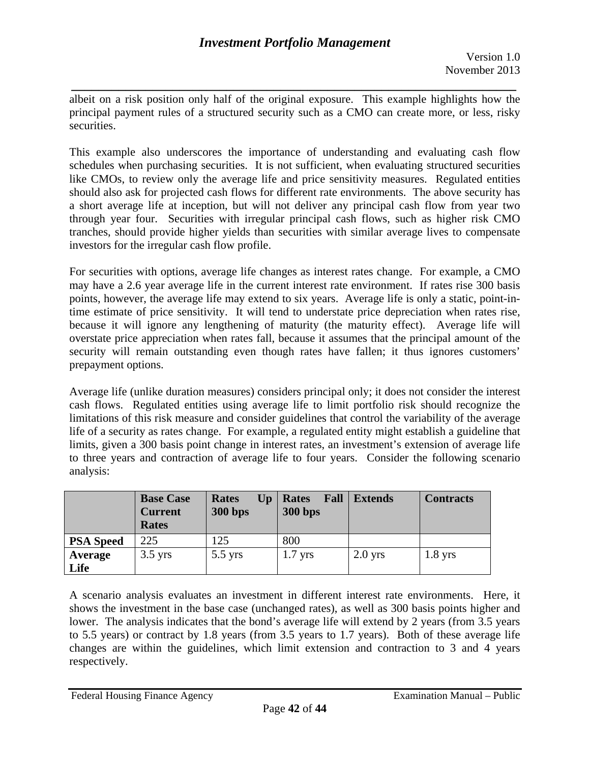*\_\_\_\_\_\_\_\_\_\_\_\_\_\_\_\_\_\_\_\_\_\_\_\_\_\_\_\_\_\_\_\_\_\_\_\_\_\_\_\_\_\_\_\_\_\_\_\_\_\_\_\_\_\_\_\_\_\_\_\_\_\_\_\_\_\_*  albeit on a risk position only half of the original exposure. This example highlights how the principal payment rules of a structured security such as a CMO can create more, or less, risky securities.

This example also underscores the importance of understanding and evaluating cash flow schedules when purchasing securities. It is not sufficient, when evaluating structured securities like CMOs, to review only the average life and price sensitivity measures. Regulated entities should also ask for projected cash flows for different rate environments. The above security has a short average life at inception, but will not deliver any principal cash flow from year two through year four. Securities with irregular principal cash flows, such as higher risk CMO tranches, should provide higher yields than securities with similar average lives to compensate investors for the irregular cash flow profile.

For securities with options, average life changes as interest rates change. For example, a CMO may have a 2.6 year average life in the current interest rate environment. If rates rise 300 basis points, however, the average life may extend to six years. Average life is only a static, point-intime estimate of price sensitivity. It will tend to understate price depreciation when rates rise, because it will ignore any lengthening of maturity (the maturity effect). Average life will overstate price appreciation when rates fall, because it assumes that the principal amount of the security will remain outstanding even though rates have fallen; it thus ignores customers' prepayment options.

Average life (unlike duration measures) considers principal only; it does not consider the interest cash flows. Regulated entities using average life to limit portfolio risk should recognize the limitations of this risk measure and consider guidelines that control the variability of the average life of a security as rates change. For example, a regulated entity might establish a guideline that limits, given a 300 basis point change in interest rates, an investment's extension of average life to three years and contraction of average life to four years. Consider the following scenario analysis:

|                  | <b>Base Case</b><br><b>Current</b><br><b>Rates</b> | Up<br><b>Rates</b><br><b>300 bps</b> | Fall<br><b>Rates</b><br><b>300 bps</b> | <b>Extends</b> | <b>Contracts</b> |
|------------------|----------------------------------------------------|--------------------------------------|----------------------------------------|----------------|------------------|
| <b>PSA Speed</b> | 225                                                | 125                                  | 800                                    |                |                  |
| Average          | $3.5$ yrs                                          | $5.5$ yrs                            | $1.7$ yrs                              | $2.0$ yrs      | $1.8$ yrs        |
| Life             |                                                    |                                      |                                        |                |                  |

respectively. A scenario analysis evaluates an investment in different interest rate environments. Here, it shows the investment in the base case (unchanged rates), as well as 300 basis points higher and lower. The analysis indicates that the bond's average life will extend by 2 years (from 3.5 years to 5.5 years) or contract by 1.8 years (from 3.5 years to 1.7 years). Both of these average life changes are within the guidelines, which limit extension and contraction to 3 and 4 years respectively.<br>
Federal Housing Finance Agency<br>
Federal Housing Finance Agency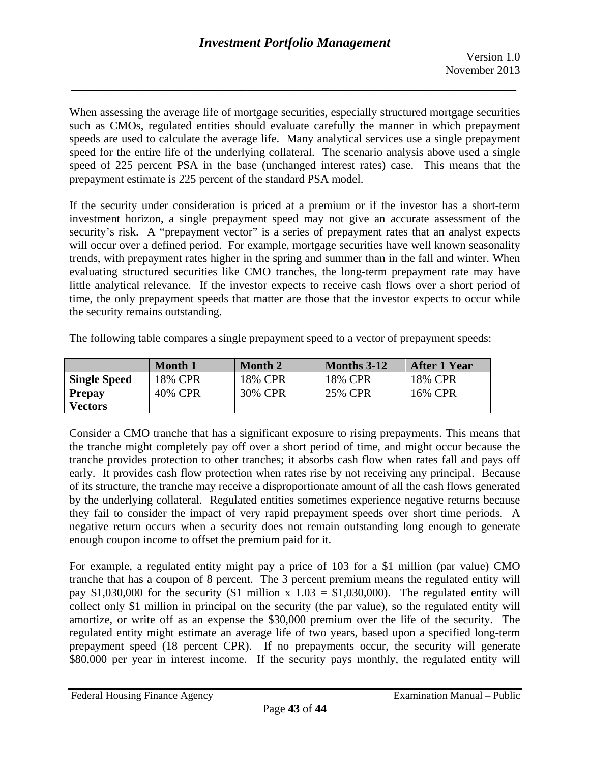*\_\_\_\_\_\_\_\_\_\_\_\_\_\_\_\_\_\_\_\_\_\_\_\_\_\_\_\_\_\_\_\_\_\_\_\_\_\_\_\_\_\_\_\_\_\_\_\_\_\_\_\_\_\_\_\_\_\_\_\_\_\_\_\_\_\_* 

When assessing the average life of mortgage securities, especially structured mortgage securities such as CMOs, regulated entities should evaluate carefully the manner in which prepayment speeds are used to calculate the average life. Many analytical services use a single prepayment speed for the entire life of the underlying collateral. The scenario analysis above used a single speed of 225 percent PSA in the base (unchanged interest rates) case. This means that the prepayment estimate is 225 percent of the standard PSA model.

If the security under consideration is priced at a premium or if the investor has a short-term investment horizon, a single prepayment speed may not give an accurate assessment of the security's risk. A "prepayment vector" is a series of prepayment rates that an analyst expects will occur over a defined period. For example, mortgage securities have well known seasonality trends, with prepayment rates higher in the spring and summer than in the fall and winter. When evaluating structured securities like CMO tranches, the long-term prepayment rate may have little analytical relevance. If the investor expects to receive cash flows over a short period of time, the only prepayment speeds that matter are those that the investor expects to occur while the security remains outstanding.

The following table compares a single prepayment speed to a vector of prepayment speeds:

|                     | <b>Month</b> 1 | <b>Month 2</b> | <b>Months</b> 3-12 | After 1 Year |
|---------------------|----------------|----------------|--------------------|--------------|
| <b>Single Speed</b> | 18% CPR        | 18% CPR        | 18% CPR            | 18% CPR      |
| <b>Prepay</b>       | 40% CPR        | 30% CPR        | 25% CPR            | 16% CPR      |
| <b>Vectors</b>      |                |                |                    |              |

Consider a CMO tranche that has a significant exposure to rising prepayments. This means that the tranche might completely pay off over a short period of time, and might occur because the tranche provides protection to other tranches; it absorbs cash flow when rates fall and pays off early. It provides cash flow protection when rates rise by not receiving any principal. Because of its structure, the tranche may receive a disproportionate amount of all the cash flows generated by the underlying collateral. Regulated entities sometimes experience negative returns because they fail to consider the impact of very rapid prepayment speeds over short time periods. A negative return occurs when a security does not remain outstanding long enough to generate enough coupon income to offset the premium paid for it.

For example, a regulated entity might pay a price of 103 for a \$1 million (par value) CMO tranche that has a coupon of 8 percent. The 3 percent premium means the regulated entity will pay \$1,030,000 for the security (\$1 million x  $1.03 = $1,030,000$ ). The regulated entity will collect only \$1 million in principal on the security (the par value), so the regulated entity will amortize, or write off as an expense the \$30,000 premium over the life of the security. The regulated entity might estimate an average life of two years, based upon a specified long-term prepayment speed (18 percent CPR). If no prepayments occur, the security will generate \$80,000 per year in interest income. If the security pays monthly, the regulated entity will